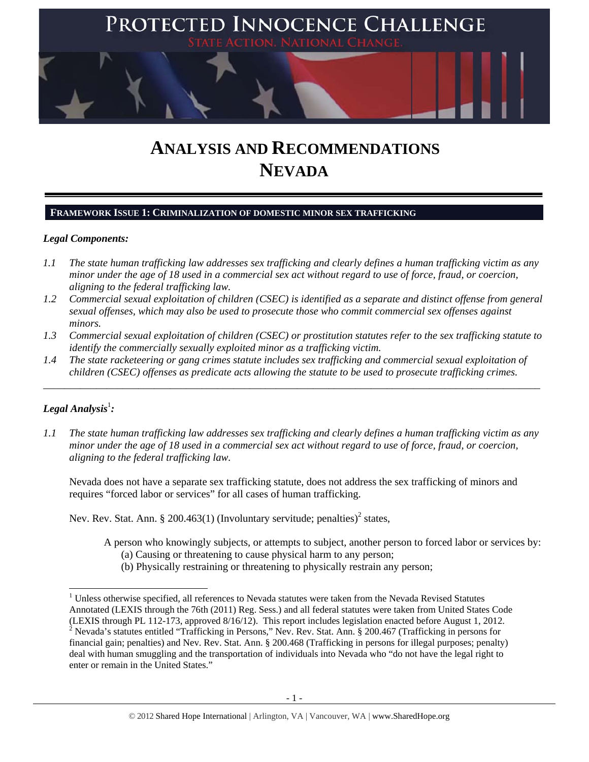

# **ANALYSIS AND RECOMMENDATIONS NEVADA**

## **FRAMEWORK ISSUE 1: CRIMINALIZATION OF DOMESTIC MINOR SEX TRAFFICKING**

## *Legal Components:*

- *1.1 The state human trafficking law addresses sex trafficking and clearly defines a human trafficking victim as any minor under the age of 18 used in a commercial sex act without regard to use of force, fraud, or coercion, aligning to the federal trafficking law.*
- *1.2 Commercial sexual exploitation of children (CSEC) is identified as a separate and distinct offense from general sexual offenses, which may also be used to prosecute those who commit commercial sex offenses against minors.*
- *1.3 Commercial sexual exploitation of children (CSEC) or prostitution statutes refer to the sex trafficking statute to identify the commercially sexually exploited minor as a trafficking victim.*

\_\_\_\_\_\_\_\_\_\_\_\_\_\_\_\_\_\_\_\_\_\_\_\_\_\_\_\_\_\_\_\_\_\_\_\_\_\_\_\_\_\_\_\_\_\_\_\_\_\_\_\_\_\_\_\_\_\_\_\_\_\_\_\_\_\_\_\_\_\_\_\_\_\_\_\_\_\_\_\_\_\_\_\_\_\_\_\_\_\_\_\_\_\_

*1.4 The state racketeering or gang crimes statute includes sex trafficking and commercial sexual exploitation of children (CSEC) offenses as predicate acts allowing the statute to be used to prosecute trafficking crimes.* 

# ${\it Legal Analysis^!}$  :

 $\overline{a}$ 

enter or remain in the United States."

*1.1 The state human trafficking law addresses sex trafficking and clearly defines a human trafficking victim as any minor under the age of 18 used in a commercial sex act without regard to use of force, fraud, or coercion, aligning to the federal trafficking law.*

Nevada does not have a separate sex trafficking statute, does not address the sex trafficking of minors and requires "forced labor or services" for all cases of human trafficking.

Nev. Rev. Stat. Ann.  $\S 200.463(1)$  (Involuntary servitude; penalties)<sup>2</sup> states,

A person who knowingly subjects, or attempts to subject, another person to forced labor or services by:

- (a) Causing or threatening to cause physical harm to any person;
- (b) Physically restraining or threatening to physically restrain any person;

<sup>&</sup>lt;sup>1</sup> Unless otherwise specified, all references to Nevada statutes were taken from the Nevada Revised Statutes Annotated (LEXIS through the 76th (2011) Reg. Sess.) and all federal statutes were taken from United States Code (LEXIS through PL 112-173, approved 8/16/12). This report includes legislation enacted before August 1, 2012. <sup>2</sup> Nevada's statutes entitled "Trafficking in Persons," Nev. Rev. Stat. Ann. § 200.467 (Trafficking in persons for financial gain; penalties) and Nev. Rev. Stat. Ann. § 200.468 (Trafficking in persons for illegal purposes; penalty) deal with human smuggling and the transportation of individuals into Nevada who "do not have the legal right to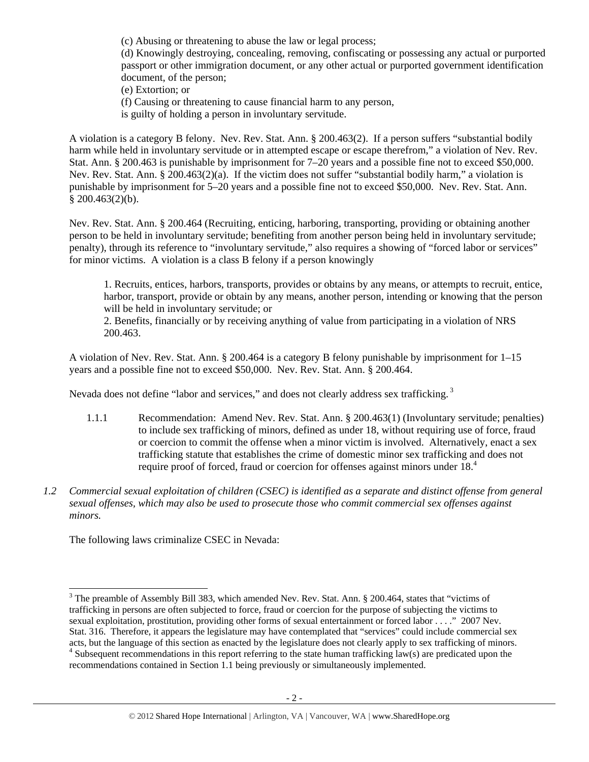(c) Abusing or threatening to abuse the law or legal process;

(d) Knowingly destroying, concealing, removing, confiscating or possessing any actual or purported passport or other immigration document, or any other actual or purported government identification document, of the person;

(e) Extortion; or

(f) Causing or threatening to cause financial harm to any person,

is guilty of holding a person in involuntary servitude.

A violation is a category B felony. Nev. Rev. Stat. Ann. § 200.463(2). If a person suffers "substantial bodily harm while held in involuntary servitude or in attempted escape or escape therefrom," a violation of Nev. Rev. Stat. Ann. § 200.463 is punishable by imprisonment for 7–20 years and a possible fine not to exceed \$50,000. Nev. Rev. Stat. Ann. § 200.463(2)(a). If the victim does not suffer "substantial bodily harm," a violation is punishable by imprisonment for 5–20 years and a possible fine not to exceed \$50,000. Nev. Rev. Stat. Ann.  $$200.463(2)(b).$ 

Nev. Rev. Stat. Ann. § 200.464 (Recruiting, enticing, harboring, transporting, providing or obtaining another person to be held in involuntary servitude; benefiting from another person being held in involuntary servitude; penalty), through its reference to "involuntary servitude," also requires a showing of "forced labor or services" for minor victims. A violation is a class B felony if a person knowingly

1. Recruits, entices, harbors, transports, provides or obtains by any means, or attempts to recruit, entice, harbor, transport, provide or obtain by any means, another person, intending or knowing that the person will be held in involuntary servitude; or

2. Benefits, financially or by receiving anything of value from participating in a violation of NRS 200.463.

A violation of Nev. Rev. Stat. Ann. § 200.464 is a category B felony punishable by imprisonment for 1–15 years and a possible fine not to exceed \$50,000. Nev. Rev. Stat. Ann. § 200.464.

Nevada does not define "labor and services," and does not clearly address sex trafficking.<sup>3</sup>

- 1.1.1 Recommendation: Amend Nev. Rev. Stat. Ann. § 200.463(1) (Involuntary servitude; penalties) to include sex trafficking of minors, defined as under 18, without requiring use of force, fraud or coercion to commit the offense when a minor victim is involved. Alternatively, enact a sex trafficking statute that establishes the crime of domestic minor sex trafficking and does not require proof of forced, fraud or coercion for offenses against minors under 18.<sup>4</sup>
- *1.2 Commercial sexual exploitation of children (CSEC) is identified as a separate and distinct offense from general sexual offenses, which may also be used to prosecute those who commit commercial sex offenses against minors.*

The following laws criminalize CSEC in Nevada:

 $\overline{a}$ <sup>3</sup> The preamble of Assembly Bill 383, which amended Nev. Rev. Stat. Ann. § 200.464, states that "victims of trafficking in persons are often subjected to force, fraud or coercion for the purpose of subjecting the victims to sexual exploitation, prostitution, providing other forms of sexual entertainment or forced labor . . . ." 2007 Nev. Stat. 316. Therefore, it appears the legislature may have contemplated that "services" could include commercial sex acts, but the language of this section as enacted by the legislature does not clearly apply to sex trafficking of minors. <sup>4</sup> Subsequent recommendations in this report referring to the state human trafficking law(s) are predicated upon the recommendations contained in Section 1.1 being previously or simultaneously implemented.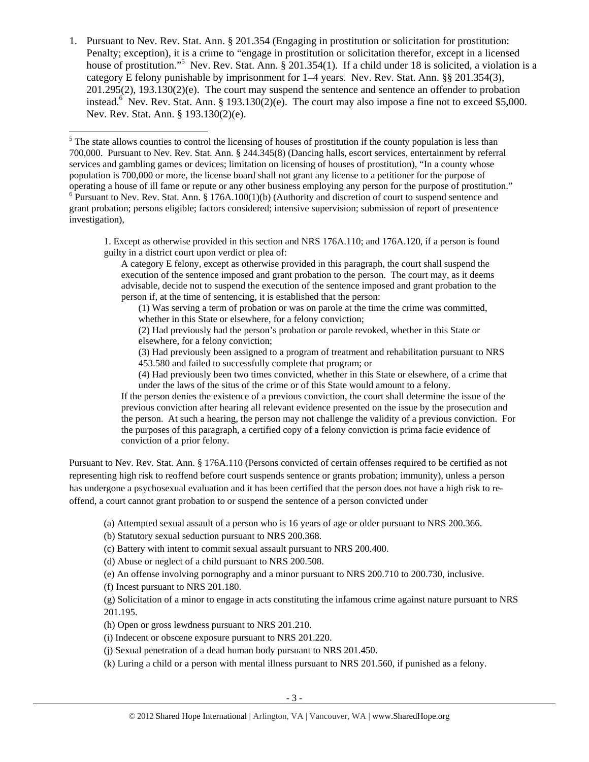1. Pursuant to Nev. Rev. Stat. Ann. § 201.354 (Engaging in prostitution or solicitation for prostitution: Penalty; exception), it is a crime to "engage in prostitution or solicitation therefor, except in a licensed house of prostitution."<sup>5</sup> Nev. Rev. Stat. Ann. § 201.354(1). If a child under 18 is solicited, a violation is a category E felony punishable by imprisonment for 1–4 years. Nev. Rev. Stat. Ann. §§ 201.354(3), 201.295(2), 193.130(2)(e). The court may suspend the sentence and sentence an offender to probation instead.<sup>6</sup> Nev. Rev. Stat. Ann. § 193.130(2)(e). The court may also impose a fine not to exceed \$5,000. Nev. Rev. Stat. Ann. § 193.130(2)(e).

1. Except as otherwise provided in this section and NRS 176A.110; and 176A.120, if a person is found guilty in a district court upon verdict or plea of:

A category E felony, except as otherwise provided in this paragraph, the court shall suspend the execution of the sentence imposed and grant probation to the person. The court may, as it deems advisable, decide not to suspend the execution of the sentence imposed and grant probation to the person if, at the time of sentencing, it is established that the person:

(1) Was serving a term of probation or was on parole at the time the crime was committed, whether in this State or elsewhere, for a felony conviction;

(2) Had previously had the person's probation or parole revoked, whether in this State or elsewhere, for a felony conviction;

(3) Had previously been assigned to a program of treatment and rehabilitation pursuant to NRS 453.580 and failed to successfully complete that program; or

(4) Had previously been two times convicted, whether in this State or elsewhere, of a crime that under the laws of the situs of the crime or of this State would amount to a felony.

If the person denies the existence of a previous conviction, the court shall determine the issue of the previous conviction after hearing all relevant evidence presented on the issue by the prosecution and the person. At such a hearing, the person may not challenge the validity of a previous conviction. For the purposes of this paragraph, a certified copy of a felony conviction is prima facie evidence of conviction of a prior felony.

Pursuant to Nev. Rev. Stat. Ann. § 176A.110 (Persons convicted of certain offenses required to be certified as not representing high risk to reoffend before court suspends sentence or grants probation; immunity), unless a person has undergone a psychosexual evaluation and it has been certified that the person does not have a high risk to reoffend, a court cannot grant probation to or suspend the sentence of a person convicted under

(a) Attempted sexual assault of a person who is 16 years of age or older pursuant to NRS 200.366.

(b) Statutory sexual seduction pursuant to NRS 200.368.

(c) Battery with intent to commit sexual assault pursuant to NRS 200.400.

(d) Abuse or neglect of a child pursuant to NRS 200.508.

(e) An offense involving pornography and a minor pursuant to NRS 200.710 to 200.730, inclusive.

(f) Incest pursuant to NRS 201.180.

(g) Solicitation of a minor to engage in acts constituting the infamous crime against nature pursuant to NRS 201.195.

(h) Open or gross lewdness pursuant to NRS 201.210.

(i) Indecent or obscene exposure pursuant to NRS 201.220.

(j) Sexual penetration of a dead human body pursuant to NRS 201.450.

(k) Luring a child or a person with mental illness pursuant to NRS 201.560, if punished as a felony.

 $\overline{a}$  $<sup>5</sup>$  The state allows counties to control the licensing of houses of prostitution if the county population is less than</sup> 700,000. Pursuant to Nev. Rev. Stat. Ann. § 244.345(8) (Dancing halls, escort services, entertainment by referral services and gambling games or devices; limitation on licensing of houses of prostitution), "In a county whose population is 700,000 or more, the license board shall not grant any license to a petitioner for the purpose of operating a house of ill fame or repute or any other business employing any person for the purpose of prostitution." 6  $6$  Pursuant to Nev. Rev. Stat. Ann. § 176A.100(1)(b) (Authority and discretion of court to suspend sentence and grant probation; persons eligible; factors considered; intensive supervision; submission of report of presentence investigation),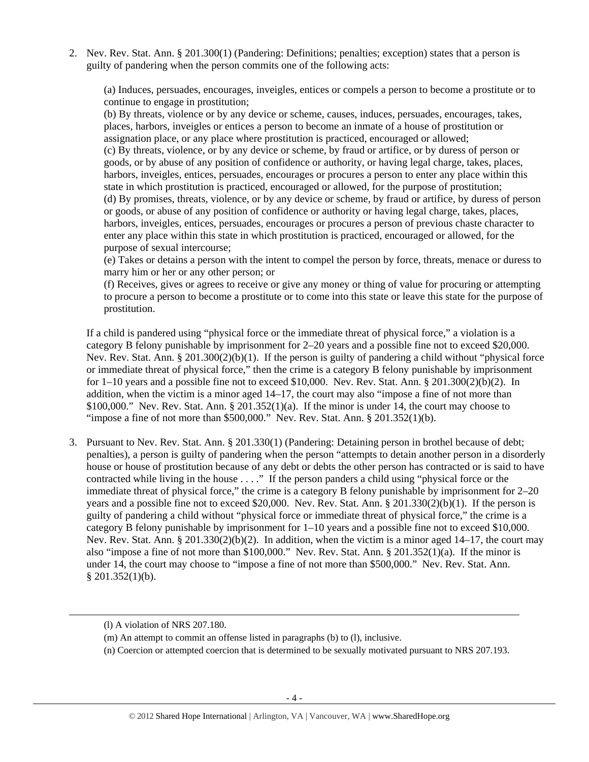2. Nev. Rev. Stat. Ann. § 201.300(1) (Pandering: Definitions; penalties; exception) states that a person is guilty of pandering when the person commits one of the following acts:

(a) Induces, persuades, encourages, inveigles, entices or compels a person to become a prostitute or to continue to engage in prostitution;

(b) By threats, violence or by any device or scheme, causes, induces, persuades, encourages, takes, places, harbors, inveigles or entices a person to become an inmate of a house of prostitution or assignation place, or any place where prostitution is practiced, encouraged or allowed;

(c) By threats, violence, or by any device or scheme, by fraud or artifice, or by duress of person or goods, or by abuse of any position of confidence or authority, or having legal charge, takes, places, harbors, inveigles, entices, persuades, encourages or procures a person to enter any place within this state in which prostitution is practiced, encouraged or allowed, for the purpose of prostitution; (d) By promises, threats, violence, or by any device or scheme, by fraud or artifice, by duress of person or goods, or abuse of any position of confidence or authority or having legal charge, takes, places, harbors, inveigles, entices, persuades, encourages or procures a person of previous chaste character to enter any place within this state in which prostitution is practiced, encouraged or allowed, for the purpose of sexual intercourse;

(e) Takes or detains a person with the intent to compel the person by force, threats, menace or duress to marry him or her or any other person; or

(f) Receives, gives or agrees to receive or give any money or thing of value for procuring or attempting to procure a person to become a prostitute or to come into this state or leave this state for the purpose of prostitution.

If a child is pandered using "physical force or the immediate threat of physical force," a violation is a category B felony punishable by imprisonment for 2–20 years and a possible fine not to exceed \$20,000. Nev. Rev. Stat. Ann. § 201.300(2)(b)(1). If the person is guilty of pandering a child without "physical force or immediate threat of physical force," then the crime is a category B felony punishable by imprisonment for  $1-10$  years and a possible fine not to exceed \$10,000. Nev. Rev. Stat. Ann. § 201.300(2)(b)(2). In addition, when the victim is a minor aged 14–17, the court may also "impose a fine of not more than \$100,000." Nev. Rev. Stat. Ann.  $\S 201.352(1)(a)$ . If the minor is under 14, the court may choose to "impose a fine of not more than  $$500,000."$  Nev. Rev. Stat. Ann.  $$201.352(1)(b).$ 

3. Pursuant to Nev. Rev. Stat. Ann. § 201.330(1) (Pandering: Detaining person in brothel because of debt; penalties), a person is guilty of pandering when the person "attempts to detain another person in a disorderly house or house of prostitution because of any debt or debts the other person has contracted or is said to have contracted while living in the house . . . ." If the person panders a child using "physical force or the immediate threat of physical force," the crime is a category B felony punishable by imprisonment for 2–20 years and a possible fine not to exceed \$20,000. Nev. Rev. Stat. Ann. § 201.330(2)(b)(1). If the person is guilty of pandering a child without "physical force or immediate threat of physical force," the crime is a category B felony punishable by imprisonment for  $1-10$  years and a possible fine not to exceed \$10,000. Nev. Rev. Stat. Ann. § 201.330(2)(b)(2). In addition, when the victim is a minor aged 14–17, the court may also "impose a fine of not more than \$100,000." Nev. Rev. Stat. Ann. § 201.352(1)(a). If the minor is under 14, the court may choose to "impose a fine of not more than \$500,000." Nev. Rev. Stat. Ann. § 201.352(1)(b).

<sup>(</sup>l) A violation of NRS 207.180.

<sup>(</sup>m) An attempt to commit an offense listed in paragraphs (b) to (l), inclusive.

<sup>(</sup>n) Coercion or attempted coercion that is determined to be sexually motivated pursuant to NRS 207.193.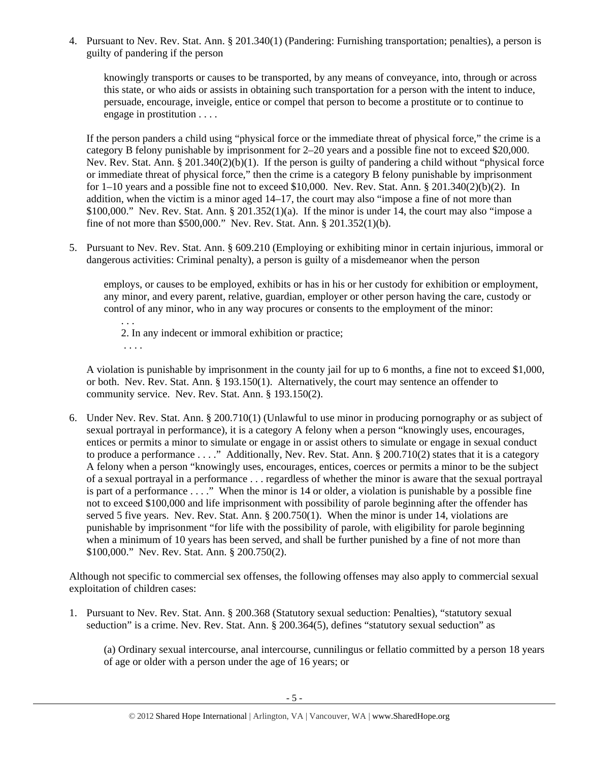4. Pursuant to Nev. Rev. Stat. Ann. § 201.340(1) (Pandering: Furnishing transportation; penalties), a person is guilty of pandering if the person

knowingly transports or causes to be transported, by any means of conveyance, into, through or across this state, or who aids or assists in obtaining such transportation for a person with the intent to induce, persuade, encourage, inveigle, entice or compel that person to become a prostitute or to continue to engage in prostitution . . . .

If the person panders a child using "physical force or the immediate threat of physical force," the crime is a category B felony punishable by imprisonment for 2–20 years and a possible fine not to exceed \$20,000. Nev. Rev. Stat. Ann. § 201.340(2)(b)(1). If the person is guilty of pandering a child without "physical force or immediate threat of physical force," then the crime is a category B felony punishable by imprisonment for 1–10 years and a possible fine not to exceed \$10,000. Nev. Rev. Stat. Ann. § 201.340(2)(b)(2). In addition, when the victim is a minor aged 14–17, the court may also "impose a fine of not more than  $$100,000."$  Nev. Rev. Stat. Ann.  $$201.352(1)(a)$ . If the minor is under 14, the court may also "impose a fine of not more than \$500,000." Nev. Rev. Stat. Ann. § 201.352(1)(b).

5. Pursuant to Nev. Rev. Stat. Ann. § 609.210 (Employing or exhibiting minor in certain injurious, immoral or dangerous activities: Criminal penalty), a person is guilty of a misdemeanor when the person

employs, or causes to be employed, exhibits or has in his or her custody for exhibition or employment, any minor, and every parent, relative, guardian, employer or other person having the care, custody or control of any minor, who in any way procures or consents to the employment of the minor:

. . . 2. In any indecent or immoral exhibition or practice; . . . .

A violation is punishable by imprisonment in the county jail for up to 6 months, a fine not to exceed \$1,000, or both. Nev. Rev. Stat. Ann. § 193.150(1). Alternatively, the court may sentence an offender to community service. Nev. Rev. Stat. Ann. § 193.150(2).

6. Under Nev. Rev. Stat. Ann. § 200.710(1) (Unlawful to use minor in producing pornography or as subject of sexual portrayal in performance), it is a category A felony when a person "knowingly uses, encourages, entices or permits a minor to simulate or engage in or assist others to simulate or engage in sexual conduct to produce a performance . . . ." Additionally, Nev. Rev. Stat. Ann. § 200.710(2) states that it is a category A felony when a person "knowingly uses, encourages, entices, coerces or permits a minor to be the subject of a sexual portrayal in a performance . . . regardless of whether the minor is aware that the sexual portrayal is part of a performance . . . ." When the minor is 14 or older, a violation is punishable by a possible fine not to exceed \$100,000 and life imprisonment with possibility of parole beginning after the offender has served 5 five years. Nev. Rev. Stat. Ann. § 200.750(1). When the minor is under 14, violations are punishable by imprisonment "for life with the possibility of parole, with eligibility for parole beginning when a minimum of 10 years has been served, and shall be further punished by a fine of not more than \$100,000." Nev. Rev. Stat. Ann. § 200.750(2).

Although not specific to commercial sex offenses, the following offenses may also apply to commercial sexual exploitation of children cases:

1. Pursuant to Nev. Rev. Stat. Ann. § 200.368 (Statutory sexual seduction: Penalties), "statutory sexual seduction" is a crime. Nev. Rev. Stat. Ann. § 200.364(5), defines "statutory sexual seduction" as

(a) Ordinary sexual intercourse, anal intercourse, cunnilingus or fellatio committed by a person 18 years of age or older with a person under the age of 16 years; or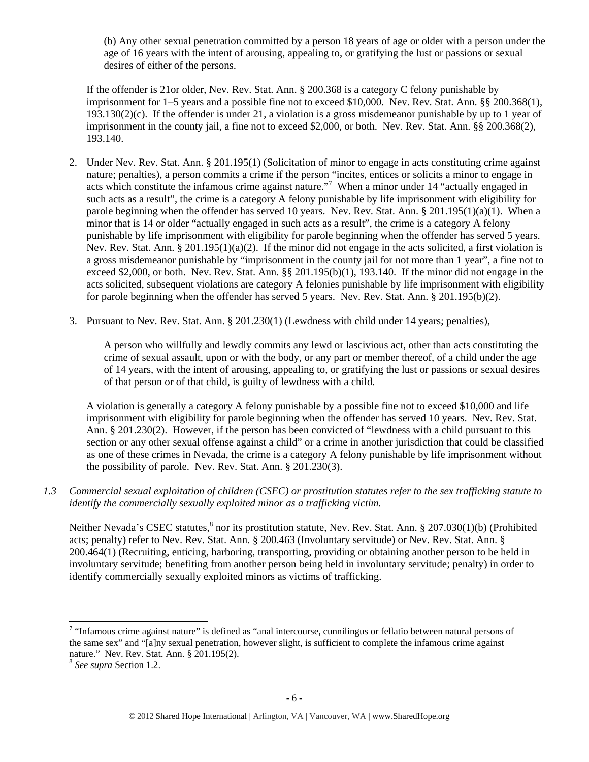(b) Any other sexual penetration committed by a person 18 years of age or older with a person under the age of 16 years with the intent of arousing, appealing to, or gratifying the lust or passions or sexual desires of either of the persons.

If the offender is 21or older, Nev. Rev. Stat. Ann. § 200.368 is a category C felony punishable by imprisonment for 1–5 years and a possible fine not to exceed \$10,000. Nev. Rev. Stat. Ann. §§ 200.368(1), 193.130(2)(c). If the offender is under 21, a violation is a gross misdemeanor punishable by up to 1 year of imprisonment in the county jail, a fine not to exceed \$2,000, or both. Nev. Rev. Stat. Ann. §§ 200.368(2), 193.140.

- 2. Under Nev. Rev. Stat. Ann. § 201.195(1) (Solicitation of minor to engage in acts constituting crime against nature; penalties), a person commits a crime if the person "incites, entices or solicits a minor to engage in acts which constitute the infamous crime against nature."<sup>7</sup> When a minor under 14 "actually engaged in such acts as a result", the crime is a category A felony punishable by life imprisonment with eligibility for parole beginning when the offender has served 10 years. Nev. Rev. Stat. Ann. § 201.195(1)(a)(1). When a minor that is 14 or older "actually engaged in such acts as a result", the crime is a category A felony punishable by life imprisonment with eligibility for parole beginning when the offender has served 5 years. Nev. Rev. Stat. Ann. § 201.195(1)(a)(2). If the minor did not engage in the acts solicited, a first violation is a gross misdemeanor punishable by "imprisonment in the county jail for not more than 1 year", a fine not to exceed \$2,000, or both. Nev. Rev. Stat. Ann. §§ 201.195(b)(1), 193.140. If the minor did not engage in the acts solicited, subsequent violations are category A felonies punishable by life imprisonment with eligibility for parole beginning when the offender has served 5 years. Nev. Rev. Stat. Ann. § 201.195(b)(2).
- 3. Pursuant to Nev. Rev. Stat. Ann. § 201.230(1) (Lewdness with child under 14 years; penalties),

A person who willfully and lewdly commits any lewd or lascivious act, other than acts constituting the crime of sexual assault, upon or with the body, or any part or member thereof, of a child under the age of 14 years, with the intent of arousing, appealing to, or gratifying the lust or passions or sexual desires of that person or of that child, is guilty of lewdness with a child.

A violation is generally a category A felony punishable by a possible fine not to exceed \$10,000 and life imprisonment with eligibility for parole beginning when the offender has served 10 years. Nev. Rev. Stat. Ann. § 201.230(2). However, if the person has been convicted of "lewdness with a child pursuant to this section or any other sexual offense against a child" or a crime in another jurisdiction that could be classified as one of these crimes in Nevada, the crime is a category A felony punishable by life imprisonment without the possibility of parole. Nev. Rev. Stat. Ann. § 201.230(3).

*1.3 Commercial sexual exploitation of children (CSEC) or prostitution statutes refer to the sex trafficking statute to identify the commercially sexually exploited minor as a trafficking victim.* 

Neither Nevada's CSEC statutes,<sup>8</sup> nor its prostitution statute, Nev. Rev. Stat. Ann. § 207.030(1)(b) (Prohibited acts; penalty) refer to Nev. Rev. Stat. Ann. § 200.463 (Involuntary servitude) or Nev. Rev. Stat. Ann. § 200.464(1) (Recruiting, enticing, harboring, transporting, providing or obtaining another person to be held in involuntary servitude; benefiting from another person being held in involuntary servitude; penalty) in order to identify commercially sexually exploited minors as victims of trafficking.

 $7$  "Infamous crime against nature" is defined as "anal intercourse, cunnilingus or fellatio between natural persons of the same sex" and "[a]ny sexual penetration, however slight, is sufficient to complete the infamous crime against nature." Nev. Rev. Stat. Ann. § 201.195(2).

<sup>8</sup> *See supra* Section 1.2.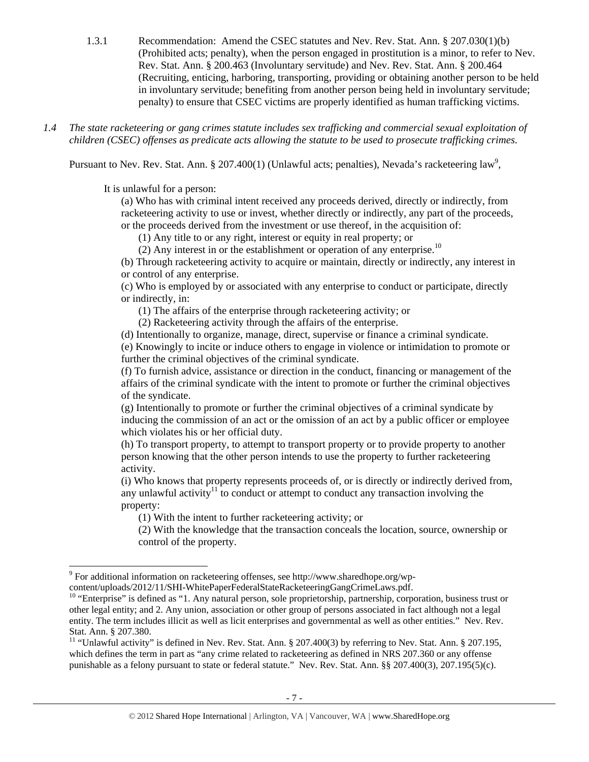- 1.3.1 Recommendation: Amend the CSEC statutes and Nev. Rev. Stat. Ann. § 207.030(1)(b) (Prohibited acts; penalty), when the person engaged in prostitution is a minor, to refer to Nev. Rev. Stat. Ann. § 200.463 (Involuntary servitude) and Nev. Rev. Stat. Ann. § 200.464 (Recruiting, enticing, harboring, transporting, providing or obtaining another person to be held in involuntary servitude; benefiting from another person being held in involuntary servitude; penalty) to ensure that CSEC victims are properly identified as human trafficking victims.
- *1.4 The state racketeering or gang crimes statute includes sex trafficking and commercial sexual exploitation of children (CSEC) offenses as predicate acts allowing the statute to be used to prosecute trafficking crimes.*

Pursuant to Nev. Rev. Stat. Ann.  $\S 207.400(1)$  (Unlawful acts; penalties), Nevada's racketeering law<sup>9</sup>,

It is unlawful for a person:

 $\overline{a}$ 

(a) Who has with criminal intent received any proceeds derived, directly or indirectly, from racketeering activity to use or invest, whether directly or indirectly, any part of the proceeds, or the proceeds derived from the investment or use thereof, in the acquisition of:

(1) Any title to or any right, interest or equity in real property; or

(2) Any interest in or the establishment or operation of any enterprise.<sup>10</sup>

(b) Through racketeering activity to acquire or maintain, directly or indirectly, any interest in or control of any enterprise.

(c) Who is employed by or associated with any enterprise to conduct or participate, directly or indirectly, in:

(1) The affairs of the enterprise through racketeering activity; or

(2) Racketeering activity through the affairs of the enterprise.

(d) Intentionally to organize, manage, direct, supervise or finance a criminal syndicate.

(e) Knowingly to incite or induce others to engage in violence or intimidation to promote or further the criminal objectives of the criminal syndicate.

(f) To furnish advice, assistance or direction in the conduct, financing or management of the affairs of the criminal syndicate with the intent to promote or further the criminal objectives of the syndicate.

(g) Intentionally to promote or further the criminal objectives of a criminal syndicate by inducing the commission of an act or the omission of an act by a public officer or employee which violates his or her official duty.

(h) To transport property, to attempt to transport property or to provide property to another person knowing that the other person intends to use the property to further racketeering activity.

(i) Who knows that property represents proceeds of, or is directly or indirectly derived from, any unlawful activity<sup>11</sup> to conduct or attempt to conduct any transaction involving the property:

(1) With the intent to further racketeering activity; or

(2) With the knowledge that the transaction conceals the location, source, ownership or control of the property.

<sup>&</sup>lt;sup>9</sup> For additional information on racketeering offenses, see http://www.sharedhope.org/wp-

content/uploads/2012/11/SHI-WhitePaperFederalStateRacketeeringGangCrimeLaws.pdf. 10 "Enterprise" is defined as "1. Any natural person, sole proprietorship, partnership, corporation, business trust or other legal entity; and 2. Any union, association or other group of persons associated in fact although not a legal entity. The term includes illicit as well as licit enterprises and governmental as well as other entities." Nev. Rev. Stat. Ann. § 207.380.

<sup>&</sup>lt;sup>11</sup> "Unlawful activity" is defined in Nev. Rev. Stat. Ann. § 207.400(3) by referring to Nev. Stat. Ann. § 207.195, which defines the term in part as "any crime related to racketeering as defined in NRS 207.360 or any offense punishable as a felony pursuant to state or federal statute." Nev. Rev. Stat. Ann. §§ 207.400(3), 207.195(5)(c).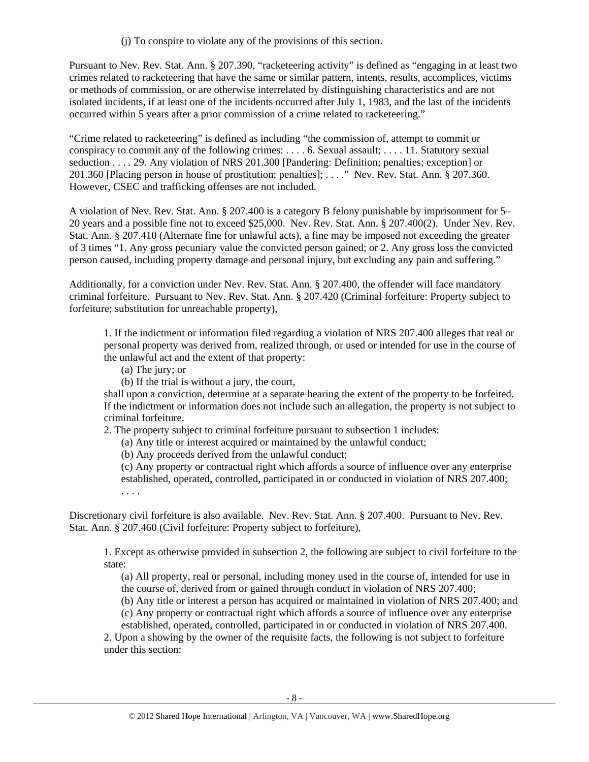(j) To conspire to violate any of the provisions of this section.

Pursuant to Nev. Rev. Stat. Ann. § 207.390, "racketeering activity" is defined as "engaging in at least two crimes related to racketeering that have the same or similar pattern, intents, results, accomplices, victims or methods of commission, or are otherwise interrelated by distinguishing characteristics and are not isolated incidents, if at least one of the incidents occurred after July 1, 1983, and the last of the incidents occurred within 5 years after a prior commission of a crime related to racketeering."

"Crime related to racketeering" is defined as including "the commission of, attempt to commit or conspiracy to commit any of the following crimes: . . . . 6. Sexual assault; . . . . 11. Statutory sexual seduction . . . . 29. Any violation of NRS 201.300 [Pandering: Definition; penalties; exception] or 201.360 [Placing person in house of prostitution; penalties]; . . . ." Nev. Rev. Stat. Ann. § 207.360. However, CSEC and trafficking offenses are not included.

A violation of Nev. Rev. Stat. Ann. § 207.400 is a category B felony punishable by imprisonment for 5– 20 years and a possible fine not to exceed \$25,000. Nev. Rev. Stat. Ann. § 207.400(2). Under Nev. Rev. Stat. Ann. § 207.410 (Alternate fine for unlawful acts), a fine may be imposed not exceeding the greater of 3 times "1. Any gross pecuniary value the convicted person gained; or 2. Any gross loss the convicted person caused, including property damage and personal injury, but excluding any pain and suffering."

Additionally, for a conviction under Nev. Rev. Stat. Ann. § 207.400, the offender will face mandatory criminal forfeiture. Pursuant to Nev. Rev. Stat. Ann. § 207.420 (Criminal forfeiture: Property subject to forfeiture; substitution for unreachable property),

1. If the indictment or information filed regarding a violation of NRS 207.400 alleges that real or personal property was derived from, realized through, or used or intended for use in the course of the unlawful act and the extent of that property:

(a) The jury; or

(b) If the trial is without a jury, the court,

shall upon a conviction, determine at a separate hearing the extent of the property to be forfeited. If the indictment or information does not include such an allegation, the property is not subject to criminal forfeiture.

2. The property subject to criminal forfeiture pursuant to subsection 1 includes:

(a) Any title or interest acquired or maintained by the unlawful conduct;

(b) Any proceeds derived from the unlawful conduct;

(c) Any property or contractual right which affords a source of influence over any enterprise established, operated, controlled, participated in or conducted in violation of NRS 207.400; . . . .

Discretionary civil forfeiture is also available. Nev. Rev. Stat. Ann. § 207.400. Pursuant to Nev. Rev. Stat. Ann. § 207.460 (Civil forfeiture: Property subject to forfeiture),

1. Except as otherwise provided in subsection 2, the following are subject to civil forfeiture to the state:

(a) All property, real or personal, including money used in the course of, intended for use in the course of, derived from or gained through conduct in violation of NRS 207.400;

(b) Any title or interest a person has acquired or maintained in violation of NRS 207.400; and

(c) Any property or contractual right which affords a source of influence over any enterprise

established, operated, controlled, participated in or conducted in violation of NRS 207.400.

2. Upon a showing by the owner of the requisite facts, the following is not subject to forfeiture under this section: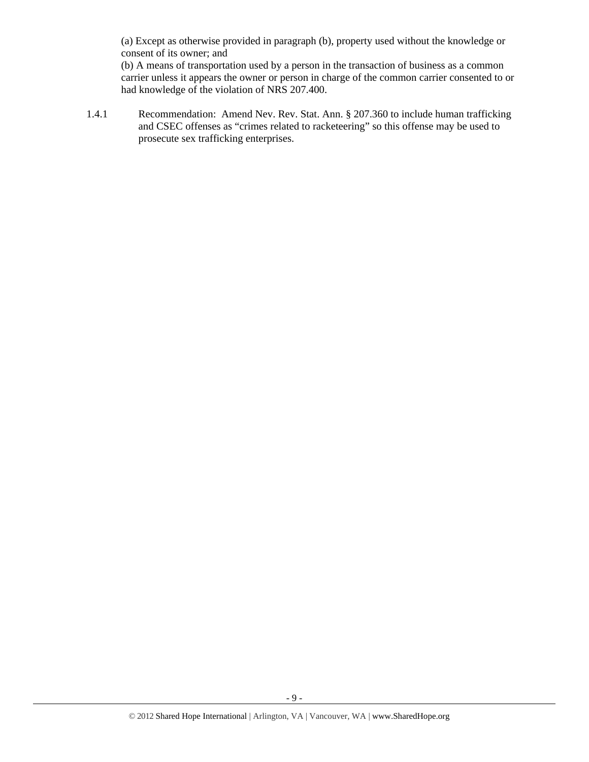(a) Except as otherwise provided in paragraph (b), property used without the knowledge or consent of its owner; and

(b) A means of transportation used by a person in the transaction of business as a common carrier unless it appears the owner or person in charge of the common carrier consented to or had knowledge of the violation of NRS 207.400.

1.4.1 Recommendation: Amend Nev. Rev. Stat. Ann. § 207.360 to include human trafficking and CSEC offenses as "crimes related to racketeering" so this offense may be used to prosecute sex trafficking enterprises.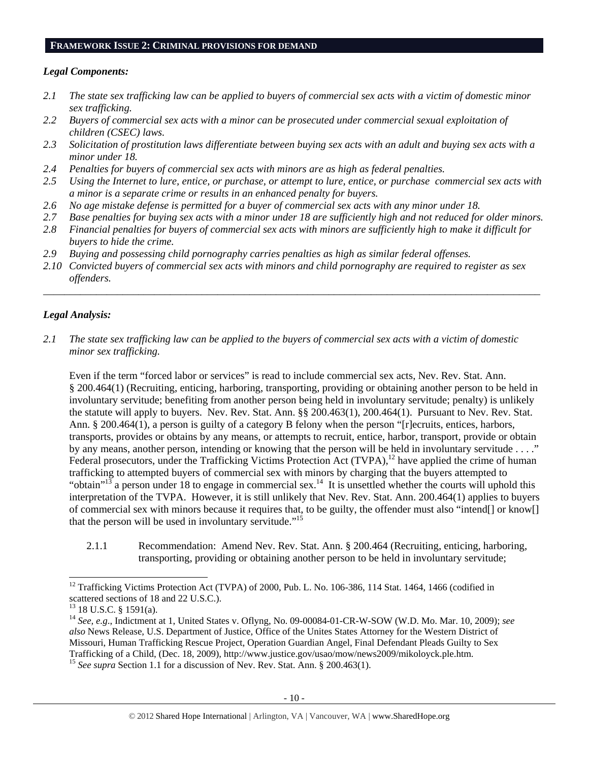#### **FRAMEWORK ISSUE 2: CRIMINAL PROVISIONS FOR DEMAND**

## *Legal Components:*

- *2.1 The state sex trafficking law can be applied to buyers of commercial sex acts with a victim of domestic minor sex trafficking.*
- *2.2 Buyers of commercial sex acts with a minor can be prosecuted under commercial sexual exploitation of children (CSEC) laws.*
- *2.3 Solicitation of prostitution laws differentiate between buying sex acts with an adult and buying sex acts with a minor under 18.*
- *2.4 Penalties for buyers of commercial sex acts with minors are as high as federal penalties.*
- *2.5 Using the Internet to lure, entice, or purchase, or attempt to lure, entice, or purchase commercial sex acts with a minor is a separate crime or results in an enhanced penalty for buyers.*
- *2.6 No age mistake defense is permitted for a buyer of commercial sex acts with any minor under 18.*
- *2.7 Base penalties for buying sex acts with a minor under 18 are sufficiently high and not reduced for older minors. 2.8 Financial penalties for buyers of commercial sex acts with minors are sufficiently high to make it difficult for*
- *buyers to hide the crime.*
- *2.9 Buying and possessing child pornography carries penalties as high as similar federal offenses.*
- *2.10 Convicted buyers of commercial sex acts with minors and child pornography are required to register as sex offenders.*

\_\_\_\_\_\_\_\_\_\_\_\_\_\_\_\_\_\_\_\_\_\_\_\_\_\_\_\_\_\_\_\_\_\_\_\_\_\_\_\_\_\_\_\_\_\_\_\_\_\_\_\_\_\_\_\_\_\_\_\_\_\_\_\_\_\_\_\_\_\_\_\_\_\_\_\_\_\_\_\_\_\_\_\_\_\_\_\_\_\_\_\_\_\_

# *Legal Analysis:*

*2.1 The state sex trafficking law can be applied to the buyers of commercial sex acts with a victim of domestic minor sex trafficking.*

Even if the term "forced labor or services" is read to include commercial sex acts, Nev. Rev. Stat. Ann. § 200.464(1) (Recruiting, enticing, harboring, transporting, providing or obtaining another person to be held in involuntary servitude; benefiting from another person being held in involuntary servitude; penalty) is unlikely the statute will apply to buyers. Nev. Rev. Stat. Ann. §§ 200.463(1), 200.464(1). Pursuant to Nev. Rev. Stat. Ann. § 200.464(1), a person is guilty of a category B felony when the person "[r] ecruits, entices, harbors, transports, provides or obtains by any means, or attempts to recruit, entice, harbor, transport, provide or obtain by any means, another person, intending or knowing that the person will be held in involuntary servitude . . . ." Federal prosecutors, under the Trafficking Victims Protection Act (TVPA),<sup>12</sup> have applied the crime of human trafficking to attempted buyers of commercial sex with minors by charging that the buyers attempted to "obtain"<sup>13</sup> a person under 18 to engage in commercial sex.<sup>14</sup> It is unsettled whether the courts will uphold this interpretation of the TVPA. However, it is still unlikely that Nev. Rev. Stat. Ann. 200.464(1) applies to buyers of commercial sex with minors because it requires that, to be guilty, the offender must also "intend[] or know[] that the person will be used in involuntary servitude."<sup>15</sup>

2.1.1 Recommendation: Amend Nev. Rev. Stat. Ann. § 200.464 (Recruiting, enticing, harboring, transporting, providing or obtaining another person to be held in involuntary servitude;

<sup>&</sup>lt;sup>12</sup> Trafficking Victims Protection Act (TVPA) of 2000, Pub. L. No. 106-386, 114 Stat. 1464, 1466 (codified in scattered sections of 18 and 22 U.S.C.).

<sup>13 18</sup> U.S.C. § 1591(a).

<sup>14</sup> *See, e.g*., Indictment at 1, United States v. Oflyng, No. 09-00084-01-CR-W-SOW (W.D. Mo. Mar. 10, 2009); *see also* News Release, U.S. Department of Justice, Office of the Unites States Attorney for the Western District of Missouri, Human Trafficking Rescue Project, Operation Guardian Angel, Final Defendant Pleads Guilty to Sex Trafficking of a Child, (Dec. 18, 2009), http://www.justice.gov/usao/mow/news2009/mikoloyck.ple.htm. 15 *See supra* Section 1.1 for a discussion of Nev. Rev. Stat. Ann. § 200.463(1).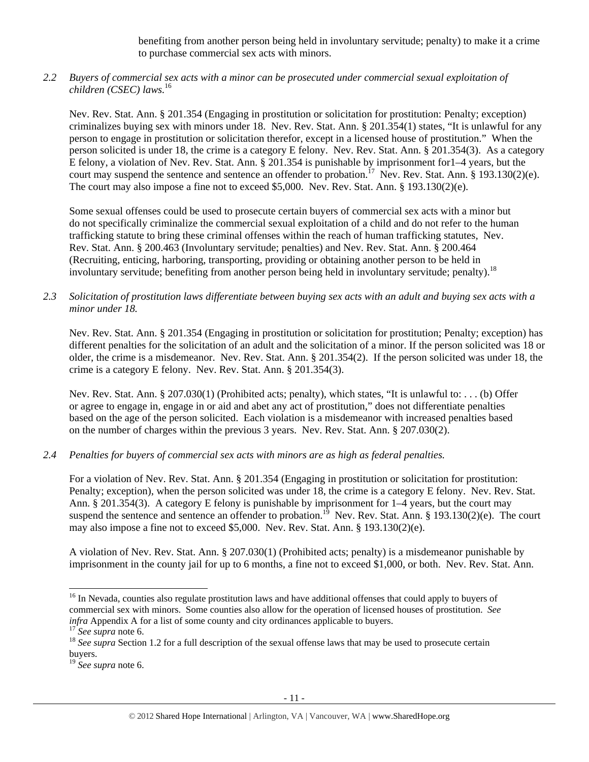benefiting from another person being held in involuntary servitude; penalty) to make it a crime to purchase commercial sex acts with minors.

*2.2 Buyers of commercial sex acts with a minor can be prosecuted under commercial sexual exploitation of children (CSEC) laws.*<sup>16</sup>

Nev. Rev. Stat. Ann. § 201.354 (Engaging in prostitution or solicitation for prostitution: Penalty; exception) criminalizes buying sex with minors under 18. Nev. Rev. Stat. Ann. § 201.354(1) states, "It is unlawful for any person to engage in prostitution or solicitation therefor, except in a licensed house of prostitution." When the person solicited is under 18, the crime is a category E felony. Nev. Rev. Stat. Ann. § 201.354(3). As a category E felony, a violation of Nev. Rev. Stat. Ann. § 201.354 is punishable by imprisonment for1–4 years, but the court may suspend the sentence and sentence an offender to probation.<sup>17</sup> Nev. Rev. Stat. Ann. § 193.130(2)(e). The court may also impose a fine not to exceed \$5,000. Nev. Rev. Stat. Ann. § 193.130(2)(e).

Some sexual offenses could be used to prosecute certain buyers of commercial sex acts with a minor but do not specifically criminalize the commercial sexual exploitation of a child and do not refer to the human trafficking statute to bring these criminal offenses within the reach of human trafficking statutes, Nev. Rev. Stat. Ann. § 200.463 (Involuntary servitude; penalties) and Nev. Rev. Stat. Ann. § 200.464 (Recruiting, enticing, harboring, transporting, providing or obtaining another person to be held in involuntary servitude; benefiting from another person being held in involuntary servitude; penalty).<sup>18</sup>

*2.3 Solicitation of prostitution laws differentiate between buying sex acts with an adult and buying sex acts with a minor under 18.* 

Nev. Rev. Stat. Ann. § 201.354 (Engaging in prostitution or solicitation for prostitution; Penalty; exception) has different penalties for the solicitation of an adult and the solicitation of a minor. If the person solicited was 18 or older, the crime is a misdemeanor. Nev. Rev. Stat. Ann. § 201.354(2). If the person solicited was under 18, the crime is a category E felony. Nev. Rev. Stat. Ann. § 201.354(3).

Nev. Rev. Stat. Ann. § 207.030(1) (Prohibited acts; penalty), which states, "It is unlawful to: . . . (b) Offer or agree to engage in, engage in or aid and abet any act of prostitution," does not differentiate penalties based on the age of the person solicited. Each violation is a misdemeanor with increased penalties based on the number of charges within the previous 3 years. Nev. Rev. Stat. Ann. § 207.030(2).

*2.4 Penalties for buyers of commercial sex acts with minors are as high as federal penalties.* 

For a violation of Nev. Rev. Stat. Ann. § 201.354 (Engaging in prostitution or solicitation for prostitution: Penalty; exception), when the person solicited was under 18, the crime is a category E felony. Nev. Rev. Stat. Ann. § 201.354(3). A category E felony is punishable by imprisonment for 1–4 years, but the court may suspend the sentence and sentence an offender to probation.<sup>19</sup> Nev. Rev. Stat. Ann. § 193.130(2)(e). The court may also impose a fine not to exceed \$5,000. Nev. Rev. Stat. Ann. § 193.130(2)(e).

A violation of Nev. Rev. Stat. Ann. § 207.030(1) (Prohibited acts; penalty) is a misdemeanor punishable by imprisonment in the county jail for up to 6 months, a fine not to exceed \$1,000, or both. Nev. Rev. Stat. Ann.

<sup>&</sup>lt;sup>16</sup> In Nevada, counties also regulate prostitution laws and have additional offenses that could apply to buyers of commercial sex with minors. Some counties also allow for the operation of licensed houses of prostitution. *See infra* Appendix A for a list of some county and city ordinances applicable to buyers.<br><sup>17</sup> See supra note 6.<br><sup>18</sup> See supra Section 1.2 for a full description of the sexual offense laws that may be used to prosecute cert

buyers.

<sup>19</sup> *See supra* note 6.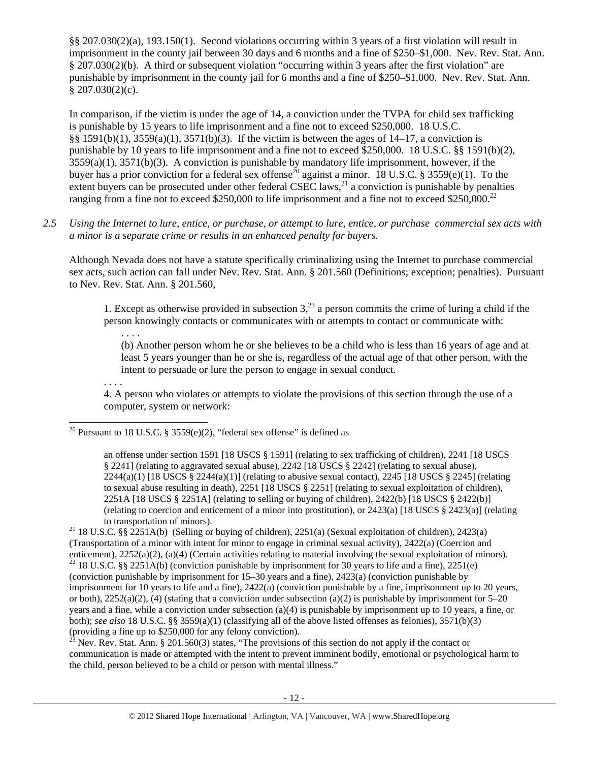§§ 207.030(2)(a), 193.150(1). Second violations occurring within 3 years of a first violation will result in imprisonment in the county jail between 30 days and 6 months and a fine of \$250–\$1,000. Nev. Rev. Stat. Ann. § 207.030(2)(b). A third or subsequent violation "occurring within 3 years after the first violation" are punishable by imprisonment in the county jail for 6 months and a fine of \$250–\$1,000. Nev. Rev. Stat. Ann.  $$207.030(2)(c).$ 

In comparison, if the victim is under the age of 14, a conviction under the TVPA for child sex trafficking is punishable by 15 years to life imprisonment and a fine not to exceed \$250,000. 18 U.S.C. §§ 1591(b)(1), 3559(a)(1), 3571(b)(3). If the victim is between the ages of 14–17, a conviction is punishable by 10 years to life imprisonment and a fine not to exceed \$250,000. 18 U.S.C. §§ 1591(b)(2),  $3559(a)(1)$ ,  $3571(b)(3)$ . A conviction is punishable by mandatory life imprisonment, however, if the buyer has a prior conviction for a federal sex offense<sup>20</sup> against a minor. 18 U.S.C. § 3559(e)(1). To the extent buyers can be prosecuted under other federal CSEC laws, $^{21}$  a conviction is punishable by penalties ranging from a fine not to exceed \$250,000 to life imprisonment and a fine not to exceed \$250,000.<sup>22</sup>

*2.5 Using the Internet to lure, entice, or purchase, or attempt to lure, entice, or purchase commercial sex acts with a minor is a separate crime or results in an enhanced penalty for buyers.* 

Although Nevada does not have a statute specifically criminalizing using the Internet to purchase commercial sex acts, such action can fall under Nev. Rev. Stat. Ann. § 201.560 (Definitions; exception; penalties). Pursuant to Nev. Rev. Stat. Ann. § 201.560,

1. Except as otherwise provided in subsection  $3<sup>23</sup>$  a person commits the crime of luring a child if the person knowingly contacts or communicates with or attempts to contact or communicate with:

. . . . (b) Another person whom he or she believes to be a child who is less than 16 years of age and at least 5 years younger than he or she is, regardless of the actual age of that other person, with the intent to persuade or lure the person to engage in sexual conduct.

. . . .

 $\overline{a}$ 

4. A person who violates or attempts to violate the provisions of this section through the use of a computer, system or network:

<sup>20</sup> Pursuant to 18 U.S.C. § 3559(e)(2), "federal sex offense" is defined as

an offense under section 1591 [18 USCS § 1591] (relating to sex trafficking of children), 2241 [18 USCS § 2241] (relating to aggravated sexual abuse), 2242 [18 USCS § 2242] (relating to sexual abuse),  $2244(a)(1)$  [18 USCS §  $2244(a)(1)$ ] (relating to abusive sexual contact),  $2245$  [18 USCS § 2245] (relating to sexual abuse resulting in death), 2251 [18 USCS § 2251] (relating to sexual exploitation of children), 2251A [18 USCS § 2251A] (relating to selling or buying of children), 2422(b) [18 USCS § 2422(b)] (relating to coercion and enticement of a minor into prostitution), or 2423(a) [18 USCS § 2423(a)] (relating

23 Nev. Rev. Stat. Ann. § 201.560(3) states, "The provisions of this section do not apply if the contact or communication is made or attempted with the intent to prevent imminent bodily, emotional or psychological harm to the child, person believed to be a child or person with mental illness."

to transportation of minors).<br><sup>21</sup> 18 U.S.C. §§ 2251A(b) (Selling or buying of children), 2251(a) (Sexual exploitation of children), 2423(a) (Transportation of a minor with intent for minor to engage in criminal sexual activity), 2422(a) (Coercion and enticement), 2252(a)(2), (a)(4) (Certain activities relating to material involving the sexual exploitation of minors). <sup>22</sup> 18 U.S.C. §§ 2251A(b) (conviction punishable by imprisonment for 30 years to life and a fine), 22

<sup>(</sup>conviction punishable by imprisonment for 15–30 years and a fine), 2423(a) (conviction punishable by imprisonment for 10 years to life and a fine), 2422(a) (conviction punishable by a fine, imprisonment up to 20 years, or both), 2252(a)(2), (4) (stating that a conviction under subsection (a)(2) is punishable by imprisonment for 5–20 years and a fine, while a conviction under subsection (a)(4) is punishable by imprisonment up to 10 years, a fine, or both); *see also* 18 U.S.C. §§ 3559(a)(1) (classifying all of the above listed offenses as felonies), 3571(b)(3) (providing a fine up to \$250,000 for any felony conviction).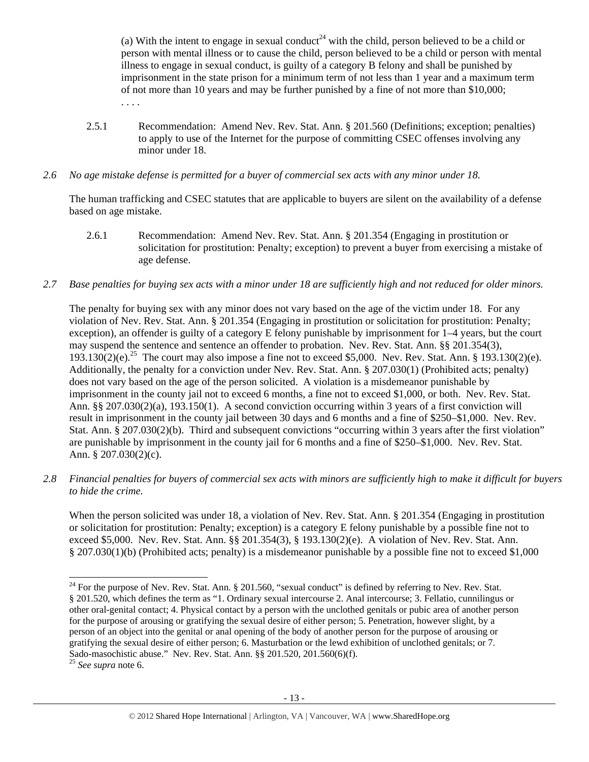(a) With the intent to engage in sexual conduct<sup>24</sup> with the child, person believed to be a child or person with mental illness or to cause the child, person believed to be a child or person with mental illness to engage in sexual conduct, is guilty of a category B felony and shall be punished by imprisonment in the state prison for a minimum term of not less than 1 year and a maximum term of not more than 10 years and may be further punished by a fine of not more than \$10,000; . . . .

- 2.5.1 Recommendation: Amend Nev. Rev. Stat. Ann. § 201.560 (Definitions; exception; penalties) to apply to use of the Internet for the purpose of committing CSEC offenses involving any minor under 18.
- *2.6 No age mistake defense is permitted for a buyer of commercial sex acts with any minor under 18.*

The human trafficking and CSEC statutes that are applicable to buyers are silent on the availability of a defense based on age mistake.

- 2.6.1 Recommendation: Amend Nev. Rev. Stat. Ann. § 201.354 (Engaging in prostitution or solicitation for prostitution: Penalty; exception) to prevent a buyer from exercising a mistake of age defense.
- *2.7 Base penalties for buying sex acts with a minor under 18 are sufficiently high and not reduced for older minors.*

The penalty for buying sex with any minor does not vary based on the age of the victim under 18. For any violation of Nev. Rev. Stat. Ann. § 201.354 (Engaging in prostitution or solicitation for prostitution: Penalty; exception), an offender is guilty of a category E felony punishable by imprisonment for 1–4 years, but the court may suspend the sentence and sentence an offender to probation. Nev. Rev. Stat. Ann. §§ 201.354(3), 193.130(2)(e).<sup>25</sup> The court may also impose a fine not to exceed \$5,000. Nev. Rev. Stat. Ann. § 193.130(2)(e). Additionally, the penalty for a conviction under Nev. Rev. Stat. Ann. § 207.030(1) (Prohibited acts; penalty) does not vary based on the age of the person solicited. A violation is a misdemeanor punishable by imprisonment in the county jail not to exceed 6 months, a fine not to exceed \$1,000, or both. Nev. Rev. Stat. Ann. §§ 207.030(2)(a), 193.150(1). A second conviction occurring within 3 years of a first conviction will result in imprisonment in the county jail between 30 days and 6 months and a fine of \$250–\$1,000. Nev. Rev. Stat. Ann. § 207.030(2)(b). Third and subsequent convictions "occurring within 3 years after the first violation" are punishable by imprisonment in the county jail for 6 months and a fine of \$250–\$1,000. Nev. Rev. Stat. Ann. § 207.030(2)(c).

*2.8 Financial penalties for buyers of commercial sex acts with minors are sufficiently high to make it difficult for buyers to hide the crime.* 

When the person solicited was under 18, a violation of Nev. Rev. Stat. Ann. § 201.354 (Engaging in prostitution or solicitation for prostitution: Penalty; exception) is a category E felony punishable by a possible fine not to exceed \$5,000. Nev. Rev. Stat. Ann. §§ 201.354(3), § 193.130(2)(e). A violation of Nev. Rev. Stat. Ann. § 207.030(1)(b) (Prohibited acts; penalty) is a misdemeanor punishable by a possible fine not to exceed \$1,000

 $\overline{a}$  $^{24}$  For the purpose of Nev. Rev. Stat. Ann. § 201.560, "sexual conduct" is defined by referring to Nev. Rev. Stat. § 201.520, which defines the term as "1. Ordinary sexual intercourse 2. Anal intercourse; 3. Fellatio, cunnilingus or other oral-genital contact; 4. Physical contact by a person with the unclothed genitals or pubic area of another person for the purpose of arousing or gratifying the sexual desire of either person; 5. Penetration, however slight, by a person of an object into the genital or anal opening of the body of another person for the purpose of arousing or gratifying the sexual desire of either person; 6. Masturbation or the lewd exhibition of unclothed genitals; or 7. Sado-masochistic abuse." Nev. Rev. Stat. Ann. §§ 201.520, 201.560(6)(f).

<sup>25</sup> *See supra* note 6.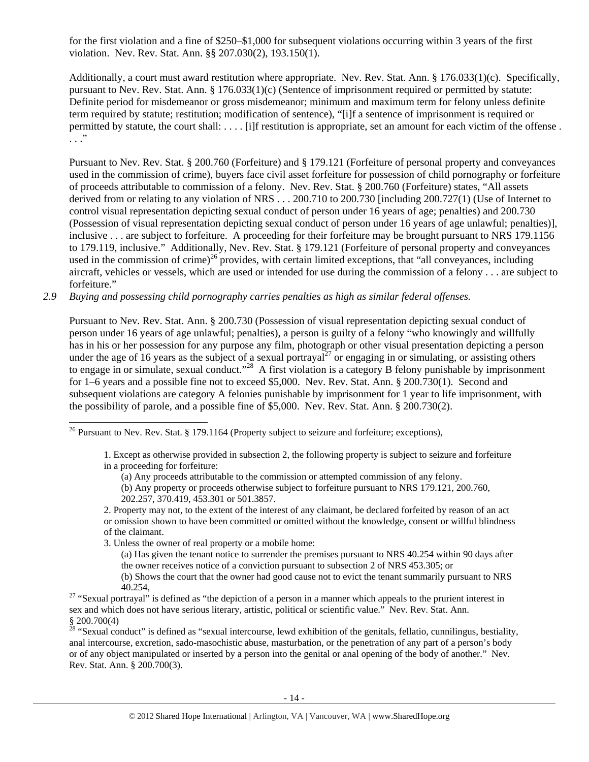for the first violation and a fine of \$250–\$1,000 for subsequent violations occurring within 3 years of the first violation. Nev. Rev. Stat. Ann. §§ 207.030(2), 193.150(1).

Additionally, a court must award restitution where appropriate. Nev. Rev. Stat. Ann. § 176.033(1)(c). Specifically, pursuant to Nev. Rev. Stat. Ann. § 176.033(1)(c) (Sentence of imprisonment required or permitted by statute: Definite period for misdemeanor or gross misdemeanor; minimum and maximum term for felony unless definite term required by statute; restitution; modification of sentence), "[i]f a sentence of imprisonment is required or permitted by statute, the court shall: . . . . [i]f restitution is appropriate, set an amount for each victim of the offense . . . ."

Pursuant to Nev. Rev. Stat. § 200.760 (Forfeiture) and § 179.121 (Forfeiture of personal property and conveyances used in the commission of crime), buyers face civil asset forfeiture for possession of child pornography or forfeiture of proceeds attributable to commission of a felony. Nev. Rev. Stat. § 200.760 (Forfeiture) states, "All assets derived from or relating to any violation of NRS . . . 200.710 to 200.730 [including 200.727(1) (Use of Internet to control visual representation depicting sexual conduct of person under 16 years of age; penalties) and 200.730 (Possession of visual representation depicting sexual conduct of person under 16 years of age unlawful; penalties)], inclusive . . . are subject to forfeiture. A proceeding for their forfeiture may be brought pursuant to NRS 179.1156 to 179.119, inclusive." Additionally, Nev. Rev. Stat. § 179.121 (Forfeiture of personal property and conveyances used in the commission of crime)<sup>26</sup> provides, with certain limited exceptions, that "all conveyances, including aircraft, vehicles or vessels, which are used or intended for use during the commission of a felony . . . are subject to forfeiture."

*2.9 Buying and possessing child pornography carries penalties as high as similar federal offenses.* 

Pursuant to Nev. Rev. Stat. Ann. § 200.730 (Possession of visual representation depicting sexual conduct of person under 16 years of age unlawful; penalties), a person is guilty of a felony "who knowingly and willfully has in his or her possession for any purpose any film, photograph or other visual presentation depicting a person under the age of 16 years as the subject of a sexual portrayal<sup>27</sup> or engaging in or simulating, or assisting others to engage in or simulate, sexual conduct."<sup>28</sup> A first violation is a category B felony punishable by imprisonment for 1–6 years and a possible fine not to exceed \$5,000. Nev. Rev. Stat. Ann. § 200.730(1). Second and subsequent violations are category A felonies punishable by imprisonment for 1 year to life imprisonment, with the possibility of parole, and a possible fine of \$5,000. Nev. Rev. Stat. Ann. § 200.730(2).

3. Unless the owner of real property or a mobile home:

 $\overline{a}$ 

(a) Has given the tenant notice to surrender the premises pursuant to NRS 40.254 within 90 days after the owner receives notice of a conviction pursuant to subsection 2 of NRS 453.305; or

<sup>&</sup>lt;sup>26</sup> Pursuant to Nev. Rev. Stat. § 179.1164 (Property subject to seizure and forfeiture; exceptions),

<sup>1.</sup> Except as otherwise provided in subsection 2, the following property is subject to seizure and forfeiture in a proceeding for forfeiture:

<sup>(</sup>a) Any proceeds attributable to the commission or attempted commission of any felony.

<sup>(</sup>b) Any property or proceeds otherwise subject to forfeiture pursuant to NRS 179.121, 200.760, 202.257, 370.419, 453.301 or 501.3857.

<sup>2.</sup> Property may not, to the extent of the interest of any claimant, be declared forfeited by reason of an act or omission shown to have been committed or omitted without the knowledge, consent or willful blindness of the claimant.

<sup>(</sup>b) Shows the court that the owner had good cause not to evict the tenant summarily pursuant to NRS

<sup>40.254, 40.254, 27 &</sup>quot;Sexual portrayal" is defined as "the depiction of a person in a manner which appeals to the prurient interest in sex and which does not have serious literary, artistic, political or scientific value." Nev. Rev. Stat. Ann. § 200.700(4)

 $28$  "Sexual conduct" is defined as "sexual intercourse, lewd exhibition of the genitals, fellatio, cunnilingus, bestiality, anal intercourse, excretion, sado-masochistic abuse, masturbation, or the penetration of any part of a person's body or of any object manipulated or inserted by a person into the genital or anal opening of the body of another." Nev. Rev. Stat. Ann. § 200.700(3).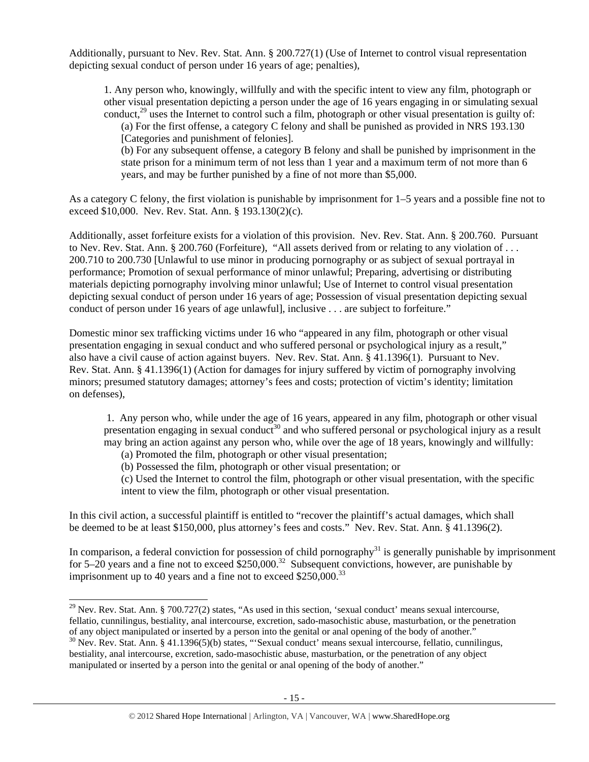Additionally, pursuant to Nev. Rev. Stat. Ann. § 200.727(1) (Use of Internet to control visual representation depicting sexual conduct of person under 16 years of age; penalties),

1. Any person who, knowingly, willfully and with the specific intent to view any film, photograph or other visual presentation depicting a person under the age of 16 years engaging in or simulating sexual conduct,<sup>29</sup> uses the Internet to control such a film, photograph or other visual presentation is guilty of:

(a) For the first offense, a category C felony and shall be punished as provided in NRS 193.130 [Categories and punishment of felonies].

(b) For any subsequent offense, a category B felony and shall be punished by imprisonment in the state prison for a minimum term of not less than 1 year and a maximum term of not more than 6 years, and may be further punished by a fine of not more than \$5,000.

As a category C felony, the first violation is punishable by imprisonment for 1–5 years and a possible fine not to exceed \$10,000. Nev. Rev. Stat. Ann. § 193.130(2)(c).

Additionally, asset forfeiture exists for a violation of this provision. Nev. Rev. Stat. Ann. § 200.760. Pursuant to Nev. Rev. Stat. Ann. § 200.760 (Forfeiture), "All assets derived from or relating to any violation of . . . 200.710 to 200.730 [Unlawful to use minor in producing pornography or as subject of sexual portrayal in performance; Promotion of sexual performance of minor unlawful; Preparing, advertising or distributing materials depicting pornography involving minor unlawful; Use of Internet to control visual presentation depicting sexual conduct of person under 16 years of age; Possession of visual presentation depicting sexual conduct of person under 16 years of age unlawful], inclusive . . . are subject to forfeiture."

Domestic minor sex trafficking victims under 16 who "appeared in any film, photograph or other visual presentation engaging in sexual conduct and who suffered personal or psychological injury as a result," also have a civil cause of action against buyers. Nev. Rev. Stat. Ann. § 41.1396(1). Pursuant to Nev. Rev. Stat. Ann. § 41.1396(1) (Action for damages for injury suffered by victim of pornography involving minors; presumed statutory damages; attorney's fees and costs; protection of victim's identity; limitation on defenses),

 1. Any person who, while under the age of 16 years, appeared in any film, photograph or other visual presentation engaging in sexual conduct<sup>30</sup> and who suffered personal or psychological injury as a result may bring an action against any person who, while over the age of 18 years, knowingly and willfully:

(a) Promoted the film, photograph or other visual presentation;

 $\overline{a}$ 

(b) Possessed the film, photograph or other visual presentation; or

(c) Used the Internet to control the film, photograph or other visual presentation, with the specific intent to view the film, photograph or other visual presentation.

In this civil action, a successful plaintiff is entitled to "recover the plaintiff's actual damages, which shall be deemed to be at least \$150,000, plus attorney's fees and costs." Nev. Rev. Stat. Ann. § 41.1396(2).

In comparison, a federal conviction for possession of child pornography<sup>31</sup> is generally punishable by imprisonment for 5–20 years and a fine not to exceed  $$250,000.<sup>32</sup>$  Subsequent convictions, however, are punishable by imprisonment up to 40 years and a fine not to exceed  $$250,000.<sup>33</sup>$ 

<sup>&</sup>lt;sup>29</sup> Nev. Rev. Stat. Ann. § 700.727(2) states, "As used in this section, 'sexual conduct' means sexual intercourse, fellatio, cunnilingus, bestiality, anal intercourse, excretion, sado-masochistic abuse, masturbation, or the penetration of any object manipulated or inserted by a person into the genital or anal opening of the body of another."

<sup>&</sup>lt;sup>30</sup> Nev. Rev. Stat. Ann. § 41.1396(5)(b) states, "'Sexual conduct' means sexual intercourse, fellatio, cunnilingus, bestiality, anal intercourse, excretion, sado-masochistic abuse, masturbation, or the penetration of any object manipulated or inserted by a person into the genital or anal opening of the body of another."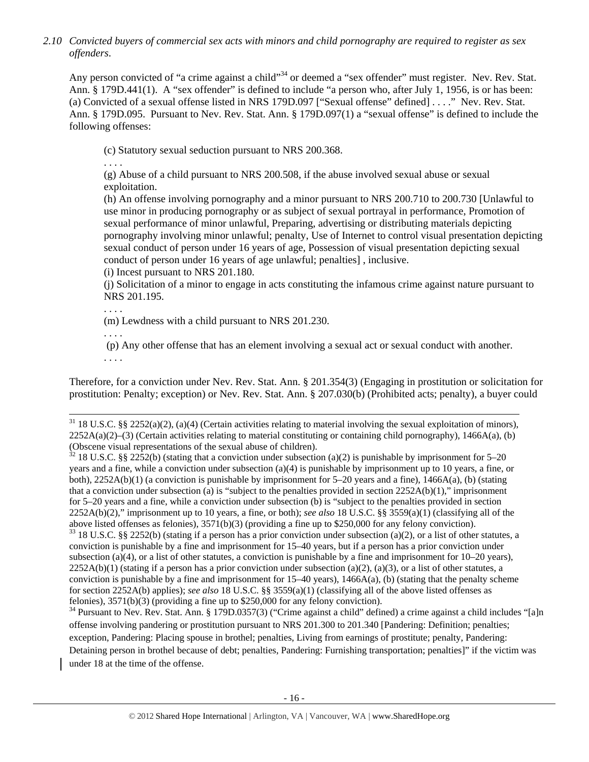*2.10 Convicted buyers of commercial sex acts with minors and child pornography are required to register as sex offenders*.

Any person convicted of "a crime against a child"<sup>34</sup> or deemed a "sex offender" must register. Nev. Rev. Stat. Ann. § 179D.441(1). A "sex offender" is defined to include "a person who, after July 1, 1956, is or has been: (a) Convicted of a sexual offense listed in NRS 179D.097 ["Sexual offense" defined] . . . ." Nev. Rev. Stat. Ann. § 179D.095. Pursuant to Nev. Rev. Stat. Ann. § 179D.097(1) a "sexual offense" is defined to include the following offenses:

(c) Statutory sexual seduction pursuant to NRS 200.368.

. . . .

(g) Abuse of a child pursuant to NRS 200.508, if the abuse involved sexual abuse or sexual exploitation.

(h) An offense involving pornography and a minor pursuant to NRS 200.710 to 200.730 [Unlawful to use minor in producing pornography or as subject of sexual portrayal in performance, Promotion of sexual performance of minor unlawful, Preparing, advertising or distributing materials depicting pornography involving minor unlawful; penalty, Use of Internet to control visual presentation depicting sexual conduct of person under 16 years of age, Possession of visual presentation depicting sexual conduct of person under 16 years of age unlawful; penalties] , inclusive.

(i) Incest pursuant to NRS 201.180.

(j) Solicitation of a minor to engage in acts constituting the infamous crime against nature pursuant to NRS 201.195.

. . . .

(m) Lewdness with a child pursuant to NRS 201.230.

. . . .

 (p) Any other offense that has an element involving a sexual act or sexual conduct with another. . . . .

Therefore, for a conviction under Nev. Rev. Stat. Ann. § 201.354(3) (Engaging in prostitution or solicitation for prostitution: Penalty; exception) or Nev. Rev. Stat. Ann. § 207.030(b) (Prohibited acts; penalty), a buyer could

 $32$  18 U.S.C. §§ 2252(b) (stating that a conviction under subsection (a)(2) is punishable by imprisonment for 5–20 years and a fine, while a conviction under subsection (a)(4) is punishable by imprisonment up to 10 years, a fine, or both),  $2252A(b)(1)$  (a conviction is punishable by imprisonment for 5–20 years and a fine),  $1466A(a)$ , (b) (stating that a conviction under subsection (a) is "subject to the penalties provided in section  $2252A(b)(1)$ ," imprisonment for 5–20 years and a fine, while a conviction under subsection (b) is "subject to the penalties provided in section 2252A(b)(2)," imprisonment up to 10 years, a fine, or both); *see also* 18 U.S.C. §§ 3559(a)(1) (classifying all of the above listed offenses as felonies), 3571(b)(3) (providing a fine up to \$250,000 for any felony conviction).  $33\,18$  U.S.C. §§ 2252(b) (stating if a person has a prior conviction under subsection (a)(2), or a list of other statutes, a conviction is punishable by a fine and imprisonment for 15–40 years, but if a person has a prior conviction under

subsection (a)(4), or a list of other statutes, a conviction is punishable by a fine and imprisonment for  $10-20$  years),  $2252A(b)(1)$  (stating if a person has a prior conviction under subsection (a)(2), (a)(3), or a list of other statutes, a conviction is punishable by a fine and imprisonment for  $15-40$  years),  $1466A(a)$ , (b) (stating that the penalty scheme for section 2252A(b) applies); *see also* 18 U.S.C. §§ 3559(a)(1) (classifying all of the above listed offenses as felonies), 3571(b)(3) (providing a fine up to \$250,000 for any felony conviction).

<sup>34</sup> Pursuant to Nev. Rev. Stat. Ann. § 179D.0357(3) ("Crime against a child" defined) a crime against a child includes "[a]n offense involving pandering or prostitution pursuant to NRS 201.300 to 201.340 [Pandering: Definition; penalties; exception, Pandering: Placing spouse in brothel; penalties, Living from earnings of prostitute; penalty, Pandering: Detaining person in brothel because of debt; penalties, Pandering: Furnishing transportation; penalties]" if the victim was under 18 at the time of the offense.

 $31\,18$  U.S.C. §§ 2252(a)(2), (a)(4) (Certain activities relating to material involving the sexual exploitation of minors),  $2252A(a)(2)$ –(3) (Certain activities relating to material constituting or containing child pornography), 1466A(a), (b) (Obscene visual representations of the sexual abuse of children).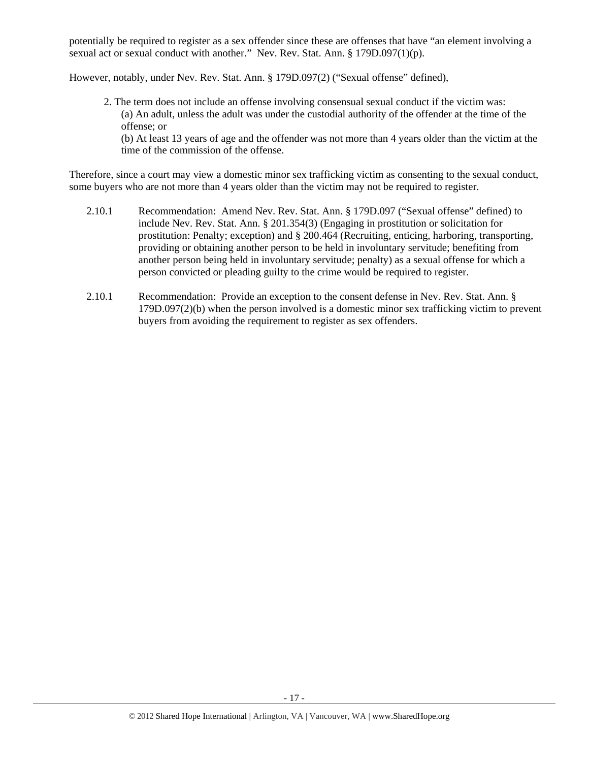potentially be required to register as a sex offender since these are offenses that have "an element involving a sexual act or sexual conduct with another." Nev. Rev. Stat. Ann. § 179D.097(1)(p).

However, notably, under Nev. Rev. Stat. Ann. § 179D.097(2) ("Sexual offense" defined),

2. The term does not include an offense involving consensual sexual conduct if the victim was: (a) An adult, unless the adult was under the custodial authority of the offender at the time of the offense; or (b) At least 13 years of age and the offender was not more than 4 years older than the victim at the

time of the commission of the offense.

Therefore, since a court may view a domestic minor sex trafficking victim as consenting to the sexual conduct, some buyers who are not more than 4 years older than the victim may not be required to register.

- 2.10.1 Recommendation: Amend Nev. Rev. Stat. Ann. § 179D.097 ("Sexual offense" defined) to include Nev. Rev. Stat. Ann. § 201.354(3) (Engaging in prostitution or solicitation for prostitution: Penalty; exception) and § 200.464 (Recruiting, enticing, harboring, transporting, providing or obtaining another person to be held in involuntary servitude; benefiting from another person being held in involuntary servitude; penalty) as a sexual offense for which a person convicted or pleading guilty to the crime would be required to register.
- 2.10.1 Recommendation: Provide an exception to the consent defense in Nev. Rev. Stat. Ann. § 179D.097(2)(b) when the person involved is a domestic minor sex trafficking victim to prevent buyers from avoiding the requirement to register as sex offenders.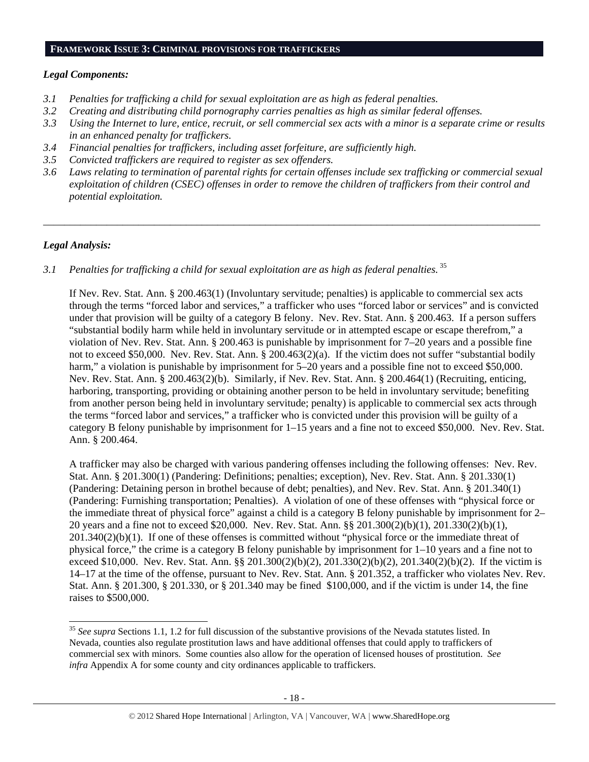#### **FRAMEWORK ISSUE 3: CRIMINAL PROVISIONS FOR TRAFFICKERS**

## *Legal Components:*

- *3.1 Penalties for trafficking a child for sexual exploitation are as high as federal penalties.*
- *3.2 Creating and distributing child pornography carries penalties as high as similar federal offenses.*
- *3.3 Using the Internet to lure, entice, recruit, or sell commercial sex acts with a minor is a separate crime or results in an enhanced penalty for traffickers.*
- *3.4 Financial penalties for traffickers, including asset forfeiture, are sufficiently high.*
- *3.5 Convicted traffickers are required to register as sex offenders.*
- *3.6 Laws relating to termination of parental rights for certain offenses include sex trafficking or commercial sexual exploitation of children (CSEC) offenses in order to remove the children of traffickers from their control and potential exploitation.*

*\_\_\_\_\_\_\_\_\_\_\_\_\_\_\_\_\_\_\_\_\_\_\_\_\_\_\_\_\_\_\_\_\_\_\_\_\_\_\_\_\_\_\_\_\_\_\_\_\_\_\_\_\_\_\_\_\_\_\_\_\_\_\_\_\_\_\_\_\_\_\_\_\_\_\_\_\_\_\_\_\_\_\_\_\_\_\_\_\_\_\_\_\_\_* 

# *Legal Analysis:*

 $\overline{a}$ 

# *3.1 Penalties for trafficking a child for sexual exploitation are as high as federal penalties.* <sup>35</sup>

If Nev. Rev. Stat. Ann. § 200.463(1) (Involuntary servitude; penalties) is applicable to commercial sex acts through the terms "forced labor and services," a trafficker who uses "forced labor or services" and is convicted under that provision will be guilty of a category B felony. Nev. Rev. Stat. Ann. § 200.463. If a person suffers "substantial bodily harm while held in involuntary servitude or in attempted escape or escape therefrom," a violation of Nev. Rev. Stat. Ann. § 200.463 is punishable by imprisonment for 7–20 years and a possible fine not to exceed \$50,000. Nev. Rev. Stat. Ann. § 200.463(2)(a). If the victim does not suffer "substantial bodily harm," a violation is punishable by imprisonment for  $5-20$  years and a possible fine not to exceed \$50,000. Nev. Rev. Stat. Ann. § 200.463(2)(b). Similarly, if Nev. Rev. Stat. Ann. § 200.464(1) (Recruiting, enticing, harboring, transporting, providing or obtaining another person to be held in involuntary servitude; benefiting from another person being held in involuntary servitude; penalty) is applicable to commercial sex acts through the terms "forced labor and services," a trafficker who is convicted under this provision will be guilty of a category B felony punishable by imprisonment for 1–15 years and a fine not to exceed \$50,000. Nev. Rev. Stat. Ann. § 200.464.

A trafficker may also be charged with various pandering offenses including the following offenses: Nev. Rev. Stat. Ann. § 201.300(1) (Pandering: Definitions; penalties; exception), Nev. Rev. Stat. Ann. § 201.330(1) (Pandering: Detaining person in brothel because of debt; penalties), and Nev. Rev. Stat. Ann. § 201.340(1) (Pandering: Furnishing transportation; Penalties). A violation of one of these offenses with "physical force or the immediate threat of physical force" against a child is a category B felony punishable by imprisonment for 2– 20 years and a fine not to exceed \$20,000. Nev. Rev. Stat. Ann. §§ 201.300(2)(b)(1), 201.330(2)(b)(1), 201.340(2)(b)(1). If one of these offenses is committed without "physical force or the immediate threat of physical force," the crime is a category B felony punishable by imprisonment for 1–10 years and a fine not to exceed \$10,000. Nev. Rev. Stat. Ann. §§ 201.300(2)(b)(2), 201.330(2)(b)(2), 201.340(2)(b)(2). If the victim is 14–17 at the time of the offense, pursuant to Nev. Rev. Stat. Ann. § 201.352, a trafficker who violates Nev. Rev. Stat. Ann. § 201.300, § 201.330, or § 201.340 may be fined \$100,000, and if the victim is under 14, the fine raises to \$500,000.

<sup>35</sup> *See supra* Sections 1.1, 1.2 for full discussion of the substantive provisions of the Nevada statutes listed. In Nevada, counties also regulate prostitution laws and have additional offenses that could apply to traffickers of commercial sex with minors. Some counties also allow for the operation of licensed houses of prostitution. *See infra* Appendix A for some county and city ordinances applicable to traffickers.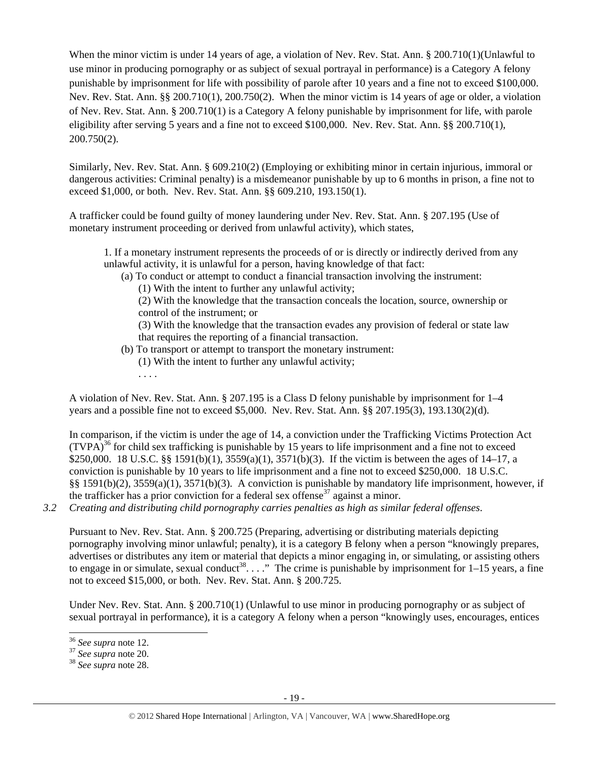When the minor victim is under 14 years of age, a violation of Nev. Rev. Stat. Ann. § 200.710(1)(Unlawful to use minor in producing pornography or as subject of sexual portrayal in performance) is a Category A felony punishable by imprisonment for life with possibility of parole after 10 years and a fine not to exceed \$100,000. Nev. Rev. Stat. Ann. §§ 200.710(1), 200.750(2). When the minor victim is 14 years of age or older, a violation of Nev. Rev. Stat. Ann. § 200.710(1) is a Category A felony punishable by imprisonment for life, with parole eligibility after serving 5 years and a fine not to exceed \$100,000. Nev. Rev. Stat. Ann. §§ 200.710(1), 200.750(2).

Similarly, Nev. Rev. Stat. Ann. § 609.210(2) (Employing or exhibiting minor in certain injurious, immoral or dangerous activities: Criminal penalty) is a misdemeanor punishable by up to 6 months in prison, a fine not to exceed \$1,000, or both. Nev. Rev. Stat. Ann. §§ 609.210, 193.150(1).

A trafficker could be found guilty of money laundering under Nev. Rev. Stat. Ann. § 207.195 (Use of monetary instrument proceeding or derived from unlawful activity), which states,

1. If a monetary instrument represents the proceeds of or is directly or indirectly derived from any unlawful activity, it is unlawful for a person, having knowledge of that fact:

(a) To conduct or attempt to conduct a financial transaction involving the instrument:

(1) With the intent to further any unlawful activity;

(2) With the knowledge that the transaction conceals the location, source, ownership or control of the instrument; or

(3) With the knowledge that the transaction evades any provision of federal or state law that requires the reporting of a financial transaction.

- (b) To transport or attempt to transport the monetary instrument:
	- (1) With the intent to further any unlawful activity;
	- . . . .

A violation of Nev. Rev. Stat. Ann. § 207.195 is a Class D felony punishable by imprisonment for 1–4 years and a possible fine not to exceed \$5,000. Nev. Rev. Stat. Ann. §§ 207.195(3), 193.130(2)(d).

In comparison, if the victim is under the age of 14, a conviction under the Trafficking Victims Protection Act  $(TVPA)^{36}$  for child sex trafficking is punishable by 15 years to life imprisonment and a fine not to exceed \$250,000. 18 U.S.C. §§ 1591(b)(1), 3559(a)(1), 3571(b)(3). If the victim is between the ages of 14–17, a conviction is punishable by 10 years to life imprisonment and a fine not to exceed \$250,000. 18 U.S.C. §§ 1591(b)(2), 3559(a)(1), 3571(b)(3). A conviction is punishable by mandatory life imprisonment, however, if the trafficker has a prior conviction for a federal sex offense<sup>37</sup> against a minor.

*3.2 Creating and distributing child pornography carries penalties as high as similar federal offenses*.

Pursuant to Nev. Rev. Stat. Ann. § 200.725 (Preparing, advertising or distributing materials depicting pornography involving minor unlawful; penalty), it is a category B felony when a person "knowingly prepares, advertises or distributes any item or material that depicts a minor engaging in, or simulating, or assisting others to engage in or simulate, sexual conduct<sup>38</sup>...." The crime is punishable by imprisonment for  $1-15$  years, a fine not to exceed \$15,000, or both. Nev. Rev. Stat. Ann. § 200.725.

Under Nev. Rev. Stat. Ann. § 200.710(1) (Unlawful to use minor in producing pornography or as subject of sexual portrayal in performance), it is a category A felony when a person "knowingly uses, encourages, entices

 $36$  See supra note 12.

<sup>36</sup> *See supra* note 12. 37 *See supra* note 20. 38 *See supra* note 28.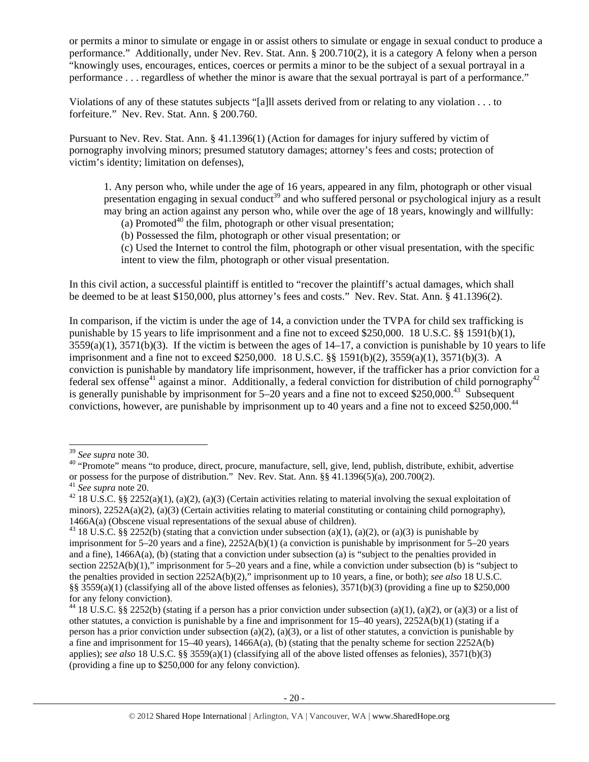or permits a minor to simulate or engage in or assist others to simulate or engage in sexual conduct to produce a performance." Additionally, under Nev. Rev. Stat. Ann. § 200.710(2), it is a category A felony when a person "knowingly uses, encourages, entices, coerces or permits a minor to be the subject of a sexual portrayal in a performance . . . regardless of whether the minor is aware that the sexual portrayal is part of a performance."

Violations of any of these statutes subjects "[a]ll assets derived from or relating to any violation . . . to forfeiture." Nev. Rev. Stat. Ann. § 200.760.

Pursuant to Nev. Rev. Stat. Ann. § 41.1396(1) (Action for damages for injury suffered by victim of pornography involving minors; presumed statutory damages; attorney's fees and costs; protection of victim's identity; limitation on defenses),

1. Any person who, while under the age of 16 years, appeared in any film, photograph or other visual presentation engaging in sexual conduct<sup>39</sup> and who suffered personal or psychological injury as a result may bring an action against any person who, while over the age of 18 years, knowingly and willfully:

(a) Promoted<sup>40</sup> the film, photograph or other visual presentation;

(b) Possessed the film, photograph or other visual presentation; or

(c) Used the Internet to control the film, photograph or other visual presentation, with the specific intent to view the film, photograph or other visual presentation.

In this civil action, a successful plaintiff is entitled to "recover the plaintiff's actual damages, which shall be deemed to be at least \$150,000, plus attorney's fees and costs." Nev. Rev. Stat. Ann. § 41.1396(2).

In comparison, if the victim is under the age of 14, a conviction under the TVPA for child sex trafficking is punishable by 15 years to life imprisonment and a fine not to exceed \$250,000. 18 U.S.C. §§ 1591(b)(1),  $3559(a)(1)$ ,  $3571(b)(3)$ . If the victim is between the ages of  $14-17$ , a conviction is punishable by 10 years to life imprisonment and a fine not to exceed \$250,000. 18 U.S.C. §§ 1591(b)(2), 3559(a)(1), 3571(b)(3). A conviction is punishable by mandatory life imprisonment, however, if the trafficker has a prior conviction for a federal sex offense<sup>41</sup> against a minor. Additionally, a federal conviction for distribution of child pornography<sup>42</sup> is generally punishable by imprisonment for  $5-20$  years and a fine not to exceed \$250,000.<sup>43</sup> Subsequent convictions, however, are punishable by imprisonment up to 40 years and a fine not to exceed \$250,000.44

<sup>&</sup>lt;sup>39</sup> *See supra* note 30.<br><sup>40</sup> "Promote" means "to produce, direct, procure, manufacture, sell, give, lend, publish, distribute, exhibit, advertise or possess for the purpose of distribution." Nev. Rev. Stat. Ann. §§ 41.1396(5)(a), 200.700(2). <sup>41</sup> See supra note 20.

<sup>&</sup>lt;sup>42</sup> 18 U.S.C. §§ 2252(a)(1), (a)(2), (a)(3) (Certain activities relating to material involving the sexual exploitation of minors),  $2252A(a)(2)$ ,  $(a)(3)$  (Certain activities relating to material constituting or containing child pornography), 1466A(a) (Obscene visual representations of the sexual abuse of children).<br><sup>43</sup> 18 U.S.C. §§ 2252(b) (stating that a conviction under subsection (a)(1), (a)(2), or (a)(3) is punishable by

imprisonment for 5–20 years and a fine), 2252A(b)(1) (a conviction is punishable by imprisonment for 5–20 years and a fine), 1466A(a), (b) (stating that a conviction under subsection (a) is "subject to the penalties provided in section 2252A(b)(1)," imprisonment for 5–20 years and a fine, while a conviction under subsection (b) is "subject to the penalties provided in section 2252A(b)(2)," imprisonment up to 10 years, a fine, or both); *see also* 18 U.S.C. §§ 3559(a)(1) (classifying all of the above listed offenses as felonies), 3571(b)(3) (providing a fine up to \$250,000 for any felony conviction).

<sup>&</sup>lt;sup>44</sup> 18 U.S.C. §§ 2252(b) (stating if a person has a prior conviction under subsection (a)(1), (a)(2), or (a)(3) or a list of other statutes, a conviction is punishable by a fine and imprisonment for 15–40 years), 2252A(b)(1) (stating if a person has a prior conviction under subsection (a)(2), (a)(3), or a list of other statutes, a conviction is punishable by a fine and imprisonment for  $15-40$  years),  $1466A(a)$ , (b) (stating that the penalty scheme for section  $2252A(b)$ applies); *see also* 18 U.S.C. §§ 3559(a)(1) (classifying all of the above listed offenses as felonies), 3571(b)(3) (providing a fine up to \$250,000 for any felony conviction).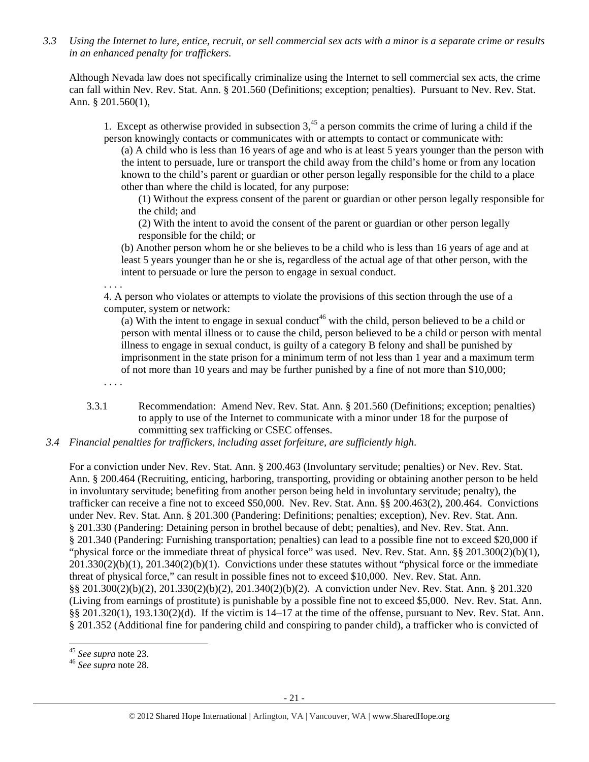*3.3 Using the Internet to lure, entice, recruit, or sell commercial sex acts with a minor is a separate crime or results in an enhanced penalty for traffickers.* 

Although Nevada law does not specifically criminalize using the Internet to sell commercial sex acts, the crime can fall within Nev. Rev. Stat. Ann. § 201.560 (Definitions; exception; penalties). Pursuant to Nev. Rev. Stat. Ann. § 201.560(1),

1. Except as otherwise provided in subsection  $3<sup>45</sup>$  a person commits the crime of luring a child if the person knowingly contacts or communicates with or attempts to contact or communicate with:

(a) A child who is less than 16 years of age and who is at least 5 years younger than the person with the intent to persuade, lure or transport the child away from the child's home or from any location known to the child's parent or guardian or other person legally responsible for the child to a place other than where the child is located, for any purpose:

(1) Without the express consent of the parent or guardian or other person legally responsible for the child; and

(2) With the intent to avoid the consent of the parent or guardian or other person legally responsible for the child; or

(b) Another person whom he or she believes to be a child who is less than 16 years of age and at least 5 years younger than he or she is, regardless of the actual age of that other person, with the intent to persuade or lure the person to engage in sexual conduct.

. . . .

4. A person who violates or attempts to violate the provisions of this section through the use of a computer, system or network:

(a) With the intent to engage in sexual conduct<sup>46</sup> with the child, person believed to be a child or person with mental illness or to cause the child, person believed to be a child or person with mental illness to engage in sexual conduct, is guilty of a category B felony and shall be punished by imprisonment in the state prison for a minimum term of not less than 1 year and a maximum term of not more than 10 years and may be further punished by a fine of not more than \$10,000;

. . . .

3.3.1 Recommendation: Amend Nev. Rev. Stat. Ann. § 201.560 (Definitions; exception; penalties) to apply to use of the Internet to communicate with a minor under 18 for the purpose of committing sex trafficking or CSEC offenses.

*3.4 Financial penalties for traffickers, including asset forfeiture, are sufficiently high*.

For a conviction under Nev. Rev. Stat. Ann. § 200.463 (Involuntary servitude; penalties) or Nev. Rev. Stat. Ann. § 200.464 (Recruiting, enticing, harboring, transporting, providing or obtaining another person to be held in involuntary servitude; benefiting from another person being held in involuntary servitude; penalty), the trafficker can receive a fine not to exceed \$50,000. Nev. Rev. Stat. Ann. §§ 200.463(2), 200.464. Convictions under Nev. Rev. Stat. Ann. § 201.300 (Pandering: Definitions; penalties; exception), Nev. Rev. Stat. Ann. § 201.330 (Pandering: Detaining person in brothel because of debt; penalties), and Nev. Rev. Stat. Ann. § 201.340 (Pandering: Furnishing transportation; penalties) can lead to a possible fine not to exceed \$20,000 if "physical force or the immediate threat of physical force" was used. Nev. Rev. Stat. Ann. §§ 201.300(2)(b)(1), 201.330(2)(b)(1), 201.340(2)(b)(1). Convictions under these statutes without "physical force or the immediate threat of physical force," can result in possible fines not to exceed \$10,000. Nev. Rev. Stat. Ann. §§ 201.300(2)(b)(2), 201.330(2)(b)(2), 201.340(2)(b)(2). A conviction under Nev. Rev. Stat. Ann. § 201.320 (Living from earnings of prostitute) is punishable by a possible fine not to exceed \$5,000. Nev. Rev. Stat. Ann.  $\S$ § 201.320(1), 193.130(2)(d). If the victim is 14–17 at the time of the offense, pursuant to Nev. Rev. Stat. Ann. § 201.352 (Additional fine for pandering child and conspiring to pander child), a trafficker who is convicted of

<sup>&</sup>lt;sup>45</sup> See supra note 23.

<sup>45</sup> *See supra* note 23. 46 *See supra* note 28.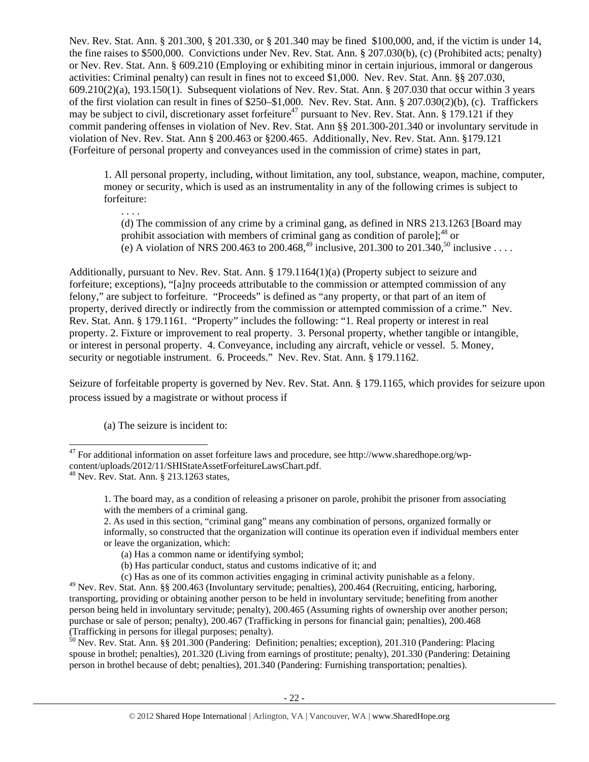Nev. Rev. Stat. Ann. § 201.300, § 201.330, or § 201.340 may be fined \$100,000, and, if the victim is under 14, the fine raises to \$500,000. Convictions under Nev. Rev. Stat. Ann. § 207.030(b), (c) (Prohibited acts; penalty) or Nev. Rev. Stat. Ann. § 609.210 (Employing or exhibiting minor in certain injurious, immoral or dangerous activities: Criminal penalty) can result in fines not to exceed \$1,000. Nev. Rev. Stat. Ann. §§ 207.030, 609.210(2)(a), 193.150(1). Subsequent violations of Nev. Rev. Stat. Ann. § 207.030 that occur within 3 years of the first violation can result in fines of \$250–\$1,000. Nev. Rev. Stat. Ann. § 207.030(2)(b), (c). Traffickers may be subject to civil, discretionary asset forfeiture<sup>47</sup> pursuant to Nev. Rev. Stat. Ann. § 179.121 if they commit pandering offenses in violation of Nev. Rev. Stat. Ann §§ 201.300-201.340 or involuntary servitude in violation of Nev. Rev. Stat. Ann § 200.463 or §200.465. Additionally, Nev. Rev. Stat. Ann. §179.121 (Forfeiture of personal property and conveyances used in the commission of crime) states in part,

1. All personal property, including, without limitation, any tool, substance, weapon, machine, computer, money or security, which is used as an instrumentality in any of the following crimes is subject to forfeiture:

. . . . (d) The commission of any crime by a criminal gang, as defined in NRS 213.1263 [Board may prohibit association with members of criminal gang as condition of parole];  $^{48}$  or (e) A violation of NRS 200.463 to 200.468,<sup>49</sup> inclusive, 201.300 to 201.340,<sup>50</sup> inclusive . . . .

Additionally, pursuant to Nev. Rev. Stat. Ann. § 179.1164(1)(a) (Property subject to seizure and forfeiture; exceptions), "[a]ny proceeds attributable to the commission or attempted commission of any felony," are subject to forfeiture. "Proceeds" is defined as "any property, or that part of an item of property, derived directly or indirectly from the commission or attempted commission of a crime." Nev. Rev. Stat. Ann. § 179.1161. "Property" includes the following: "1. Real property or interest in real property. 2. Fixture or improvement to real property. 3. Personal property, whether tangible or intangible, or interest in personal property. 4. Conveyance, including any aircraft, vehicle or vessel. 5. Money, security or negotiable instrument. 6. Proceeds." Nev. Rev. Stat. Ann. § 179.1162.

Seizure of forfeitable property is governed by Nev. Rev. Stat. Ann. § 179.1165, which provides for seizure upon process issued by a magistrate or without process if

(a) The seizure is incident to:

 $\overline{a}$ 

2. As used in this section, "criminal gang" means any combination of persons, organized formally or informally, so constructed that the organization will continue its operation even if individual members enter or leave the organization, which:

 $^{50}$  Nev. Rev. Stat. Ann. §§ 201.300 (Pandering: Definition; penalties; exception), 201.310 (Pandering: Placing spouse in brothel; penalties), 201.320 (Living from earnings of prostitute; penalty), 201.330 (Pandering: Detaining person in brothel because of debt; penalties), 201.340 (Pandering: Furnishing transportation; penalties).

 $47$  For additional information on asset forfeiture laws and procedure, see http://www.sharedhope.org/wpcontent/uploads/2012/11/SHIStateAssetForfeitureLawsChart.pdf.<br><sup>48</sup> Nev. Rev. Stat. Ann. § 213.1263 states,

<sup>1.</sup> The board may, as a condition of releasing a prisoner on parole, prohibit the prisoner from associating with the members of a criminal gang.

<sup>(</sup>a) Has a common name or identifying symbol;

<sup>(</sup>b) Has particular conduct, status and customs indicative of it; and

<sup>(</sup>c) Has as one of its common activities engaging in criminal activity punishable as a felony.

 $^{49}$  Nev. Rev. Stat. Ann. §§ 200.463 (Involuntary servitude; penalties), 200.464 (Recruiting, enticing, harboring, transporting, providing or obtaining another person to be held in involuntary servitude; benefiting from another person being held in involuntary servitude; penalty), 200.465 (Assuming rights of ownership over another person; purchase or sale of person; penalty), 200.467 (Trafficking in persons for financial gain; penalties), 200.468 (Trafficking in persons for illegal purposes; penalty).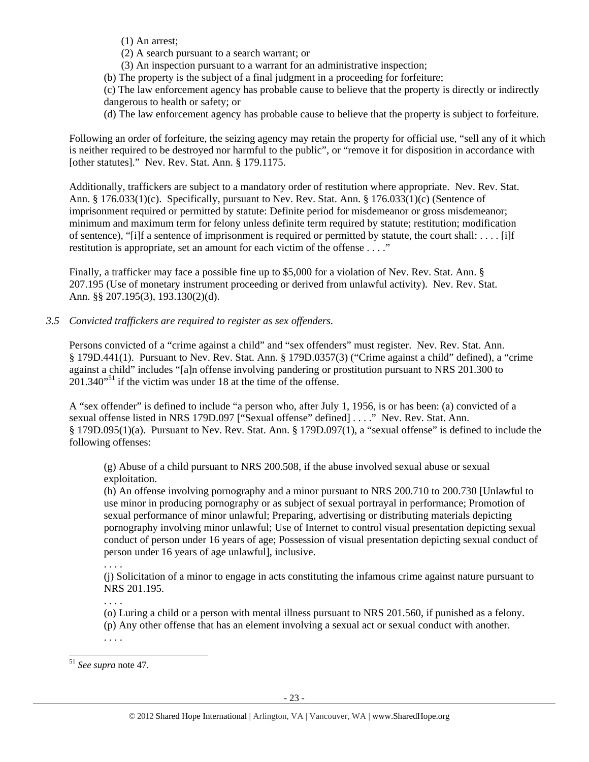(1) An arrest;

- (2) A search pursuant to a search warrant; or
- (3) An inspection pursuant to a warrant for an administrative inspection;
- (b) The property is the subject of a final judgment in a proceeding for forfeiture;

(c) The law enforcement agency has probable cause to believe that the property is directly or indirectly dangerous to health or safety; or

(d) The law enforcement agency has probable cause to believe that the property is subject to forfeiture.

Following an order of forfeiture, the seizing agency may retain the property for official use, "sell any of it which is neither required to be destroyed nor harmful to the public", or "remove it for disposition in accordance with [other statutes]." Nev. Rev. Stat. Ann. § 179.1175.

Additionally, traffickers are subject to a mandatory order of restitution where appropriate. Nev. Rev. Stat. Ann. § 176.033(1)(c). Specifically, pursuant to Nev. Rev. Stat. Ann. § 176.033(1)(c) (Sentence of imprisonment required or permitted by statute: Definite period for misdemeanor or gross misdemeanor; minimum and maximum term for felony unless definite term required by statute; restitution; modification of sentence), "[i]f a sentence of imprisonment is required or permitted by statute, the court shall: . . . . [i]f restitution is appropriate, set an amount for each victim of the offense . . . ."

Finally, a trafficker may face a possible fine up to \$5,000 for a violation of Nev. Rev. Stat. Ann. § 207.195 (Use of monetary instrument proceeding or derived from unlawful activity). Nev. Rev. Stat. Ann. §§ 207.195(3), 193.130(2)(d).

*3.5 Convicted traffickers are required to register as sex offenders.* 

Persons convicted of a "crime against a child" and "sex offenders" must register. Nev. Rev. Stat. Ann. § 179D.441(1). Pursuant to Nev. Rev. Stat. Ann. § 179D.0357(3) ("Crime against a child" defined), a "crime against a child" includes "[a]n offense involving pandering or prostitution pursuant to NRS 201.300 to  $201.340^{51}$  if the victim was under 18 at the time of the offense.

A "sex offender" is defined to include "a person who, after July 1, 1956, is or has been: (a) convicted of a sexual offense listed in NRS 179D.097 ["Sexual offense" defined] . . . ." Nev. Rev. Stat. Ann. § 179D.095(1)(a). Pursuant to Nev. Rev. Stat. Ann. § 179D.097(1), a "sexual offense" is defined to include the following offenses:

(g) Abuse of a child pursuant to NRS 200.508, if the abuse involved sexual abuse or sexual exploitation.

(h) An offense involving pornography and a minor pursuant to NRS 200.710 to 200.730 [Unlawful to use minor in producing pornography or as subject of sexual portrayal in performance; Promotion of sexual performance of minor unlawful; Preparing, advertising or distributing materials depicting pornography involving minor unlawful; Use of Internet to control visual presentation depicting sexual conduct of person under 16 years of age; Possession of visual presentation depicting sexual conduct of person under 16 years of age unlawful], inclusive.

. . . .

(j) Solicitation of a minor to engage in acts constituting the infamous crime against nature pursuant to NRS 201.195.

. . . .

(o) Luring a child or a person with mental illness pursuant to NRS 201.560, if punished as a felony. (p) Any other offense that has an element involving a sexual act or sexual conduct with another. . . . .

 $\overline{a}$ <sup>51</sup> *See supra* note 47.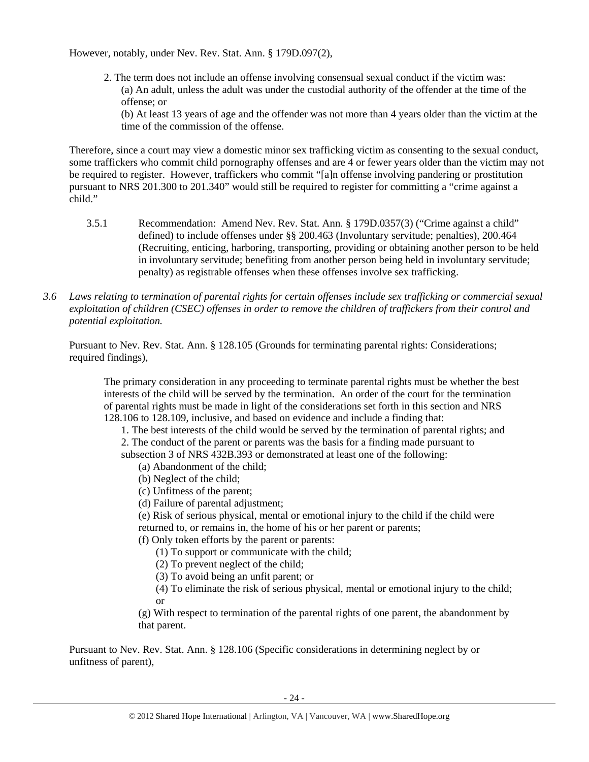However, notably, under Nev. Rev. Stat. Ann. § 179D.097(2),

2. The term does not include an offense involving consensual sexual conduct if the victim was: (a) An adult, unless the adult was under the custodial authority of the offender at the time of the offense; or

(b) At least 13 years of age and the offender was not more than 4 years older than the victim at the time of the commission of the offense.

Therefore, since a court may view a domestic minor sex trafficking victim as consenting to the sexual conduct, some traffickers who commit child pornography offenses and are 4 or fewer years older than the victim may not be required to register. However, traffickers who commit "[a]n offense involving pandering or prostitution pursuant to NRS 201.300 to 201.340" would still be required to register for committing a "crime against a child."

- 3.5.1 Recommendation: Amend Nev. Rev. Stat. Ann. § 179D.0357(3) ("Crime against a child" defined) to include offenses under §§ 200.463 (Involuntary servitude; penalties), 200.464 (Recruiting, enticing, harboring, transporting, providing or obtaining another person to be held in involuntary servitude; benefiting from another person being held in involuntary servitude; penalty) as registrable offenses when these offenses involve sex trafficking.
- *3.6 Laws relating to termination of parental rights for certain offenses include sex trafficking or commercial sexual exploitation of children (CSEC) offenses in order to remove the children of traffickers from their control and potential exploitation.*

Pursuant to Nev. Rev. Stat. Ann. § 128.105 (Grounds for terminating parental rights: Considerations; required findings),

The primary consideration in any proceeding to terminate parental rights must be whether the best interests of the child will be served by the termination. An order of the court for the termination of parental rights must be made in light of the considerations set forth in this section and NRS 128.106 to 128.109, inclusive, and based on evidence and include a finding that:

1. The best interests of the child would be served by the termination of parental rights; and

2. The conduct of the parent or parents was the basis for a finding made pursuant to subsection 3 of NRS 432B.393 or demonstrated at least one of the following:

- (a) Abandonment of the child;
- (b) Neglect of the child;
- (c) Unfitness of the parent;
- (d) Failure of parental adjustment;
- (e) Risk of serious physical, mental or emotional injury to the child if the child were returned to, or remains in, the home of his or her parent or parents;
- (f) Only token efforts by the parent or parents:
	- (1) To support or communicate with the child;
	- (2) To prevent neglect of the child;
	- (3) To avoid being an unfit parent; or

(4) To eliminate the risk of serious physical, mental or emotional injury to the child; or

(g) With respect to termination of the parental rights of one parent, the abandonment by that parent.

Pursuant to Nev. Rev. Stat. Ann. § 128.106 (Specific considerations in determining neglect by or unfitness of parent),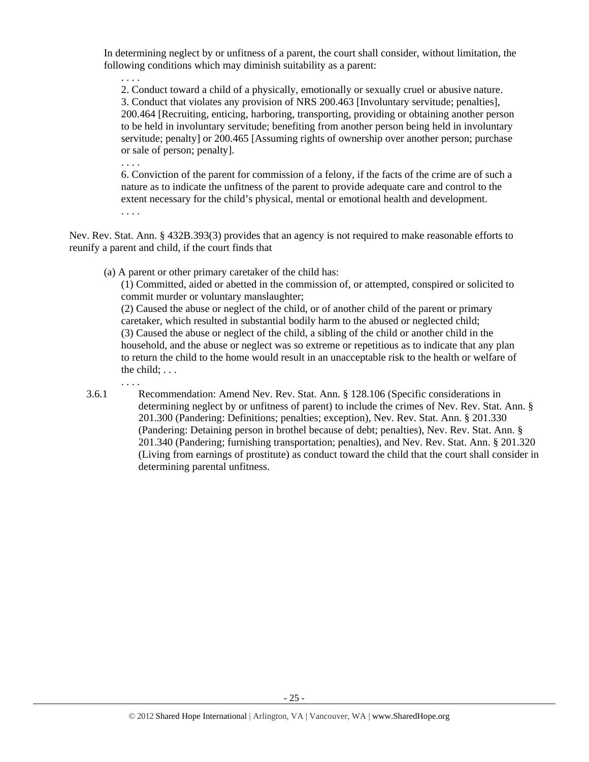In determining neglect by or unfitness of a parent, the court shall consider, without limitation, the following conditions which may diminish suitability as a parent:

2. Conduct toward a child of a physically, emotionally or sexually cruel or abusive nature. 3. Conduct that violates any provision of NRS 200.463 [Involuntary servitude; penalties], 200.464 [Recruiting, enticing, harboring, transporting, providing or obtaining another person to be held in involuntary servitude; benefiting from another person being held in involuntary servitude; penalty] or 200.465 [Assuming rights of ownership over another person; purchase or sale of person; penalty].

6. Conviction of the parent for commission of a felony, if the facts of the crime are of such a nature as to indicate the unfitness of the parent to provide adequate care and control to the extent necessary for the child's physical, mental or emotional health and development. . . . .

Nev. Rev. Stat. Ann. § 432B.393(3) provides that an agency is not required to make reasonable efforts to reunify a parent and child, if the court finds that

(a) A parent or other primary caretaker of the child has:

(1) Committed, aided or abetted in the commission of, or attempted, conspired or solicited to commit murder or voluntary manslaughter;

(2) Caused the abuse or neglect of the child, or of another child of the parent or primary caretaker, which resulted in substantial bodily harm to the abused or neglected child; (3) Caused the abuse or neglect of the child, a sibling of the child or another child in the household, and the abuse or neglect was so extreme or repetitious as to indicate that any plan to return the child to the home would result in an unacceptable risk to the health or welfare of the child; . . .

. . . .

. . . .

. . . .

3.6.1 Recommendation: Amend Nev. Rev. Stat. Ann. § 128.106 (Specific considerations in determining neglect by or unfitness of parent) to include the crimes of Nev. Rev. Stat. Ann. § 201.300 (Pandering: Definitions; penalties; exception), Nev. Rev. Stat. Ann. § 201.330 (Pandering: Detaining person in brothel because of debt; penalties), Nev. Rev. Stat. Ann. § 201.340 (Pandering; furnishing transportation; penalties), and Nev. Rev. Stat. Ann. § 201.320 (Living from earnings of prostitute) as conduct toward the child that the court shall consider in determining parental unfitness.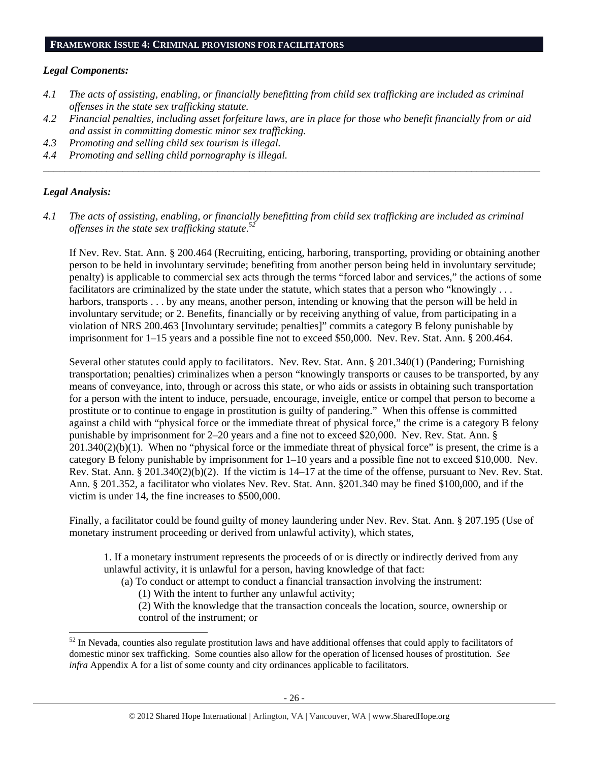#### *Legal Components:*

- *4.1 The acts of assisting, enabling, or financially benefitting from child sex trafficking are included as criminal offenses in the state sex trafficking statute.*
- *4.2 Financial penalties, including asset forfeiture laws, are in place for those who benefit financially from or aid and assist in committing domestic minor sex trafficking.*

*\_\_\_\_\_\_\_\_\_\_\_\_\_\_\_\_\_\_\_\_\_\_\_\_\_\_\_\_\_\_\_\_\_\_\_\_\_\_\_\_\_\_\_\_\_\_\_\_\_\_\_\_\_\_\_\_\_\_\_\_\_\_\_\_\_\_\_\_\_\_\_\_\_\_\_\_\_\_\_\_\_\_\_\_\_\_\_\_\_\_\_\_\_\_* 

- *4.3 Promoting and selling child sex tourism is illegal.*
- *4.4 Promoting and selling child pornography is illegal.*

#### *Legal Analysis:*

 $\overline{a}$ 

*4.1 The acts of assisting, enabling, or financially benefitting from child sex trafficking are included as criminal offenses in the state sex trafficking statute*. *52*

If Nev. Rev. Stat. Ann. § 200.464 (Recruiting, enticing, harboring, transporting, providing or obtaining another person to be held in involuntary servitude; benefiting from another person being held in involuntary servitude; penalty) is applicable to commercial sex acts through the terms "forced labor and services," the actions of some facilitators are criminalized by the state under the statute, which states that a person who "knowingly . . . harbors, transports . . . by any means, another person, intending or knowing that the person will be held in involuntary servitude; or 2. Benefits, financially or by receiving anything of value, from participating in a violation of NRS 200.463 [Involuntary servitude; penalties]" commits a category B felony punishable by imprisonment for 1–15 years and a possible fine not to exceed \$50,000. Nev. Rev. Stat. Ann. § 200.464.

Several other statutes could apply to facilitators. Nev. Rev. Stat. Ann. § 201.340(1) (Pandering; Furnishing transportation; penalties) criminalizes when a person "knowingly transports or causes to be transported, by any means of conveyance, into, through or across this state, or who aids or assists in obtaining such transportation for a person with the intent to induce, persuade, encourage, inveigle, entice or compel that person to become a prostitute or to continue to engage in prostitution is guilty of pandering." When this offense is committed against a child with "physical force or the immediate threat of physical force," the crime is a category B felony punishable by imprisonment for 2–20 years and a fine not to exceed \$20,000. Nev. Rev. Stat. Ann. §  $201.340(2)(b)(1)$ . When no "physical force or the immediate threat of physical force" is present, the crime is a category B felony punishable by imprisonment for 1–10 years and a possible fine not to exceed \$10,000. Nev. Rev. Stat. Ann. § 201.340(2)(b)(2). If the victim is 14–17 at the time of the offense, pursuant to Nev. Rev. Stat. Ann. § 201.352, a facilitator who violates Nev. Rev. Stat. Ann. §201.340 may be fined \$100,000, and if the victim is under 14, the fine increases to \$500,000.

Finally, a facilitator could be found guilty of money laundering under Nev. Rev. Stat. Ann. § 207.195 (Use of monetary instrument proceeding or derived from unlawful activity), which states,

1. If a monetary instrument represents the proceeds of or is directly or indirectly derived from any unlawful activity, it is unlawful for a person, having knowledge of that fact:

(a) To conduct or attempt to conduct a financial transaction involving the instrument:

(1) With the intent to further any unlawful activity;

(2) With the knowledge that the transaction conceals the location, source, ownership or control of the instrument; or

 $52$  In Nevada, counties also regulate prostitution laws and have additional offenses that could apply to facilitators of domestic minor sex trafficking. Some counties also allow for the operation of licensed houses of prostitution. *See infra* Appendix A for a list of some county and city ordinances applicable to facilitators.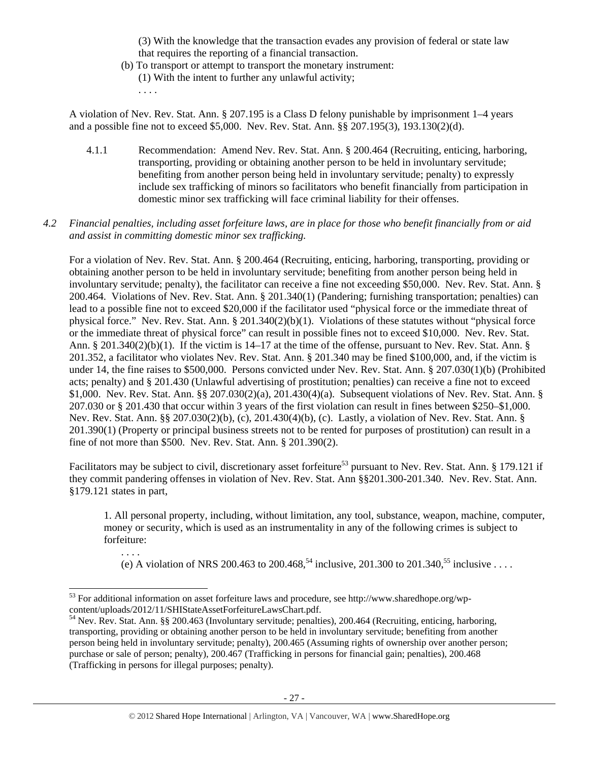(3) With the knowledge that the transaction evades any provision of federal or state law that requires the reporting of a financial transaction.

(b) To transport or attempt to transport the monetary instrument: (1) With the intent to further any unlawful activity; . . . .

A violation of Nev. Rev. Stat. Ann. § 207.195 is a Class D felony punishable by imprisonment 1–4 years and a possible fine not to exceed \$5,000. Nev. Rev. Stat. Ann. §§ 207.195(3), 193.130(2)(d).

- 4.1.1 Recommendation: Amend Nev. Rev. Stat. Ann. § 200.464 (Recruiting, enticing, harboring, transporting, providing or obtaining another person to be held in involuntary servitude; benefiting from another person being held in involuntary servitude; penalty) to expressly include sex trafficking of minors so facilitators who benefit financially from participation in domestic minor sex trafficking will face criminal liability for their offenses.
- *4.2 Financial penalties, including asset forfeiture laws, are in place for those who benefit financially from or aid and assist in committing domestic minor sex trafficking.*

For a violation of Nev. Rev. Stat. Ann. § 200.464 (Recruiting, enticing, harboring, transporting, providing or obtaining another person to be held in involuntary servitude; benefiting from another person being held in involuntary servitude; penalty), the facilitator can receive a fine not exceeding \$50,000. Nev. Rev. Stat. Ann. § 200.464. Violations of Nev. Rev. Stat. Ann. § 201.340(1) (Pandering; furnishing transportation; penalties) can lead to a possible fine not to exceed \$20,000 if the facilitator used "physical force or the immediate threat of physical force." Nev. Rev. Stat. Ann. § 201.340(2)(b)(1). Violations of these statutes without "physical force or the immediate threat of physical force" can result in possible fines not to exceed \$10,000. Nev. Rev. Stat. Ann. § 201.340(2)(b)(1). If the victim is 14–17 at the time of the offense, pursuant to Nev. Rev. Stat. Ann. § 201.352, a facilitator who violates Nev. Rev. Stat. Ann. § 201.340 may be fined \$100,000, and, if the victim is under 14, the fine raises to \$500,000. Persons convicted under Nev. Rev. Stat. Ann. § 207.030(1)(b) (Prohibited acts; penalty) and § 201.430 (Unlawful advertising of prostitution; penalties) can receive a fine not to exceed \$1,000. Nev. Rev. Stat. Ann. §§ 207.030(2)(a), 201.430(4)(a). Subsequent violations of Nev. Rev. Stat. Ann. § 207.030 or § 201.430 that occur within 3 years of the first violation can result in fines between \$250–\$1,000. Nev. Rev. Stat. Ann. §§ 207.030(2)(b), (c), 201.430(4)(b), (c). Lastly, a violation of Nev. Rev. Stat. Ann. § 201.390(1) (Property or principal business streets not to be rented for purposes of prostitution) can result in a fine of not more than \$500. Nev. Rev. Stat. Ann. § 201.390(2).

Facilitators may be subject to civil, discretionary asset forfeiture<sup>53</sup> pursuant to Nev. Rev. Stat. Ann. § 179.121 if they commit pandering offenses in violation of Nev. Rev. Stat. Ann §§201.300-201.340. Nev. Rev. Stat. Ann. §179.121 states in part,

1. All personal property, including, without limitation, any tool, substance, weapon, machine, computer, money or security, which is used as an instrumentality in any of the following crimes is subject to forfeiture:

(e) A violation of NRS 200.463 to 200.468,<sup>54</sup> inclusive, 201.300 to 201.340,<sup>55</sup> inclusive ....

. . . .

 $\overline{a}$  $53$  For additional information on asset forfeiture laws and procedure, see http://www.sharedhope.org/wp-<br>content/uploads/2012/11/SHIStateAssetForfeitureLawsChart.pdf.

<sup>&</sup>lt;sup>54</sup> Nev. Rev. Stat. Ann. §§ 200.463 (Involuntary servitude; penalties), 200.464 (Recruiting, enticing, harboring, transporting, providing or obtaining another person to be held in involuntary servitude; benefiting from another person being held in involuntary servitude; penalty), 200.465 (Assuming rights of ownership over another person; purchase or sale of person; penalty), 200.467 (Trafficking in persons for financial gain; penalties), 200.468 (Trafficking in persons for illegal purposes; penalty).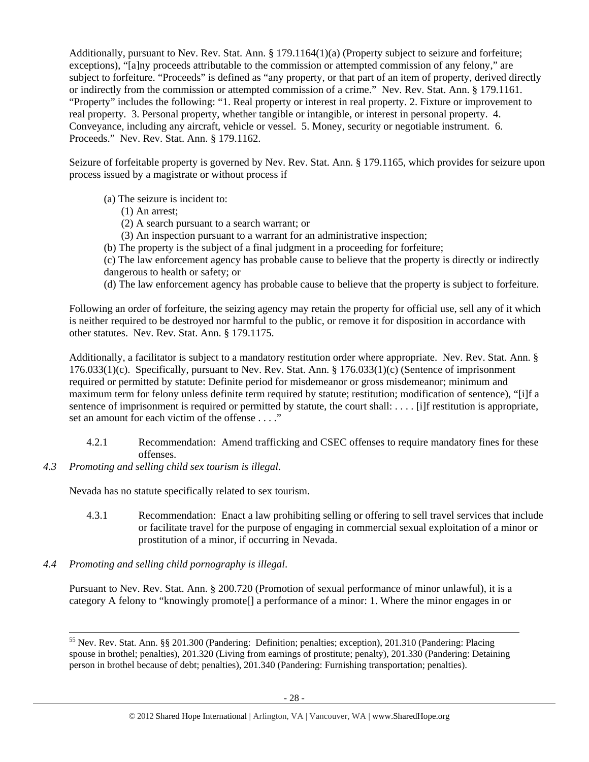Additionally, pursuant to Nev. Rev. Stat. Ann. § 179.1164(1)(a) (Property subject to seizure and forfeiture; exceptions), "[a]ny proceeds attributable to the commission or attempted commission of any felony," are subject to forfeiture. "Proceeds" is defined as "any property, or that part of an item of property, derived directly or indirectly from the commission or attempted commission of a crime." Nev. Rev. Stat. Ann. § 179.1161. "Property" includes the following: "1. Real property or interest in real property. 2. Fixture or improvement to real property. 3. Personal property, whether tangible or intangible, or interest in personal property. 4. Conveyance, including any aircraft, vehicle or vessel. 5. Money, security or negotiable instrument. 6. Proceeds." Nev. Rev. Stat. Ann. § 179.1162.

Seizure of forfeitable property is governed by Nev. Rev. Stat. Ann. § 179.1165, which provides for seizure upon process issued by a magistrate or without process if

- (a) The seizure is incident to:
	- (1) An arrest;
	- (2) A search pursuant to a search warrant; or
	- (3) An inspection pursuant to a warrant for an administrative inspection;
- (b) The property is the subject of a final judgment in a proceeding for forfeiture;
- (c) The law enforcement agency has probable cause to believe that the property is directly or indirectly dangerous to health or safety; or
- (d) The law enforcement agency has probable cause to believe that the property is subject to forfeiture.

Following an order of forfeiture, the seizing agency may retain the property for official use, sell any of it which is neither required to be destroyed nor harmful to the public, or remove it for disposition in accordance with other statutes. Nev. Rev. Stat. Ann. § 179.1175.

Additionally, a facilitator is subject to a mandatory restitution order where appropriate. Nev. Rev. Stat. Ann. § 176.033(1)(c). Specifically, pursuant to Nev. Rev. Stat. Ann. § 176.033(1)(c) (Sentence of imprisonment required or permitted by statute: Definite period for misdemeanor or gross misdemeanor; minimum and maximum term for felony unless definite term required by statute; restitution; modification of sentence), "[i]f a sentence of imprisonment is required or permitted by statute, the court shall: . . . . [i]f restitution is appropriate, set an amount for each victim of the offense . . . ."

- 4.2.1 Recommendation: Amend trafficking and CSEC offenses to require mandatory fines for these offenses.
- *4.3 Promoting and selling child sex tourism is illegal*.

Nevada has no statute specifically related to sex tourism.

- 4.3.1 Recommendation: Enact a law prohibiting selling or offering to sell travel services that include or facilitate travel for the purpose of engaging in commercial sexual exploitation of a minor or prostitution of a minor, if occurring in Nevada.
- *4.4 Promoting and selling child pornography is illegal*.

Pursuant to Nev. Rev. Stat. Ann. § 200.720 (Promotion of sexual performance of minor unlawful), it is a category A felony to "knowingly promote[] a performance of a minor: 1. Where the minor engages in or

 <sup>55</sup> Nev. Rev. Stat. Ann. §§ 201.300 (Pandering: Definition; penalties; exception), 201.310 (Pandering: Placing spouse in brothel; penalties), 201.320 (Living from earnings of prostitute; penalty), 201.330 (Pandering: Detaining person in brothel because of debt; penalties), 201.340 (Pandering: Furnishing transportation; penalties).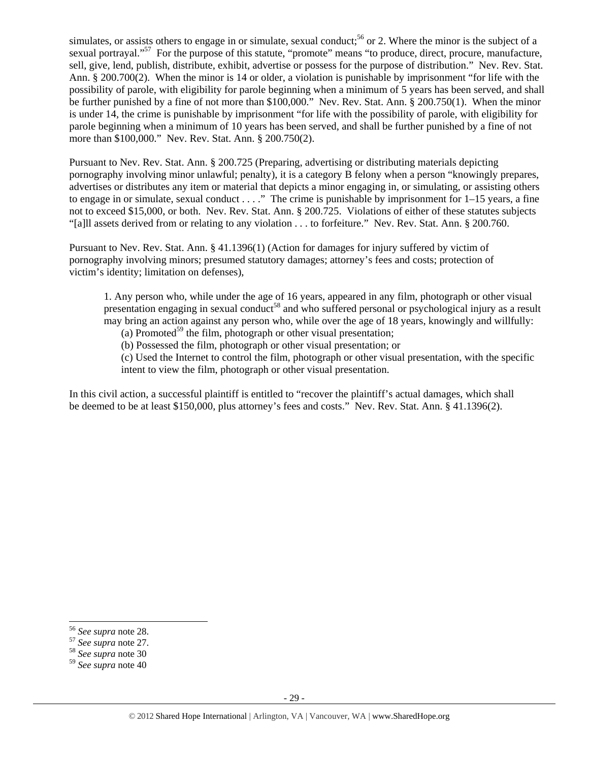simulates, or assists others to engage in or simulate, sexual conduct;<sup>56</sup> or 2. Where the minor is the subject of a sexual portrayal."<sup>57</sup> For the purpose of this statute, "promote" means "to produce, direct, procure, manufacture, sell, give, lend, publish, distribute, exhibit, advertise or possess for the purpose of distribution." Nev. Rev. Stat. Ann. § 200.700(2). When the minor is 14 or older, a violation is punishable by imprisonment "for life with the possibility of parole, with eligibility for parole beginning when a minimum of 5 years has been served, and shall be further punished by a fine of not more than \$100,000." Nev. Rev. Stat. Ann. § 200.750(1). When the minor is under 14, the crime is punishable by imprisonment "for life with the possibility of parole, with eligibility for parole beginning when a minimum of 10 years has been served, and shall be further punished by a fine of not more than \$100,000." Nev. Rev. Stat. Ann. § 200.750(2).

Pursuant to Nev. Rev. Stat. Ann. § 200.725 (Preparing, advertising or distributing materials depicting pornography involving minor unlawful; penalty), it is a category B felony when a person "knowingly prepares, advertises or distributes any item or material that depicts a minor engaging in, or simulating, or assisting others to engage in or simulate, sexual conduct . . . ." The crime is punishable by imprisonment for 1–15 years, a fine not to exceed \$15,000, or both. Nev. Rev. Stat. Ann. § 200.725. Violations of either of these statutes subjects "[a]ll assets derived from or relating to any violation . . . to forfeiture." Nev. Rev. Stat. Ann. § 200.760.

Pursuant to Nev. Rev. Stat. Ann. § 41.1396(1) (Action for damages for injury suffered by victim of pornography involving minors; presumed statutory damages; attorney's fees and costs; protection of victim's identity; limitation on defenses),

1. Any person who, while under the age of 16 years, appeared in any film, photograph or other visual presentation engaging in sexual conduct<sup>58</sup> and who suffered personal or psychological injury as a result may bring an action against any person who, while over the age of 18 years, knowingly and willfully:

(a) Promoted<sup>59</sup> the film, photograph or other visual presentation;

(b) Possessed the film, photograph or other visual presentation; or

(c) Used the Internet to control the film, photograph or other visual presentation, with the specific intent to view the film, photograph or other visual presentation.

In this civil action, a successful plaintiff is entitled to "recover the plaintiff's actual damages, which shall be deemed to be at least \$150,000, plus attorney's fees and costs." Nev. Rev. Stat. Ann. § 41.1396(2).

<sup>&</sup>lt;sup>56</sup> See supra note 28.

<sup>56</sup> *See supra* note 28. 57 *See supra* note 27. 58 *See supra* note 30

<sup>59</sup> *See supra* note 40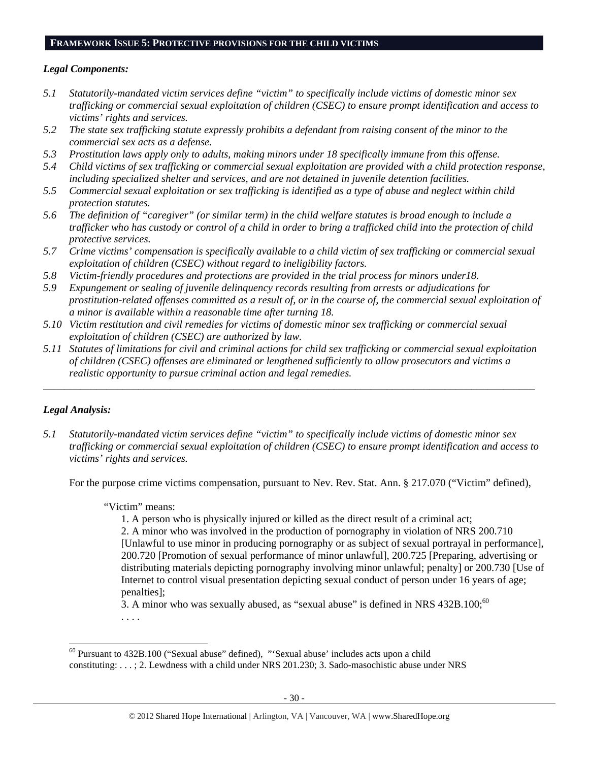#### **FRAMEWORK ISSUE 5: PROTECTIVE PROVISIONS FOR THE CHILD VICTIMS**

#### *Legal Components:*

- *5.1 Statutorily-mandated victim services define "victim" to specifically include victims of domestic minor sex trafficking or commercial sexual exploitation of children (CSEC) to ensure prompt identification and access to victims' rights and services.*
- *5.2 The state sex trafficking statute expressly prohibits a defendant from raising consent of the minor to the commercial sex acts as a defense.*
- *5.3 Prostitution laws apply only to adults, making minors under 18 specifically immune from this offense.*
- *5.4 Child victims of sex trafficking or commercial sexual exploitation are provided with a child protection response, including specialized shelter and services, and are not detained in juvenile detention facilities.*
- *5.5 Commercial sexual exploitation or sex trafficking is identified as a type of abuse and neglect within child protection statutes.*
- *5.6 The definition of "caregiver" (or similar term) in the child welfare statutes is broad enough to include a trafficker who has custody or control of a child in order to bring a trafficked child into the protection of child protective services.*
- *5.7 Crime victims' compensation is specifically available to a child victim of sex trafficking or commercial sexual exploitation of children (CSEC) without regard to ineligibility factors.*
- *5.8 Victim-friendly procedures and protections are provided in the trial process for minors under18.*
- *5.9 Expungement or sealing of juvenile delinquency records resulting from arrests or adjudications for prostitution-related offenses committed as a result of, or in the course of, the commercial sexual exploitation of a minor is available within a reasonable time after turning 18.*
- *5.10 Victim restitution and civil remedies for victims of domestic minor sex trafficking or commercial sexual exploitation of children (CSEC) are authorized by law.*
- *5.11 Statutes of limitations for civil and criminal actions for child sex trafficking or commercial sexual exploitation of children (CSEC) offenses are eliminated or lengthened sufficiently to allow prosecutors and victims a realistic opportunity to pursue criminal action and legal remedies.*

*\_\_\_\_\_\_\_\_\_\_\_\_\_\_\_\_\_\_\_\_\_\_\_\_\_\_\_\_\_\_\_\_\_\_\_\_\_\_\_\_\_\_\_\_\_\_\_\_\_\_\_\_\_\_\_\_\_\_\_\_\_\_\_\_\_\_\_\_\_\_\_\_\_\_\_\_\_\_\_\_\_\_\_\_\_\_\_\_\_\_\_\_\_* 

#### *Legal Analysis:*

 $\overline{a}$ 

*5.1 Statutorily-mandated victim services define "victim" to specifically include victims of domestic minor sex trafficking or commercial sexual exploitation of children (CSEC) to ensure prompt identification and access to victims' rights and services.* 

For the purpose crime victims compensation, pursuant to Nev. Rev. Stat. Ann. § 217.070 ("Victim" defined),

#### "Victim" means:

1. A person who is physically injured or killed as the direct result of a criminal act;

2. A minor who was involved in the production of pornography in violation of NRS 200.710 [Unlawful to use minor in producing pornography or as subject of sexual portrayal in performance], 200.720 [Promotion of sexual performance of minor unlawful], 200.725 [Preparing, advertising or distributing materials depicting pornography involving minor unlawful; penalty] or 200.730 [Use of Internet to control visual presentation depicting sexual conduct of person under 16 years of age; penalties];

3. A minor who was sexually abused, as "sexual abuse" is defined in NRS  $432B.100$ ;<sup>60</sup>

. . . .

 $60$  Pursuant to 432B.100 ("Sexual abuse" defined), "'Sexual abuse' includes acts upon a child constituting: . . . ; 2. Lewdness with a child under NRS 201.230; 3. Sado-masochistic abuse under NRS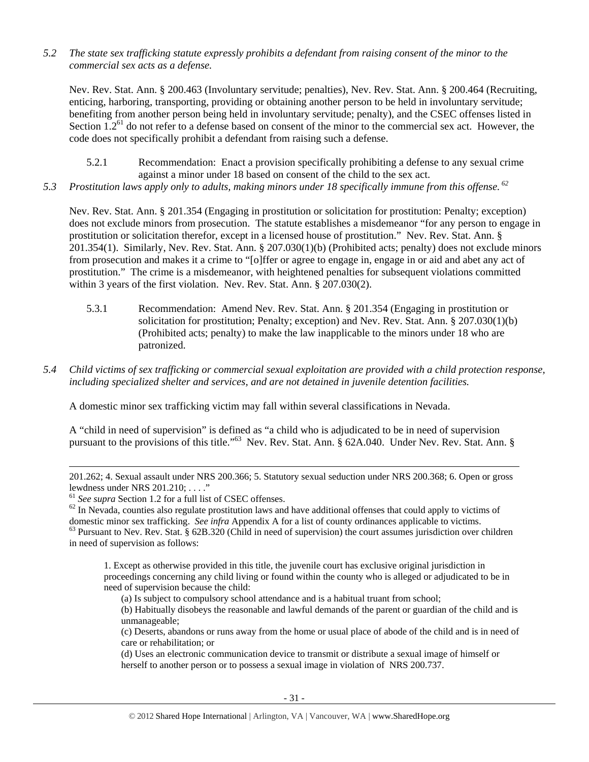*5.2 The state sex trafficking statute expressly prohibits a defendant from raising consent of the minor to the commercial sex acts as a defense.* 

Nev. Rev. Stat. Ann. § 200.463 (Involuntary servitude; penalties), Nev. Rev. Stat. Ann. § 200.464 (Recruiting, enticing, harboring, transporting, providing or obtaining another person to be held in involuntary servitude; benefiting from another person being held in involuntary servitude; penalty), and the CSEC offenses listed in Section  $1.2<sup>61</sup>$  do not refer to a defense based on consent of the minor to the commercial sex act. However, the code does not specifically prohibit a defendant from raising such a defense.

5.2.1 Recommendation: Enact a provision specifically prohibiting a defense to any sexual crime against a minor under 18 based on consent of the child to the sex act.

*5.3 Prostitution laws apply only to adults, making minors under 18 specifically immune from this offense. 62* 

Nev. Rev. Stat. Ann. § 201.354 (Engaging in prostitution or solicitation for prostitution: Penalty; exception) does not exclude minors from prosecution. The statute establishes a misdemeanor "for any person to engage in prostitution or solicitation therefor, except in a licensed house of prostitution." Nev. Rev. Stat. Ann. § 201.354(1). Similarly, Nev. Rev. Stat. Ann. § 207.030(1)(b) (Prohibited acts; penalty) does not exclude minors from prosecution and makes it a crime to "[o]ffer or agree to engage in, engage in or aid and abet any act of prostitution." The crime is a misdemeanor, with heightened penalties for subsequent violations committed within 3 years of the first violation. Nev. Rev. Stat. Ann. § 207.030(2).

- 5.3.1 Recommendation: Amend Nev. Rev. Stat. Ann. § 201.354 (Engaging in prostitution or solicitation for prostitution; Penalty; exception) and Nev. Rev. Stat. Ann. § 207.030(1)(b) (Prohibited acts; penalty) to make the law inapplicable to the minors under 18 who are patronized.
- *5.4 Child victims of sex trafficking or commercial sexual exploitation are provided with a child protection response, including specialized shelter and services, and are not detained in juvenile detention facilities.*

A domestic minor sex trafficking victim may fall within several classifications in Nevada.

A "child in need of supervision" is defined as "a child who is adjudicated to be in need of supervision pursuant to the provisions of this title."<sup>63</sup> Nev. Rev. Stat. Ann. § 62A.040. Under Nev. Rev. Stat. Ann. §

 $\overline{a}$ 

1. Except as otherwise provided in this title, the juvenile court has exclusive original jurisdiction in proceedings concerning any child living or found within the county who is alleged or adjudicated to be in need of supervision because the child:

(a) Is subject to compulsory school attendance and is a habitual truant from school;

(b) Habitually disobeys the reasonable and lawful demands of the parent or guardian of the child and is unmanageable;

(c) Deserts, abandons or runs away from the home or usual place of abode of the child and is in need of care or rehabilitation; or

(d) Uses an electronic communication device to transmit or distribute a sexual image of himself or herself to another person or to possess a sexual image in violation of NRS 200.737.

<sup>201.262; 4.</sup> Sexual assault under NRS 200.366; 5. Statutory sexual seduction under NRS 200.368; 6. Open or gross lewdness under NRS 201.210; ...."<br><sup>61</sup> See supra Section 1.2 for a full list of CSEC offenses.

 $62$  In Nevada, counties also regulate prostitution laws and have additional offenses that could apply to victims of domestic minor sex trafficking. See infra Appendix A for a list of county ordinances applicable to victi

 $63$  Pursuant to Nev. Rev. Stat. § 62B.320 (Child in need of supervision) the court assumes jurisdiction over children in need of supervision as follows: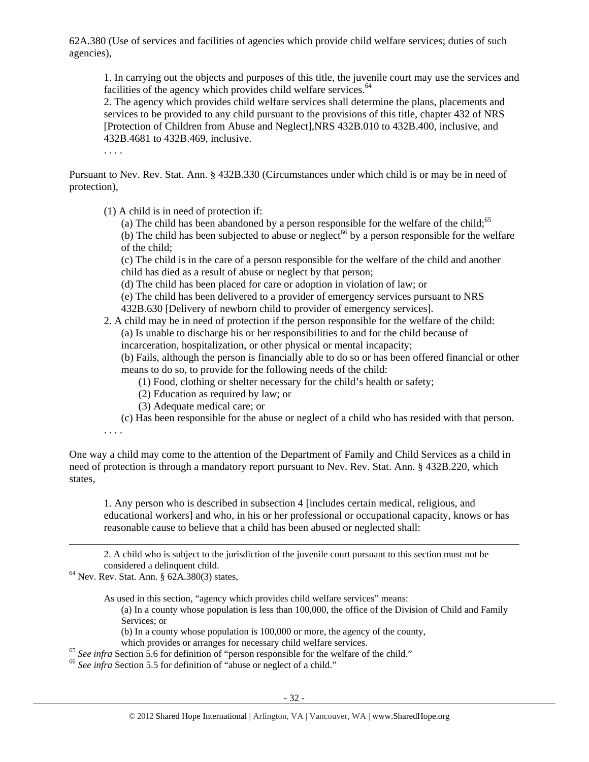62A.380 (Use of services and facilities of agencies which provide child welfare services; duties of such agencies),

1. In carrying out the objects and purposes of this title, the juvenile court may use the services and facilities of the agency which provides child welfare services.<sup>64</sup>

2. The agency which provides child welfare services shall determine the plans, placements and services to be provided to any child pursuant to the provisions of this title, chapter 432 of NRS [Protection of Children from Abuse and Neglect],NRS 432B.010 to 432B.400, inclusive, and 432B.4681 to 432B.469, inclusive.

. . . .

Pursuant to Nev. Rev. Stat. Ann. § 432B.330 (Circumstances under which child is or may be in need of protection),

(1) A child is in need of protection if:

(a) The child has been abandoned by a person responsible for the welfare of the child;<sup>65</sup> (b) The child has been subjected to abuse or neglect<sup>66</sup> by a person responsible for the welfare of the child;

(c) The child is in the care of a person responsible for the welfare of the child and another child has died as a result of abuse or neglect by that person;

(d) The child has been placed for care or adoption in violation of law; or

(e) The child has been delivered to a provider of emergency services pursuant to NRS 432B.630 [Delivery of newborn child to provider of emergency services].

#### 2. A child may be in need of protection if the person responsible for the welfare of the child: (a) Is unable to discharge his or her responsibilities to and for the child because of incarceration, hospitalization, or other physical or mental incapacity;

(b) Fails, although the person is financially able to do so or has been offered financial or other means to do so, to provide for the following needs of the child:

(1) Food, clothing or shelter necessary for the child's health or safety;

- (2) Education as required by law; or
- (3) Adequate medical care; or

(c) Has been responsible for the abuse or neglect of a child who has resided with that person.

. . . .

 $\overline{a}$ 

One way a child may come to the attention of the Department of Family and Child Services as a child in need of protection is through a mandatory report pursuant to Nev. Rev. Stat. Ann. § 432B.220, which states,

1. Any person who is described in subsection 4 [includes certain medical, religious, and educational workers] and who, in his or her professional or occupational capacity, knows or has reasonable cause to believe that a child has been abused or neglected shall:

2. A child who is subject to the jurisdiction of the juvenile court pursuant to this section must not be considered a delinquent child. 64 Nev. Rev. Stat. Ann. § 62A.380(3) states,

As used in this section, "agency which provides child welfare services" means:

(a) In a county whose population is less than 100,000, the office of the Division of Child and Family Services; or

(b) In a county whose population is 100,000 or more, the agency of the county,

which provides or arranges for necessary child welfare services.<br>
<sup>65</sup> See infra Section 5.6 for definition of "person responsible for the welfare of the child."<br>
<sup>66</sup> See infra Section 5.5 for definition of "abuse or negl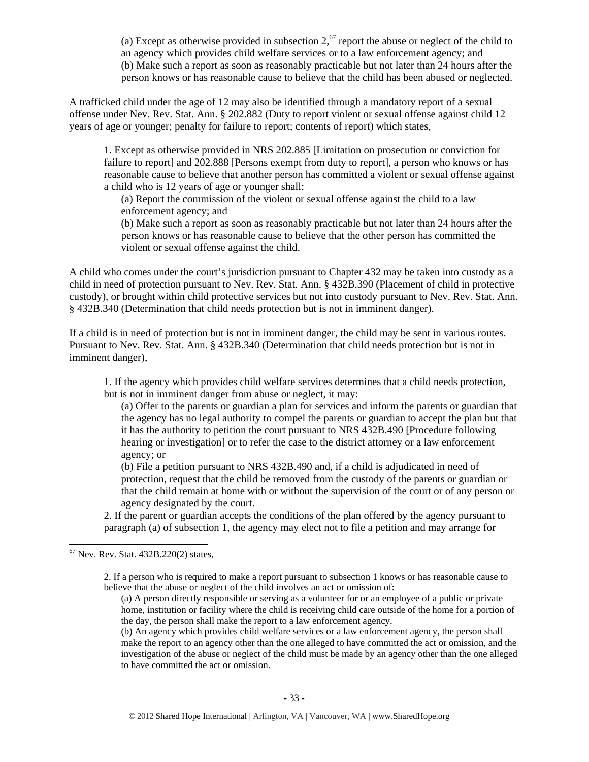(a) Except as otherwise provided in subsection  $2<sup>67</sup>$  report the abuse or neglect of the child to an agency which provides child welfare services or to a law enforcement agency; and (b) Make such a report as soon as reasonably practicable but not later than 24 hours after the person knows or has reasonable cause to believe that the child has been abused or neglected.

A trafficked child under the age of 12 may also be identified through a mandatory report of a sexual offense under Nev. Rev. Stat. Ann. § 202.882 (Duty to report violent or sexual offense against child 12 years of age or younger; penalty for failure to report; contents of report) which states,

1. Except as otherwise provided in NRS 202.885 [Limitation on prosecution or conviction for failure to report] and 202.888 [Persons exempt from duty to report], a person who knows or has reasonable cause to believe that another person has committed a violent or sexual offense against a child who is 12 years of age or younger shall:

(a) Report the commission of the violent or sexual offense against the child to a law enforcement agency; and

(b) Make such a report as soon as reasonably practicable but not later than 24 hours after the person knows or has reasonable cause to believe that the other person has committed the violent or sexual offense against the child.

A child who comes under the court's jurisdiction pursuant to Chapter 432 may be taken into custody as a child in need of protection pursuant to Nev. Rev. Stat. Ann. § 432B.390 (Placement of child in protective custody), or brought within child protective services but not into custody pursuant to Nev. Rev. Stat. Ann. § 432B.340 (Determination that child needs protection but is not in imminent danger).

If a child is in need of protection but is not in imminent danger, the child may be sent in various routes. Pursuant to Nev. Rev. Stat. Ann. § 432B.340 (Determination that child needs protection but is not in imminent danger),

1. If the agency which provides child welfare services determines that a child needs protection, but is not in imminent danger from abuse or neglect, it may:

(a) Offer to the parents or guardian a plan for services and inform the parents or guardian that the agency has no legal authority to compel the parents or guardian to accept the plan but that it has the authority to petition the court pursuant to NRS 432B.490 [Procedure following hearing or investigation] or to refer the case to the district attorney or a law enforcement agency; or

(b) File a petition pursuant to NRS 432B.490 and, if a child is adjudicated in need of protection, request that the child be removed from the custody of the parents or guardian or that the child remain at home with or without the supervision of the court or of any person or agency designated by the court.

2. If the parent or guardian accepts the conditions of the plan offered by the agency pursuant to paragraph (a) of subsection 1, the agency may elect not to file a petition and may arrange for

 $\overline{a}$ 

2. If a person who is required to make a report pursuant to subsection 1 knows or has reasonable cause to believe that the abuse or neglect of the child involves an act or omission of:

(a) A person directly responsible or serving as a volunteer for or an employee of a public or private home, institution or facility where the child is receiving child care outside of the home for a portion of the day, the person shall make the report to a law enforcement agency.

(b) An agency which provides child welfare services or a law enforcement agency, the person shall make the report to an agency other than the one alleged to have committed the act or omission, and the investigation of the abuse or neglect of the child must be made by an agency other than the one alleged to have committed the act or omission.

 $67$  Nev. Rev. Stat.  $432B.220(2)$  states,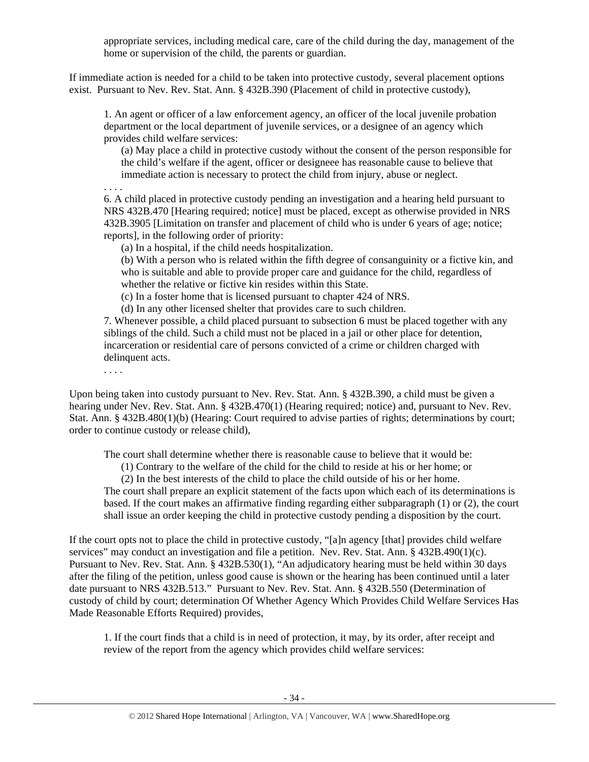appropriate services, including medical care, care of the child during the day, management of the home or supervision of the child, the parents or guardian.

If immediate action is needed for a child to be taken into protective custody, several placement options exist. Pursuant to Nev. Rev. Stat. Ann. § 432B.390 (Placement of child in protective custody),

1. An agent or officer of a law enforcement agency, an officer of the local juvenile probation department or the local department of juvenile services, or a designee of an agency which provides child welfare services:

(a) May place a child in protective custody without the consent of the person responsible for the child's welfare if the agent, officer or designeee has reasonable cause to believe that immediate action is necessary to protect the child from injury, abuse or neglect.

6. A child placed in protective custody pending an investigation and a hearing held pursuant to NRS 432B.470 [Hearing required; notice] must be placed, except as otherwise provided in NRS 432B.3905 [Limitation on transfer and placement of child who is under 6 years of age; notice; reports], in the following order of priority:

(a) In a hospital, if the child needs hospitalization.

(b) With a person who is related within the fifth degree of consanguinity or a fictive kin, and who is suitable and able to provide proper care and guidance for the child, regardless of whether the relative or fictive kin resides within this State.

(c) In a foster home that is licensed pursuant to chapter 424 of NRS.

(d) In any other licensed shelter that provides care to such children.

7. Whenever possible, a child placed pursuant to subsection 6 must be placed together with any siblings of the child. Such a child must not be placed in a jail or other place for detention, incarceration or residential care of persons convicted of a crime or children charged with delinquent acts.

. . . .

. . . .

Upon being taken into custody pursuant to Nev. Rev. Stat. Ann. § 432B.390, a child must be given a hearing under Nev. Rev. Stat. Ann. § 432B.470(1) (Hearing required; notice) and, pursuant to Nev. Rev. Stat. Ann. § 432B.480(1)(b) (Hearing: Court required to advise parties of rights; determinations by court; order to continue custody or release child),

The court shall determine whether there is reasonable cause to believe that it would be:

(1) Contrary to the welfare of the child for the child to reside at his or her home; or

(2) In the best interests of the child to place the child outside of his or her home. The court shall prepare an explicit statement of the facts upon which each of its determinations is based. If the court makes an affirmative finding regarding either subparagraph (1) or (2), the court shall issue an order keeping the child in protective custody pending a disposition by the court.

If the court opts not to place the child in protective custody, "[a]n agency [that] provides child welfare services" may conduct an investigation and file a petition. Nev. Rev. Stat. Ann. § 432B.490(1)(c). Pursuant to Nev. Rev. Stat. Ann. § 432B.530(1), "An adjudicatory hearing must be held within 30 days after the filing of the petition, unless good cause is shown or the hearing has been continued until a later date pursuant to NRS 432B.513." Pursuant to Nev. Rev. Stat. Ann. § 432B.550 (Determination of custody of child by court; determination Of Whether Agency Which Provides Child Welfare Services Has Made Reasonable Efforts Required) provides,

1. If the court finds that a child is in need of protection, it may, by its order, after receipt and review of the report from the agency which provides child welfare services: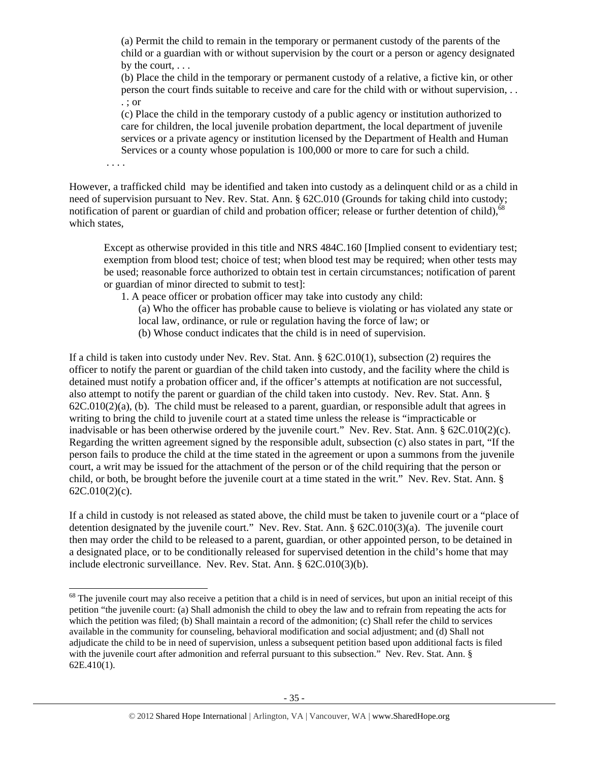(a) Permit the child to remain in the temporary or permanent custody of the parents of the child or a guardian with or without supervision by the court or a person or agency designated by the court, . . .

(b) Place the child in the temporary or permanent custody of a relative, a fictive kin, or other person the court finds suitable to receive and care for the child with or without supervision, . . . ; or

(c) Place the child in the temporary custody of a public agency or institution authorized to care for children, the local juvenile probation department, the local department of juvenile services or a private agency or institution licensed by the Department of Health and Human Services or a county whose population is 100,000 or more to care for such a child.

. . . .

 $\overline{a}$ 

However, a trafficked child may be identified and taken into custody as a delinquent child or as a child in need of supervision pursuant to Nev. Rev. Stat. Ann. § 62C.010 (Grounds for taking child into custody; notification of parent or guardian of child and probation officer; release or further detention of child),<sup>68</sup> which states,

Except as otherwise provided in this title and NRS 484C.160 [Implied consent to evidentiary test; exemption from blood test; choice of test; when blood test may be required; when other tests may be used; reasonable force authorized to obtain test in certain circumstances; notification of parent or guardian of minor directed to submit to test]:

1. A peace officer or probation officer may take into custody any child:

- (a) Who the officer has probable cause to believe is violating or has violated any state or local law, ordinance, or rule or regulation having the force of law; or
- (b) Whose conduct indicates that the child is in need of supervision.

If a child is taken into custody under Nev. Rev. Stat. Ann. § 62C.010(1), subsection (2) requires the officer to notify the parent or guardian of the child taken into custody, and the facility where the child is detained must notify a probation officer and, if the officer's attempts at notification are not successful, also attempt to notify the parent or guardian of the child taken into custody. Nev. Rev. Stat. Ann. §  $62C.010(2)(a)$ , (b). The child must be released to a parent, guardian, or responsible adult that agrees in writing to bring the child to juvenile court at a stated time unless the release is "impracticable or inadvisable or has been otherwise ordered by the juvenile court." Nev. Rev. Stat. Ann. § 62C.010(2)(c). Regarding the written agreement signed by the responsible adult, subsection (c) also states in part, "If the person fails to produce the child at the time stated in the agreement or upon a summons from the juvenile court, a writ may be issued for the attachment of the person or of the child requiring that the person or child, or both, be brought before the juvenile court at a time stated in the writ." Nev. Rev. Stat. Ann. § 62C.010(2)(c).

If a child in custody is not released as stated above, the child must be taken to juvenile court or a "place of detention designated by the juvenile court." Nev. Rev. Stat. Ann. § 62C.010(3)(a). The juvenile court then may order the child to be released to a parent, guardian, or other appointed person, to be detained in a designated place, or to be conditionally released for supervised detention in the child's home that may include electronic surveillance. Nev. Rev. Stat. Ann. § 62C.010(3)(b).

 $68$  The juvenile court may also receive a petition that a child is in need of services, but upon an initial receipt of this petition "the juvenile court: (a) Shall admonish the child to obey the law and to refrain from repeating the acts for which the petition was filed; (b) Shall maintain a record of the admonition; (c) Shall refer the child to services available in the community for counseling, behavioral modification and social adjustment; and (d) Shall not adjudicate the child to be in need of supervision, unless a subsequent petition based upon additional facts is filed with the juvenile court after admonition and referral pursuant to this subsection." Nev. Rev. Stat. Ann. § 62E.410(1).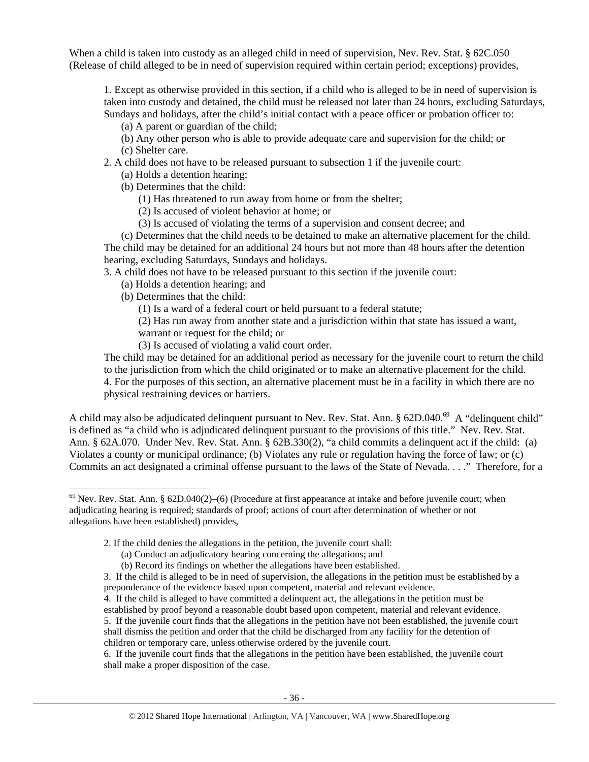When a child is taken into custody as an alleged child in need of supervision, Nev. Rev. Stat. § 62C.050 (Release of child alleged to be in need of supervision required within certain period; exceptions) provides,

1. Except as otherwise provided in this section, if a child who is alleged to be in need of supervision is taken into custody and detained, the child must be released not later than 24 hours, excluding Saturdays, Sundays and holidays, after the child's initial contact with a peace officer or probation officer to:

(a) A parent or guardian of the child;

- (b) Any other person who is able to provide adequate care and supervision for the child; or (c) Shelter care.
- 2. A child does not have to be released pursuant to subsection 1 if the juvenile court:
	- (a) Holds a detention hearing;
	- (b) Determines that the child:
		- (1) Has threatened to run away from home or from the shelter;
		- (2) Is accused of violent behavior at home; or
		- (3) Is accused of violating the terms of a supervision and consent decree; and

(c) Determines that the child needs to be detained to make an alternative placement for the child. The child may be detained for an additional 24 hours but not more than 48 hours after the detention hearing, excluding Saturdays, Sundays and holidays.

3. A child does not have to be released pursuant to this section if the juvenile court:

- (a) Holds a detention hearing; and
- (b) Determines that the child:

 $\overline{a}$ 

(1) Is a ward of a federal court or held pursuant to a federal statute;

(2) Has run away from another state and a jurisdiction within that state has issued a want,

warrant or request for the child; or

(3) Is accused of violating a valid court order.

The child may be detained for an additional period as necessary for the juvenile court to return the child to the jurisdiction from which the child originated or to make an alternative placement for the child. 4. For the purposes of this section, an alternative placement must be in a facility in which there are no physical restraining devices or barriers.

A child may also be adjudicated delinquent pursuant to Nev. Rev. Stat. Ann. § 62D.040.<sup>69</sup> A "delinquent child" is defined as "a child who is adjudicated delinquent pursuant to the provisions of this title." Nev. Rev. Stat. Ann. § 62A.070. Under Nev. Rev. Stat. Ann. § 62B.330(2), "a child commits a delinquent act if the child: (a) Violates a county or municipal ordinance; (b) Violates any rule or regulation having the force of law; or (c) Commits an act designated a criminal offense pursuant to the laws of the State of Nevada. . . ." Therefore, for a

2. If the child denies the allegations in the petition, the juvenile court shall:

6. If the juvenile court finds that the allegations in the petition have been established, the juvenile court shall make a proper disposition of the case.

 $69$  Nev. Rev. Stat. Ann. § 62D.040(2)–(6) (Procedure at first appearance at intake and before juvenile court; when adjudicating hearing is required; standards of proof; actions of court after determination of whether or not allegations have been established) provides,

<sup>(</sup>a) Conduct an adjudicatory hearing concerning the allegations; and

<sup>(</sup>b) Record its findings on whether the allegations have been established.

<sup>3.</sup> If the child is alleged to be in need of supervision, the allegations in the petition must be established by a preponderance of the evidence based upon competent, material and relevant evidence.

<sup>4.</sup> If the child is alleged to have committed a delinquent act, the allegations in the petition must be

established by proof beyond a reasonable doubt based upon competent, material and relevant evidence. 5. If the juvenile court finds that the allegations in the petition have not been established, the juvenile court

shall dismiss the petition and order that the child be discharged from any facility for the detention of children or temporary care, unless otherwise ordered by the juvenile court.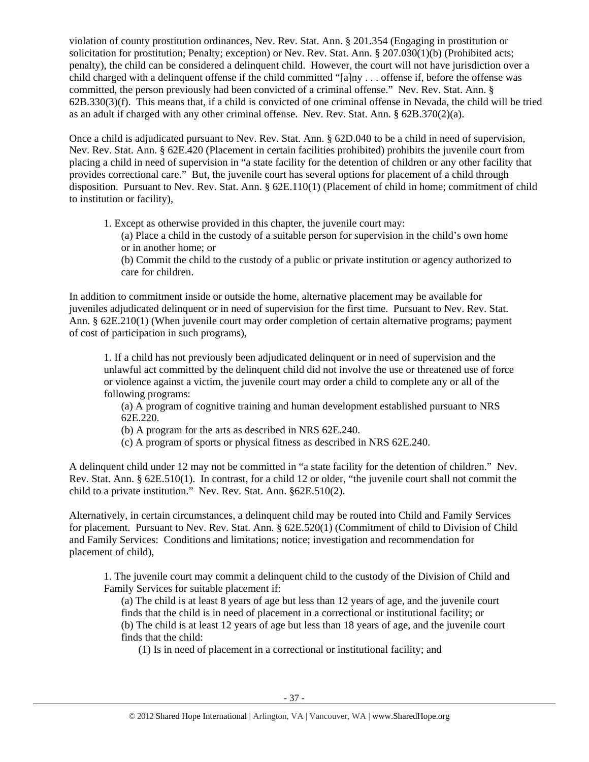violation of county prostitution ordinances, Nev. Rev. Stat. Ann. § 201.354 (Engaging in prostitution or solicitation for prostitution; Penalty; exception) or Nev. Rev. Stat. Ann. § 207.030(1)(b) (Prohibited acts; penalty), the child can be considered a delinquent child. However, the court will not have jurisdiction over a child charged with a delinquent offense if the child committed "[a]ny . . . offense if, before the offense was committed, the person previously had been convicted of a criminal offense." Nev. Rev. Stat. Ann. § 62B.330(3)(f). This means that, if a child is convicted of one criminal offense in Nevada, the child will be tried as an adult if charged with any other criminal offense. Nev. Rev. Stat. Ann. § 62B.370(2)(a).

Once a child is adjudicated pursuant to Nev. Rev. Stat. Ann. § 62D.040 to be a child in need of supervision, Nev. Rev. Stat. Ann. § 62E.420 (Placement in certain facilities prohibited) prohibits the juvenile court from placing a child in need of supervision in "a state facility for the detention of children or any other facility that provides correctional care." But, the juvenile court has several options for placement of a child through disposition. Pursuant to Nev. Rev. Stat. Ann. § 62E.110(1) (Placement of child in home; commitment of child to institution or facility),

1. Except as otherwise provided in this chapter, the juvenile court may:

(a) Place a child in the custody of a suitable person for supervision in the child's own home or in another home; or

(b) Commit the child to the custody of a public or private institution or agency authorized to care for children.

In addition to commitment inside or outside the home, alternative placement may be available for juveniles adjudicated delinquent or in need of supervision for the first time. Pursuant to Nev. Rev. Stat. Ann. § 62E.210(1) (When juvenile court may order completion of certain alternative programs; payment of cost of participation in such programs),

1. If a child has not previously been adjudicated delinquent or in need of supervision and the unlawful act committed by the delinquent child did not involve the use or threatened use of force or violence against a victim, the juvenile court may order a child to complete any or all of the following programs:

(a) A program of cognitive training and human development established pursuant to NRS 62E.220.

(b) A program for the arts as described in NRS 62E.240.

(c) A program of sports or physical fitness as described in NRS 62E.240.

A delinquent child under 12 may not be committed in "a state facility for the detention of children." Nev. Rev. Stat. Ann. § 62E.510(1). In contrast, for a child 12 or older, "the juvenile court shall not commit the child to a private institution." Nev. Rev. Stat. Ann. §62E.510(2).

Alternatively, in certain circumstances, a delinquent child may be routed into Child and Family Services for placement. Pursuant to Nev. Rev. Stat. Ann. § 62E.520(1) (Commitment of child to Division of Child and Family Services: Conditions and limitations; notice; investigation and recommendation for placement of child),

1. The juvenile court may commit a delinquent child to the custody of the Division of Child and Family Services for suitable placement if:

(a) The child is at least 8 years of age but less than 12 years of age, and the juvenile court finds that the child is in need of placement in a correctional or institutional facility; or (b) The child is at least 12 years of age but less than 18 years of age, and the juvenile court finds that the child:

(1) Is in need of placement in a correctional or institutional facility; and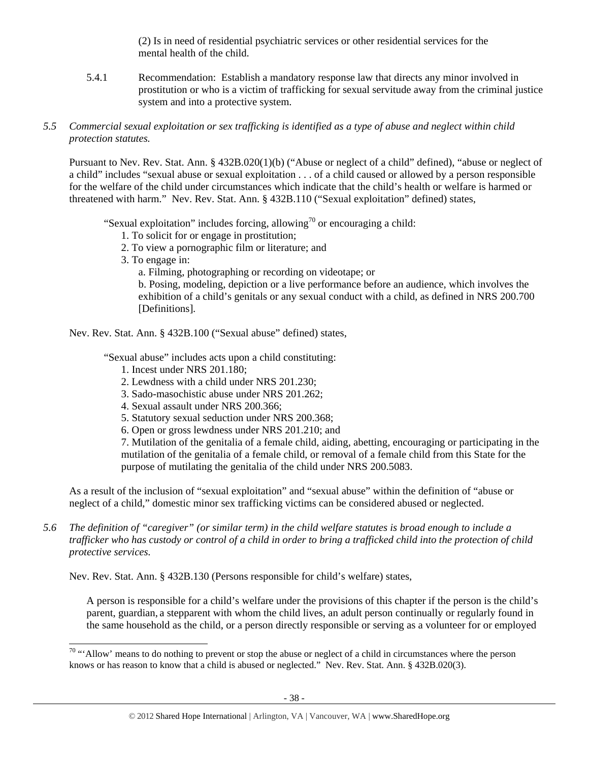(2) Is in need of residential psychiatric services or other residential services for the mental health of the child.

5.4.1 Recommendation: Establish a mandatory response law that directs any minor involved in prostitution or who is a victim of trafficking for sexual servitude away from the criminal justice system and into a protective system.

## *5.5 Commercial sexual exploitation or sex trafficking is identified as a type of abuse and neglect within child protection statutes.*

Pursuant to Nev. Rev. Stat. Ann. § 432B.020(1)(b) ("Abuse or neglect of a child" defined), "abuse or neglect of a child" includes "sexual abuse or sexual exploitation . . . of a child caused or allowed by a person responsible for the welfare of the child under circumstances which indicate that the child's health or welfare is harmed or threatened with harm." Nev. Rev. Stat. Ann. § 432B.110 ("Sexual exploitation" defined) states,

"Sexual exploitation" includes forcing, allowing<sup>70</sup> or encouraging a child:

- 1. To solicit for or engage in prostitution;
- 2. To view a pornographic film or literature; and
- 3. To engage in:

 $\overline{a}$ 

a. Filming, photographing or recording on videotape; or

b. Posing, modeling, depiction or a live performance before an audience, which involves the exhibition of a child's genitals or any sexual conduct with a child, as defined in NRS 200.700 [Definitions].

Nev. Rev. Stat. Ann. § 432B.100 ("Sexual abuse" defined) states,

"Sexual abuse" includes acts upon a child constituting:

- 1. Incest under NRS 201.180;
- 2. Lewdness with a child under NRS 201.230;
- 3. Sado-masochistic abuse under NRS 201.262;
- 4. Sexual assault under NRS 200.366;
- 5. Statutory sexual seduction under NRS 200.368;
- 6. Open or gross lewdness under NRS 201.210; and

7. Mutilation of the genitalia of a female child, aiding, abetting, encouraging or participating in the mutilation of the genitalia of a female child, or removal of a female child from this State for the purpose of mutilating the genitalia of the child under NRS 200.5083.

As a result of the inclusion of "sexual exploitation" and "sexual abuse" within the definition of "abuse or neglect of a child," domestic minor sex trafficking victims can be considered abused or neglected.

*5.6 The definition of "caregiver" (or similar term) in the child welfare statutes is broad enough to include a trafficker who has custody or control of a child in order to bring a trafficked child into the protection of child protective services.* 

Nev. Rev. Stat. Ann. § 432B.130 (Persons responsible for child's welfare) states,

A person is responsible for a child's welfare under the provisions of this chapter if the person is the child's parent, guardian, a stepparent with whom the child lives, an adult person continually or regularly found in the same household as the child, or a person directly responsible or serving as a volunteer for or employed

 $70$  "'Allow' means to do nothing to prevent or stop the abuse or neglect of a child in circumstances where the person knows or has reason to know that a child is abused or neglected." Nev. Rev. Stat. Ann. § 432B.020(3).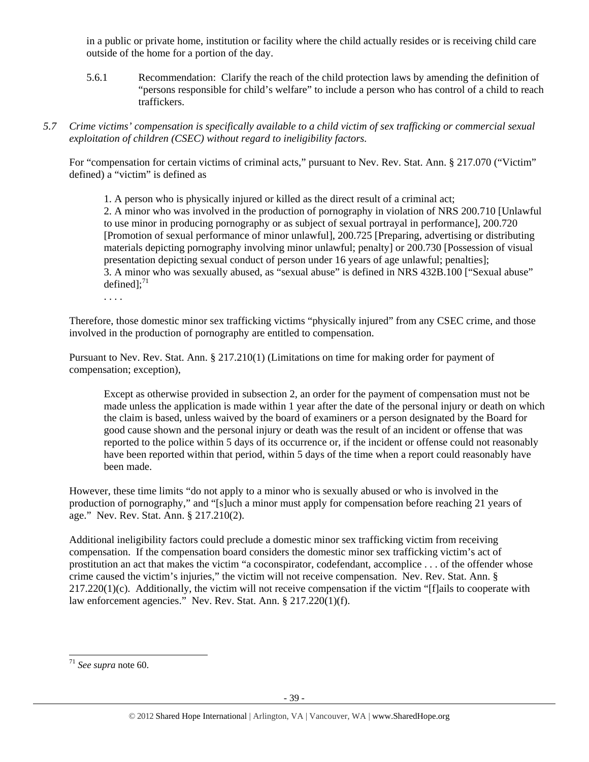in a public or private home, institution or facility where the child actually resides or is receiving child care outside of the home for a portion of the day.

- 5.6.1 Recommendation: Clarify the reach of the child protection laws by amending the definition of "persons responsible for child's welfare" to include a person who has control of a child to reach traffickers.
- *5.7 Crime victims' compensation is specifically available to a child victim of sex trafficking or commercial sexual exploitation of children (CSEC) without regard to ineligibility factors.*

For "compensation for certain victims of criminal acts," pursuant to Nev. Rev. Stat. Ann. § 217.070 ("Victim" defined) a "victim" is defined as

1. A person who is physically injured or killed as the direct result of a criminal act;

2. A minor who was involved in the production of pornography in violation of NRS 200.710 [Unlawful to use minor in producing pornography or as subject of sexual portrayal in performance], 200.720 [Promotion of sexual performance of minor unlawful], 200.725 [Preparing, advertising or distributing materials depicting pornography involving minor unlawful; penalty] or 200.730 [Possession of visual presentation depicting sexual conduct of person under 16 years of age unlawful; penalties]; 3. A minor who was sexually abused, as "sexual abuse" is defined in NRS 432B.100 ["Sexual abuse" defined]; $^{71}$ 

. . . .

Therefore, those domestic minor sex trafficking victims "physically injured" from any CSEC crime, and those involved in the production of pornography are entitled to compensation.

Pursuant to Nev. Rev. Stat. Ann. § 217.210(1) (Limitations on time for making order for payment of compensation; exception),

Except as otherwise provided in subsection 2, an order for the payment of compensation must not be made unless the application is made within 1 year after the date of the personal injury or death on which the claim is based, unless waived by the board of examiners or a person designated by the Board for good cause shown and the personal injury or death was the result of an incident or offense that was reported to the police within 5 days of its occurrence or, if the incident or offense could not reasonably have been reported within that period, within 5 days of the time when a report could reasonably have been made.

However, these time limits "do not apply to a minor who is sexually abused or who is involved in the production of pornography," and "[s]uch a minor must apply for compensation before reaching 21 years of age." Nev. Rev. Stat. Ann. § 217.210(2).

Additional ineligibility factors could preclude a domestic minor sex trafficking victim from receiving compensation. If the compensation board considers the domestic minor sex trafficking victim's act of prostitution an act that makes the victim "a coconspirator, codefendant, accomplice . . . of the offender whose crime caused the victim's injuries," the victim will not receive compensation. Nev. Rev. Stat. Ann. §  $217.220(1)(c)$ . Additionally, the victim will not receive compensation if the victim "[f]ails to cooperate with law enforcement agencies." Nev. Rev. Stat. Ann. § 217.220(1)(f).

<sup>71</sup> *See supra* note 60.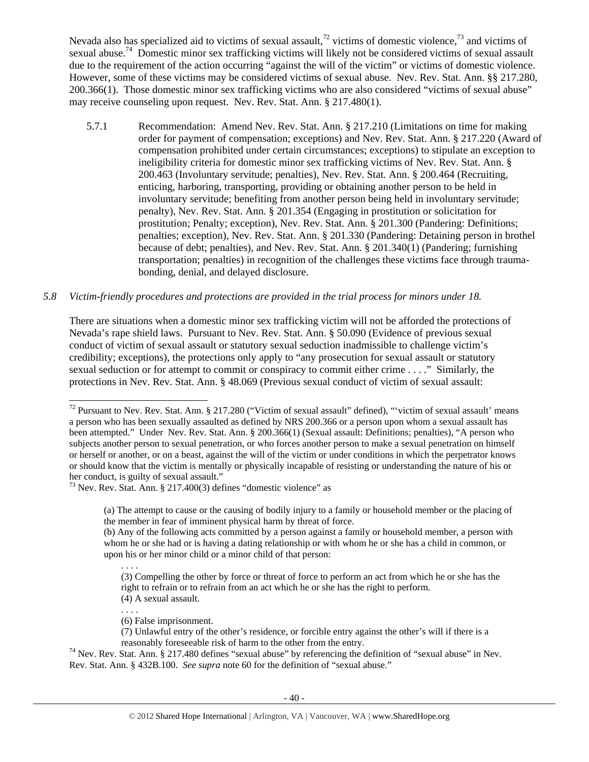Nevada also has specialized aid to victims of sexual assault,<sup>72</sup> victims of domestic violence,<sup>73</sup> and victims of sexual abuse.<sup>74</sup> Domestic minor sex trafficking victims will likely not be considered victims of sexual assault due to the requirement of the action occurring "against the will of the victim" or victims of domestic violence. However, some of these victims may be considered victims of sexual abuse. Nev. Rev. Stat. Ann. §§ 217.280, 200.366(1). Those domestic minor sex trafficking victims who are also considered "victims of sexual abuse" may receive counseling upon request. Nev. Rev. Stat. Ann. § 217.480(1).

5.7.1 Recommendation: Amend Nev. Rev. Stat. Ann. § 217.210 (Limitations on time for making order for payment of compensation; exceptions) and Nev. Rev. Stat. Ann. § 217.220 (Award of compensation prohibited under certain circumstances; exceptions) to stipulate an exception to ineligibility criteria for domestic minor sex trafficking victims of Nev. Rev. Stat. Ann. § 200.463 (Involuntary servitude; penalties), Nev. Rev. Stat. Ann. § 200.464 (Recruiting, enticing, harboring, transporting, providing or obtaining another person to be held in involuntary servitude; benefiting from another person being held in involuntary servitude; penalty), Nev. Rev. Stat. Ann. § 201.354 (Engaging in prostitution or solicitation for prostitution; Penalty; exception), Nev. Rev. Stat. Ann. § 201.300 (Pandering: Definitions; penalties; exception), Nev. Rev. Stat. Ann. § 201.330 (Pandering: Detaining person in brothel because of debt; penalties), and Nev. Rev. Stat. Ann. § 201.340(1) (Pandering; furnishing transportation; penalties) in recognition of the challenges these victims face through traumabonding, denial, and delayed disclosure.

# *5.8 Victim-friendly procedures and protections are provided in the trial process for minors under 18.*

There are situations when a domestic minor sex trafficking victim will not be afforded the protections of Nevada's rape shield laws. Pursuant to Nev. Rev. Stat. Ann. § 50.090 (Evidence of previous sexual conduct of victim of sexual assault or statutory sexual seduction inadmissible to challenge victim's credibility; exceptions), the protections only apply to "any prosecution for sexual assault or statutory sexual seduction or for attempt to commit or conspiracy to commit either crime . . . ." Similarly, the protections in Nev. Rev. Stat. Ann. § 48.069 (Previous sexual conduct of victim of sexual assault:

. . . .

 $\overline{a}$ 

reasonably foreseeable risk of harm to the other from the entry. 74 Nev. Rev. Stat. Ann. § 217.480 defines "sexual abuse" by referencing the definition of "sexual abuse" in Nev. Rev. Stat. Ann. § 432B.100. *See supra* note 60 for the definition of "sexual abuse."

<sup>&</sup>lt;sup>72</sup> Pursuant to Nev. Rev. Stat. Ann. § 217.280 ("Victim of sexual assault" defined), "'victim of sexual assault' means a person who has been sexually assaulted as defined by NRS 200.366 or a person upon whom a sexual assault has been attempted." Under Nev. Rev. Stat. Ann. § 200.366(1) (Sexual assault: Definitions; penalties), "A person who subjects another person to sexual penetration, or who forces another person to make a sexual penetration on himself or herself or another, or on a beast, against the will of the victim or under conditions in which the perpetrator knows or should know that the victim is mentally or physically incapable of resisting or understanding the nature of his or her conduct, is guilty of sexual assault."

 $73$  Nev. Rev. Stat. Ann. § 217.400(3) defines "domestic violence" as

<sup>(</sup>a) The attempt to cause or the causing of bodily injury to a family or household member or the placing of the member in fear of imminent physical harm by threat of force.

<sup>(</sup>b) Any of the following acts committed by a person against a family or household member, a person with whom he or she had or is having a dating relationship or with whom he or she has a child in common, or upon his or her minor child or a minor child of that person:

<sup>. . . .</sup>  (3) Compelling the other by force or threat of force to perform an act from which he or she has the right to refrain or to refrain from an act which he or she has the right to perform. (4) A sexual assault.

<sup>(6)</sup> False imprisonment.

<sup>(7)</sup> Unlawful entry of the other's residence, or forcible entry against the other's will if there is a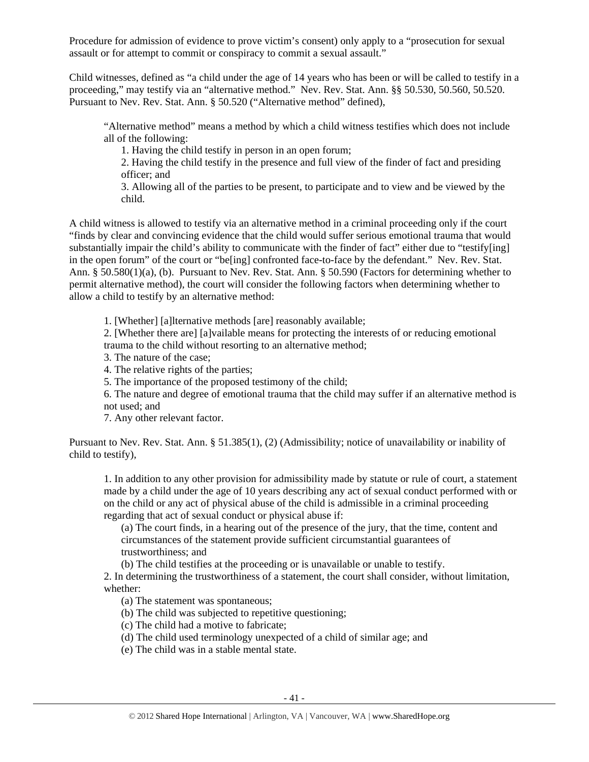Procedure for admission of evidence to prove victim's consent) only apply to a "prosecution for sexual assault or for attempt to commit or conspiracy to commit a sexual assault."

Child witnesses, defined as "a child under the age of 14 years who has been or will be called to testify in a proceeding," may testify via an "alternative method." Nev. Rev. Stat. Ann. §§ 50.530, 50.560, 50.520. Pursuant to Nev. Rev. Stat. Ann. § 50.520 ("Alternative method" defined),

"Alternative method" means a method by which a child witness testifies which does not include all of the following:

1. Having the child testify in person in an open forum;

2. Having the child testify in the presence and full view of the finder of fact and presiding officer; and

3. Allowing all of the parties to be present, to participate and to view and be viewed by the child.

A child witness is allowed to testify via an alternative method in a criminal proceeding only if the court "finds by clear and convincing evidence that the child would suffer serious emotional trauma that would substantially impair the child's ability to communicate with the finder of fact" either due to "testify[ing] in the open forum" of the court or "be[ing] confronted face-to-face by the defendant." Nev. Rev. Stat. Ann. § 50.580(1)(a), (b). Pursuant to Nev. Rev. Stat. Ann. § 50.590 (Factors for determining whether to permit alternative method), the court will consider the following factors when determining whether to allow a child to testify by an alternative method:

1. [Whether] [a]lternative methods [are] reasonably available;

2. [Whether there are] [a]vailable means for protecting the interests of or reducing emotional trauma to the child without resorting to an alternative method;

3. The nature of the case;

4. The relative rights of the parties;

5. The importance of the proposed testimony of the child;

6. The nature and degree of emotional trauma that the child may suffer if an alternative method is not used; and

7. Any other relevant factor.

Pursuant to Nev. Rev. Stat. Ann. § 51.385(1), (2) (Admissibility; notice of unavailability or inability of child to testify),

1. In addition to any other provision for admissibility made by statute or rule of court, a statement made by a child under the age of 10 years describing any act of sexual conduct performed with or on the child or any act of physical abuse of the child is admissible in a criminal proceeding regarding that act of sexual conduct or physical abuse if:

(a) The court finds, in a hearing out of the presence of the jury, that the time, content and circumstances of the statement provide sufficient circumstantial guarantees of trustworthiness; and

(b) The child testifies at the proceeding or is unavailable or unable to testify.

2. In determining the trustworthiness of a statement, the court shall consider, without limitation, whether:

(a) The statement was spontaneous;

(b) The child was subjected to repetitive questioning;

(c) The child had a motive to fabricate;

(d) The child used terminology unexpected of a child of similar age; and

(e) The child was in a stable mental state.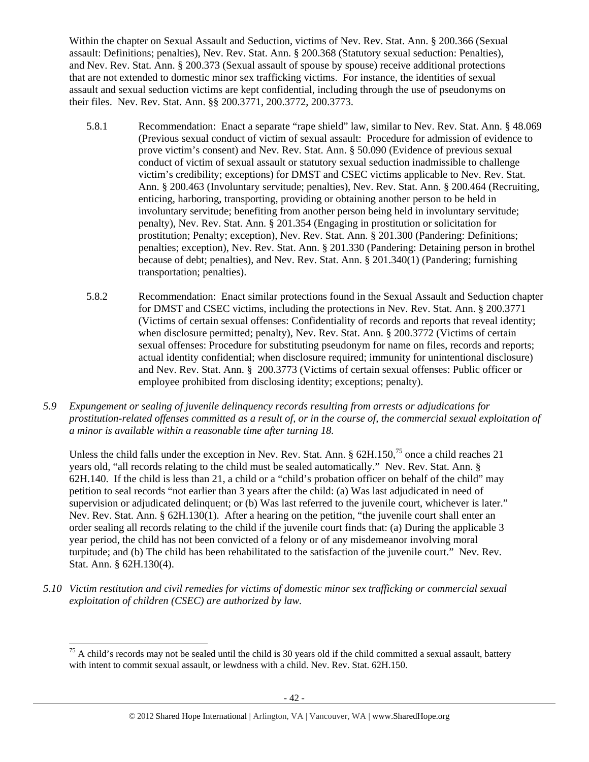Within the chapter on Sexual Assault and Seduction, victims of Nev. Rev. Stat. Ann. § 200.366 (Sexual assault: Definitions; penalties), Nev. Rev. Stat. Ann. § 200.368 (Statutory sexual seduction: Penalties), and Nev. Rev. Stat. Ann. § 200.373 (Sexual assault of spouse by spouse) receive additional protections that are not extended to domestic minor sex trafficking victims. For instance, the identities of sexual assault and sexual seduction victims are kept confidential, including through the use of pseudonyms on their files. Nev. Rev. Stat. Ann. §§ 200.3771, 200.3772, 200.3773.

- 5.8.1 Recommendation: Enact a separate "rape shield" law, similar to Nev. Rev. Stat. Ann. § 48.069 (Previous sexual conduct of victim of sexual assault: Procedure for admission of evidence to prove victim's consent) and Nev. Rev. Stat. Ann. § 50.090 (Evidence of previous sexual conduct of victim of sexual assault or statutory sexual seduction inadmissible to challenge victim's credibility; exceptions) for DMST and CSEC victims applicable to Nev. Rev. Stat. Ann. § 200.463 (Involuntary servitude; penalties), Nev. Rev. Stat. Ann. § 200.464 (Recruiting, enticing, harboring, transporting, providing or obtaining another person to be held in involuntary servitude; benefiting from another person being held in involuntary servitude; penalty), Nev. Rev. Stat. Ann. § 201.354 (Engaging in prostitution or solicitation for prostitution; Penalty; exception), Nev. Rev. Stat. Ann. § 201.300 (Pandering: Definitions; penalties; exception), Nev. Rev. Stat. Ann. § 201.330 (Pandering: Detaining person in brothel because of debt; penalties), and Nev. Rev. Stat. Ann. § 201.340(1) (Pandering; furnishing transportation; penalties).
- 5.8.2 Recommendation: Enact similar protections found in the Sexual Assault and Seduction chapter for DMST and CSEC victims, including the protections in Nev. Rev. Stat. Ann. § 200.3771 (Victims of certain sexual offenses: Confidentiality of records and reports that reveal identity; when disclosure permitted; penalty), Nev. Rev. Stat. Ann. § 200.3772 (Victims of certain sexual offenses: Procedure for substituting pseudonym for name on files, records and reports; actual identity confidential; when disclosure required; immunity for unintentional disclosure) and Nev. Rev. Stat. Ann. § 200.3773 (Victims of certain sexual offenses: Public officer or employee prohibited from disclosing identity; exceptions; penalty).
- *5.9 Expungement or sealing of juvenile delinquency records resulting from arrests or adjudications for prostitution-related offenses committed as a result of, or in the course of, the commercial sexual exploitation of a minor is available within a reasonable time after turning 18.*

Unless the child falls under the exception in Nev. Rev. Stat. Ann. § 62H.150,<sup>75</sup> once a child reaches 21 years old, "all records relating to the child must be sealed automatically." Nev. Rev. Stat. Ann. § 62H.140. If the child is less than 21, a child or a "child's probation officer on behalf of the child" may petition to seal records "not earlier than 3 years after the child: (a) Was last adjudicated in need of supervision or adjudicated delinquent; or (b) Was last referred to the juvenile court, whichever is later." Nev. Rev. Stat. Ann. § 62H.130(1). After a hearing on the petition, "the juvenile court shall enter an order sealing all records relating to the child if the juvenile court finds that: (a) During the applicable 3 year period, the child has not been convicted of a felony or of any misdemeanor involving moral turpitude; and (b) The child has been rehabilitated to the satisfaction of the juvenile court." Nev. Rev. Stat. Ann. § 62H.130(4).

*5.10 Victim restitution and civil remedies for victims of domestic minor sex trafficking or commercial sexual exploitation of children (CSEC) are authorized by law.* 

 $<sup>75</sup>$  A child's records may not be sealed until the child is 30 years old if the child committed a sexual assault, battery</sup> with intent to commit sexual assault, or lewdness with a child. Nev. Rev. Stat. 62H.150.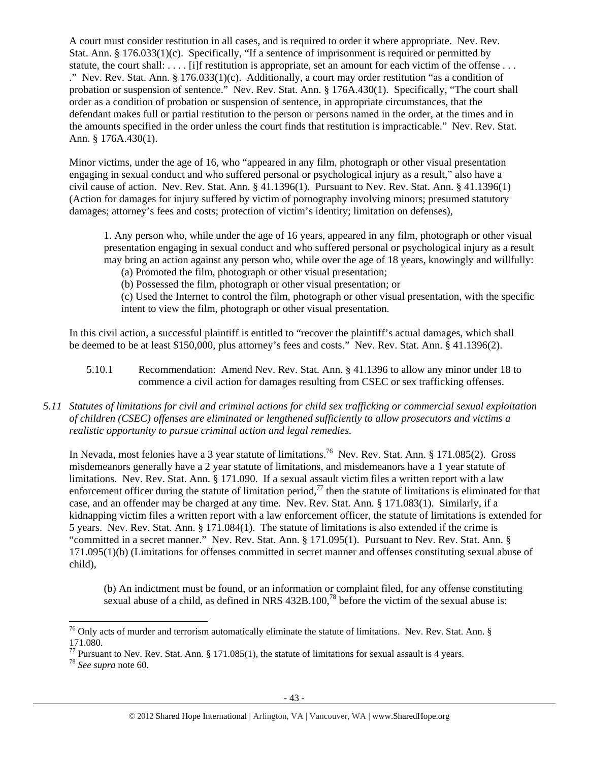A court must consider restitution in all cases, and is required to order it where appropriate. Nev. Rev. Stat. Ann. § 176.033(1)(c). Specifically, "If a sentence of imprisonment is required or permitted by statute, the court shall: . . . . [i]f restitution is appropriate, set an amount for each victim of the offense . . . ." Nev. Rev. Stat. Ann.  $\S 176.033(1)(c)$ . Additionally, a court may order restitution "as a condition of probation or suspension of sentence." Nev. Rev. Stat. Ann. § 176A.430(1). Specifically, "The court shall order as a condition of probation or suspension of sentence, in appropriate circumstances, that the defendant makes full or partial restitution to the person or persons named in the order, at the times and in the amounts specified in the order unless the court finds that restitution is impracticable." Nev. Rev. Stat. Ann. § 176A.430(1).

Minor victims, under the age of 16, who "appeared in any film, photograph or other visual presentation engaging in sexual conduct and who suffered personal or psychological injury as a result," also have a civil cause of action. Nev. Rev. Stat. Ann. § 41.1396(1). Pursuant to Nev. Rev. Stat. Ann. § 41.1396(1) (Action for damages for injury suffered by victim of pornography involving minors; presumed statutory damages; attorney's fees and costs; protection of victim's identity; limitation on defenses),

1. Any person who, while under the age of 16 years, appeared in any film, photograph or other visual presentation engaging in sexual conduct and who suffered personal or psychological injury as a result may bring an action against any person who, while over the age of 18 years, knowingly and willfully:

(a) Promoted the film, photograph or other visual presentation;

(b) Possessed the film, photograph or other visual presentation; or

(c) Used the Internet to control the film, photograph or other visual presentation, with the specific intent to view the film, photograph or other visual presentation.

In this civil action, a successful plaintiff is entitled to "recover the plaintiff's actual damages, which shall be deemed to be at least \$150,000, plus attorney's fees and costs." Nev. Rev. Stat. Ann. § 41.1396(2).

- 5.10.1 Recommendation: Amend Nev. Rev. Stat. Ann. § 41.1396 to allow any minor under 18 to commence a civil action for damages resulting from CSEC or sex trafficking offenses.
- *5.11 Statutes of limitations for civil and criminal actions for child sex trafficking or commercial sexual exploitation of children (CSEC) offenses are eliminated or lengthened sufficiently to allow prosecutors and victims a realistic opportunity to pursue criminal action and legal remedies.*

In Nevada, most felonies have a 3 year statute of limitations.<sup>76</sup> Nev. Rev. Stat. Ann. § 171.085(2). Gross misdemeanors generally have a 2 year statute of limitations, and misdemeanors have a 1 year statute of limitations. Nev. Rev. Stat. Ann. § 171.090. If a sexual assault victim files a written report with a law enforcement officer during the statute of limitation period, $^{77}$  then the statute of limitations is eliminated for that case, and an offender may be charged at any time. Nev. Rev. Stat. Ann. § 171.083(1). Similarly, if a kidnapping victim files a written report with a law enforcement officer, the statute of limitations is extended for 5 years. Nev. Rev. Stat. Ann. § 171.084(1). The statute of limitations is also extended if the crime is "committed in a secret manner." Nev. Rev. Stat. Ann. § 171.095(1). Pursuant to Nev. Rev. Stat. Ann. § 171.095(1)(b) (Limitations for offenses committed in secret manner and offenses constituting sexual abuse of child),

(b) An indictment must be found, or an information or complaint filed, for any offense constituting sexual abuse of a child, as defined in NRS  $432B.100$ ,<sup>78</sup> before the victim of the sexual abuse is:

 $\overline{a}$  $76$  Only acts of murder and terrorism automatically eliminate the statute of limitations. Nev. Rev. Stat. Ann. § 171.080.

<sup>&</sup>lt;sup>77</sup> Pursuant to Nev. Rev. Stat. Ann. § 171.085(1), the statute of limitations for sexual assault is 4 years.

<sup>78</sup> *See supra* note 60.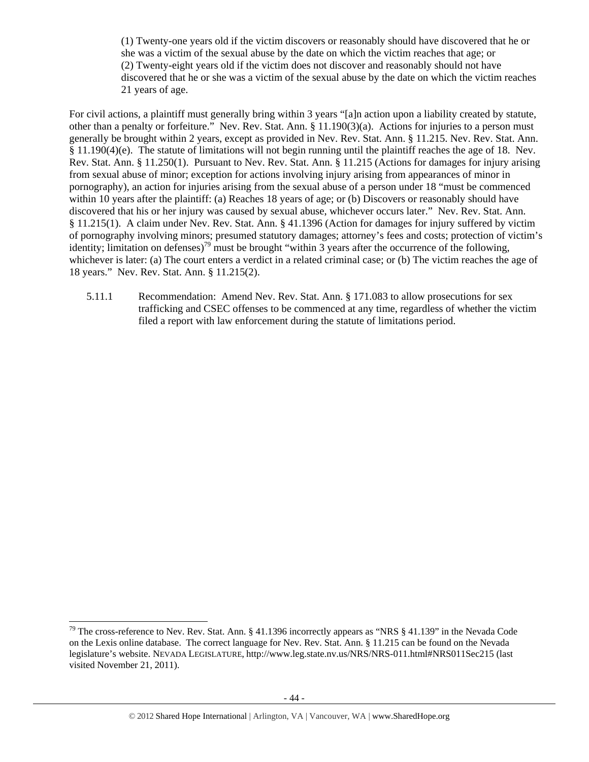(1) Twenty-one years old if the victim discovers or reasonably should have discovered that he or she was a victim of the sexual abuse by the date on which the victim reaches that age; or (2) Twenty-eight years old if the victim does not discover and reasonably should not have discovered that he or she was a victim of the sexual abuse by the date on which the victim reaches 21 years of age.

For civil actions, a plaintiff must generally bring within 3 years "[a]n action upon a liability created by statute, other than a penalty or forfeiture." Nev. Rev. Stat. Ann. § 11.190(3)(a). Actions for injuries to a person must generally be brought within 2 years, except as provided in Nev. Rev. Stat. Ann. § 11.215. Nev. Rev. Stat. Ann. § 11.190(4)(e). The statute of limitations will not begin running until the plaintiff reaches the age of 18. Nev. Rev. Stat. Ann. § 11.250(1). Pursuant to Nev. Rev. Stat. Ann. § 11.215 (Actions for damages for injury arising from sexual abuse of minor; exception for actions involving injury arising from appearances of minor in pornography), an action for injuries arising from the sexual abuse of a person under 18 "must be commenced within 10 years after the plaintiff: (a) Reaches 18 years of age; or (b) Discovers or reasonably should have discovered that his or her injury was caused by sexual abuse, whichever occurs later." Nev. Rev. Stat. Ann. § 11.215(1). A claim under Nev. Rev. Stat. Ann. § 41.1396 (Action for damages for injury suffered by victim of pornography involving minors; presumed statutory damages; attorney's fees and costs; protection of victim's identity; limitation on defenses)<sup>79</sup> must be brought "within 3 years after the occurrence of the following, whichever is later: (a) The court enters a verdict in a related criminal case; or (b) The victim reaches the age of 18 years." Nev. Rev. Stat. Ann. § 11.215(2).

5.11.1 Recommendation: Amend Nev. Rev. Stat. Ann. § 171.083 to allow prosecutions for sex trafficking and CSEC offenses to be commenced at any time, regardless of whether the victim filed a report with law enforcement during the statute of limitations period.

 $79$  The cross-reference to Nev. Rev. Stat. Ann. § 41.1396 incorrectly appears as "NRS § 41.139" in the Nevada Code on the Lexis online database. The correct language for Nev. Rev. Stat. Ann. § 11.215 can be found on the Nevada legislature's website. NEVADA LEGISLATURE, http://www.leg.state.nv.us/NRS/NRS-011.html#NRS011Sec215 (last visited November 21, 2011).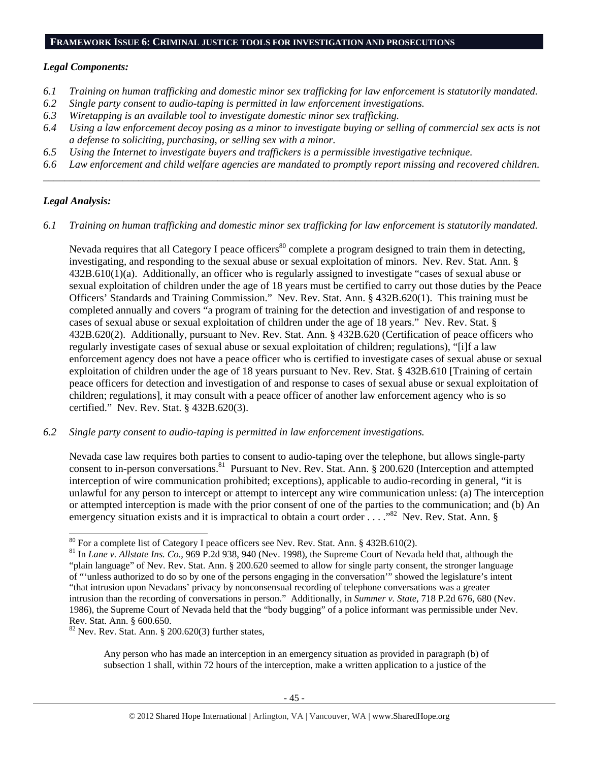#### **FRAMEWORK ISSUE 6: CRIMINAL JUSTICE TOOLS FOR INVESTIGATION AND PROSECUTIONS**

## *Legal Components:*

- *6.1 Training on human trafficking and domestic minor sex trafficking for law enforcement is statutorily mandated.*
- *6.2 Single party consent to audio-taping is permitted in law enforcement investigations.*
- *6.3 Wiretapping is an available tool to investigate domestic minor sex trafficking.*
- *6.4 Using a law enforcement decoy posing as a minor to investigate buying or selling of commercial sex acts is not a defense to soliciting, purchasing, or selling sex with a minor.*
- *6.5 Using the Internet to investigate buyers and traffickers is a permissible investigative technique.*
- *6.6 Law enforcement and child welfare agencies are mandated to promptly report missing and recovered children. \_\_\_\_\_\_\_\_\_\_\_\_\_\_\_\_\_\_\_\_\_\_\_\_\_\_\_\_\_\_\_\_\_\_\_\_\_\_\_\_\_\_\_\_\_\_\_\_\_\_\_\_\_\_\_\_\_\_\_\_\_\_\_\_\_\_\_\_\_\_\_\_\_\_\_\_\_\_\_\_\_\_\_\_\_\_\_\_\_\_\_\_\_\_*

# *Legal Analysis:*

*6.1 Training on human trafficking and domestic minor sex trafficking for law enforcement is statutorily mandated.*

Nevada requires that all Category I peace officers<sup>80</sup> complete a program designed to train them in detecting, investigating, and responding to the sexual abuse or sexual exploitation of minors. Nev. Rev. Stat. Ann. § 432B.610(1)(a). Additionally, an officer who is regularly assigned to investigate "cases of sexual abuse or sexual exploitation of children under the age of 18 years must be certified to carry out those duties by the Peace Officers' Standards and Training Commission." Nev. Rev. Stat. Ann. § 432B.620(1). This training must be completed annually and covers "a program of training for the detection and investigation of and response to cases of sexual abuse or sexual exploitation of children under the age of 18 years." Nev. Rev. Stat. § 432B.620(2). Additionally, pursuant to Nev. Rev. Stat. Ann. § 432B.620 (Certification of peace officers who regularly investigate cases of sexual abuse or sexual exploitation of children; regulations), "[i]f a law enforcement agency does not have a peace officer who is certified to investigate cases of sexual abuse or sexual exploitation of children under the age of 18 years pursuant to Nev. Rev. Stat. § 432B.610 [Training of certain peace officers for detection and investigation of and response to cases of sexual abuse or sexual exploitation of children; regulations], it may consult with a peace officer of another law enforcement agency who is so certified." Nev. Rev. Stat. § 432B.620(3).

*6.2 Single party consent to audio-taping is permitted in law enforcement investigations.* 

Nevada case law requires both parties to consent to audio-taping over the telephone, but allows single-party consent to in-person conversations.<sup>81</sup> Pursuant to Nev. Rev. Stat. Ann. § 200.620 (Interception and attempted interception of wire communication prohibited; exceptions), applicable to audio-recording in general, "it is unlawful for any person to intercept or attempt to intercept any wire communication unless: (a) The interception or attempted interception is made with the prior consent of one of the parties to the communication; and (b) An emergency situation exists and it is impractical to obtain a court order . . . . "<sup>82</sup> Nev. Rev. Stat. Ann. §

 $82$  Nev. Rev. Stat. Ann. § 200.620(3) further states,

Any person who has made an interception in an emergency situation as provided in paragraph (b) of subsection 1 shall, within 72 hours of the interception, make a written application to a justice of the

<sup>&</sup>lt;sup>80</sup> For a complete list of Category I peace officers see Nev. Rev. Stat. Ann. § 432B.610(2).

<sup>&</sup>lt;sup>81</sup> In *Lane v. Allstate Ins. Co.*, 969 P.2d 938, 940 (Nev. 1998), the Supreme Court of Nevada held that, although the "plain language" of Nev. Rev. Stat. Ann. § 200.620 seemed to allow for single party consent, the stronger language of "'unless authorized to do so by one of the persons engaging in the conversation'" showed the legislature's intent "that intrusion upon Nevadans' privacy by nonconsensual recording of telephone conversations was a greater intrusion than the recording of conversations in person." Additionally, in *Summer v. State*, 718 P.2d 676, 680 (Nev. 1986), the Supreme Court of Nevada held that the "body bugging" of a police informant was permissible under Nev. Rev. Stat. Ann. § 600.650.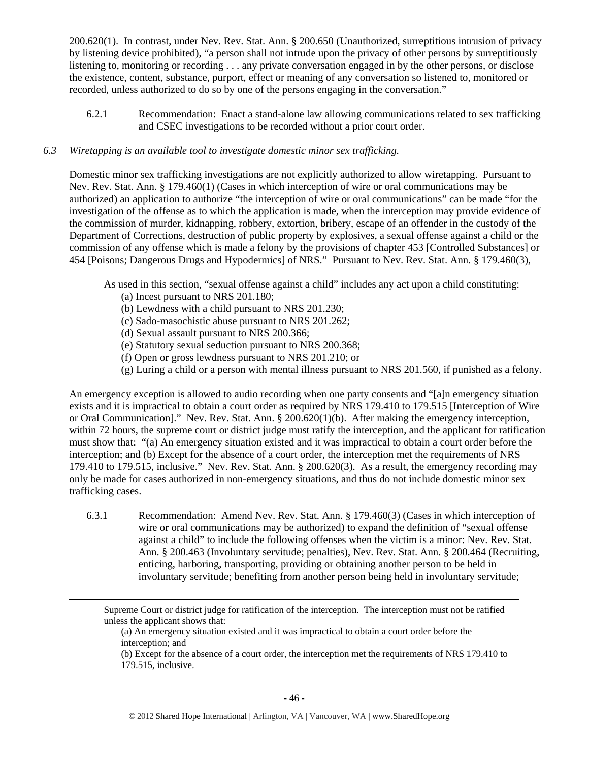200.620(1). In contrast, under Nev. Rev. Stat. Ann. § 200.650 (Unauthorized, surreptitious intrusion of privacy by listening device prohibited), "a person shall not intrude upon the privacy of other persons by surreptitiously listening to, monitoring or recording . . . any private conversation engaged in by the other persons, or disclose the existence, content, substance, purport, effect or meaning of any conversation so listened to, monitored or recorded, unless authorized to do so by one of the persons engaging in the conversation."

6.2.1 Recommendation: Enact a stand-alone law allowing communications related to sex trafficking and CSEC investigations to be recorded without a prior court order.

## *6.3 Wiretapping is an available tool to investigate domestic minor sex trafficking.*

Domestic minor sex trafficking investigations are not explicitly authorized to allow wiretapping. Pursuant to Nev. Rev. Stat. Ann. § 179.460(1) (Cases in which interception of wire or oral communications may be authorized) an application to authorize "the interception of wire or oral communications" can be made "for the investigation of the offense as to which the application is made, when the interception may provide evidence of the commission of murder, kidnapping, robbery, extortion, bribery, escape of an offender in the custody of the Department of Corrections, destruction of public property by explosives, a sexual offense against a child or the commission of any offense which is made a felony by the provisions of chapter 453 [Controlled Substances] or 454 [Poisons; Dangerous Drugs and Hypodermics] of NRS." Pursuant to Nev. Rev. Stat. Ann. § 179.460(3),

As used in this section, "sexual offense against a child" includes any act upon a child constituting:

(a) Incest pursuant to NRS 201.180;

 $\overline{a}$ 

- (b) Lewdness with a child pursuant to NRS 201.230;
- (c) Sado-masochistic abuse pursuant to NRS 201.262;
- (d) Sexual assault pursuant to NRS 200.366;
- (e) Statutory sexual seduction pursuant to NRS 200.368;
- (f) Open or gross lewdness pursuant to NRS 201.210; or
- (g) Luring a child or a person with mental illness pursuant to NRS 201.560, if punished as a felony.

An emergency exception is allowed to audio recording when one party consents and "[a]n emergency situation exists and it is impractical to obtain a court order as required by NRS 179.410 to 179.515 [Interception of Wire or Oral Communication]." Nev. Rev. Stat. Ann. § 200.620(1)(b). After making the emergency interception, within 72 hours, the supreme court or district judge must ratify the interception, and the applicant for ratification must show that: "(a) An emergency situation existed and it was impractical to obtain a court order before the interception; and (b) Except for the absence of a court order, the interception met the requirements of NRS 179.410 to 179.515, inclusive." Nev. Rev. Stat. Ann. § 200.620(3). As a result, the emergency recording may only be made for cases authorized in non-emergency situations, and thus do not include domestic minor sex trafficking cases.

6.3.1 Recommendation: Amend Nev. Rev. Stat. Ann. § 179.460(3) (Cases in which interception of wire or oral communications may be authorized) to expand the definition of "sexual offense against a child" to include the following offenses when the victim is a minor: Nev. Rev. Stat. Ann. § 200.463 (Involuntary servitude; penalties), Nev. Rev. Stat. Ann. § 200.464 (Recruiting, enticing, harboring, transporting, providing or obtaining another person to be held in involuntary servitude; benefiting from another person being held in involuntary servitude;

Supreme Court or district judge for ratification of the interception. The interception must not be ratified unless the applicant shows that:

(a) An emergency situation existed and it was impractical to obtain a court order before the interception; and

(b) Except for the absence of a court order, the interception met the requirements of NRS 179.410 to 179.515, inclusive.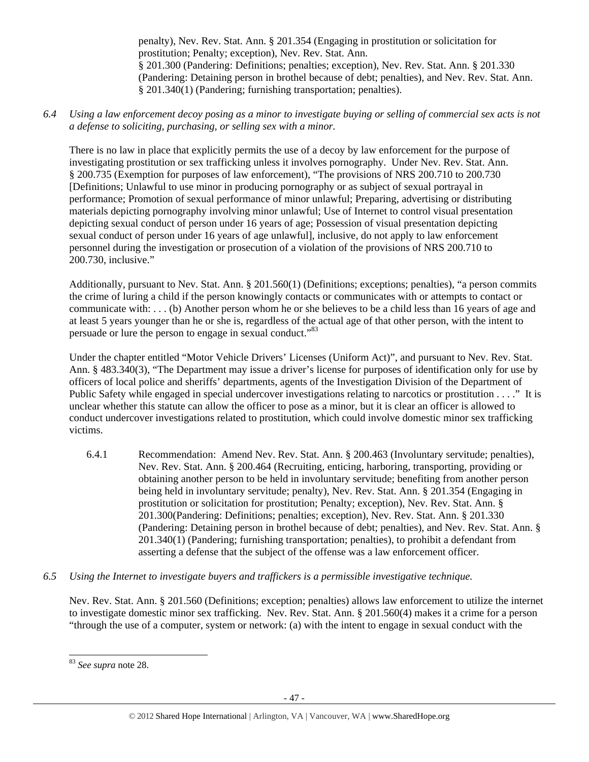penalty), Nev. Rev. Stat. Ann. § 201.354 (Engaging in prostitution or solicitation for prostitution; Penalty; exception), Nev. Rev. Stat. Ann. § 201.300 (Pandering: Definitions; penalties; exception), Nev. Rev. Stat. Ann. § 201.330 (Pandering: Detaining person in brothel because of debt; penalties), and Nev. Rev. Stat. Ann. § 201.340(1) (Pandering; furnishing transportation; penalties).

*6.4 Using a law enforcement decoy posing as a minor to investigate buying or selling of commercial sex acts is not a defense to soliciting, purchasing, or selling sex with a minor.* 

There is no law in place that explicitly permits the use of a decoy by law enforcement for the purpose of investigating prostitution or sex trafficking unless it involves pornography. Under Nev. Rev. Stat. Ann. § 200.735 (Exemption for purposes of law enforcement), "The provisions of NRS 200.710 to 200.730 [Definitions; Unlawful to use minor in producing pornography or as subject of sexual portrayal in performance; Promotion of sexual performance of minor unlawful; Preparing, advertising or distributing materials depicting pornography involving minor unlawful; Use of Internet to control visual presentation depicting sexual conduct of person under 16 years of age; Possession of visual presentation depicting sexual conduct of person under 16 years of age unlawful], inclusive, do not apply to law enforcement personnel during the investigation or prosecution of a violation of the provisions of NRS 200.710 to 200.730, inclusive."

Additionally, pursuant to Nev. Stat. Ann. § 201.560(1) (Definitions; exceptions; penalties), "a person commits the crime of luring a child if the person knowingly contacts or communicates with or attempts to contact or communicate with: . . . (b) Another person whom he or she believes to be a child less than 16 years of age and at least 5 years younger than he or she is, regardless of the actual age of that other person, with the intent to persuade or lure the person to engage in sexual conduct.<sup>83</sup>

Under the chapter entitled "Motor Vehicle Drivers' Licenses (Uniform Act)", and pursuant to Nev. Rev. Stat. Ann. § 483.340(3), "The Department may issue a driver's license for purposes of identification only for use by officers of local police and sheriffs' departments, agents of the Investigation Division of the Department of Public Safety while engaged in special undercover investigations relating to narcotics or prostitution . . . ." It is unclear whether this statute can allow the officer to pose as a minor, but it is clear an officer is allowed to conduct undercover investigations related to prostitution, which could involve domestic minor sex trafficking victims.

- 6.4.1 Recommendation: Amend Nev. Rev. Stat. Ann. § 200.463 (Involuntary servitude; penalties), Nev. Rev. Stat. Ann. § 200.464 (Recruiting, enticing, harboring, transporting, providing or obtaining another person to be held in involuntary servitude; benefiting from another person being held in involuntary servitude; penalty), Nev. Rev. Stat. Ann. § 201.354 (Engaging in prostitution or solicitation for prostitution; Penalty; exception), Nev. Rev. Stat. Ann. § 201.300(Pandering: Definitions; penalties; exception), Nev. Rev. Stat. Ann. § 201.330 (Pandering: Detaining person in brothel because of debt; penalties), and Nev. Rev. Stat. Ann. § 201.340(1) (Pandering; furnishing transportation; penalties), to prohibit a defendant from asserting a defense that the subject of the offense was a law enforcement officer.
- *6.5 Using the Internet to investigate buyers and traffickers is a permissible investigative technique.*

Nev. Rev. Stat. Ann. § 201.560 (Definitions; exception; penalties) allows law enforcement to utilize the internet to investigate domestic minor sex trafficking. Nev. Rev. Stat. Ann. § 201.560(4) makes it a crime for a person "through the use of a computer, system or network: (a) with the intent to engage in sexual conduct with the

 $\overline{a}$ <sup>83</sup> *See supra* note 28.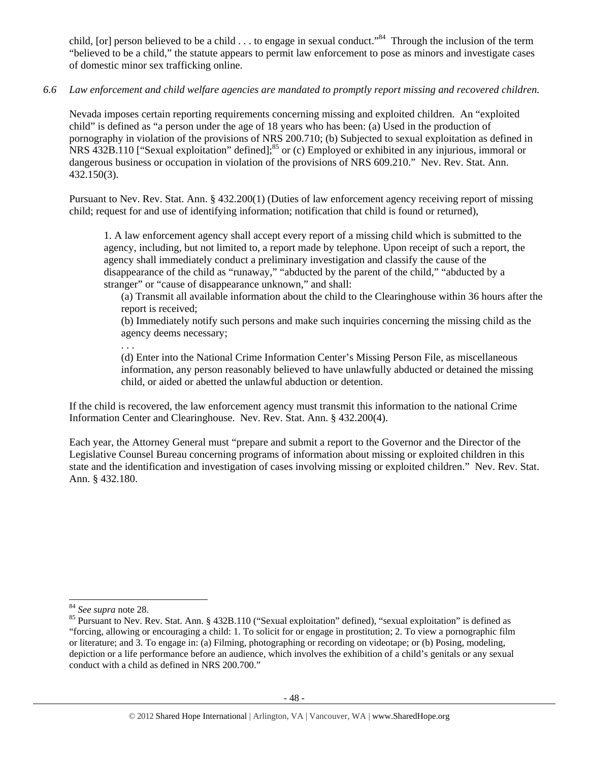child, [or] person believed to be a child . . . to engage in sexual conduct."<sup>84</sup> Through the inclusion of the term "believed to be a child," the statute appears to permit law enforcement to pose as minors and investigate cases of domestic minor sex trafficking online.

## *6.6 Law enforcement and child welfare agencies are mandated to promptly report missing and recovered children.*

Nevada imposes certain reporting requirements concerning missing and exploited children. An "exploited child" is defined as "a person under the age of 18 years who has been: (a) Used in the production of pornography in violation of the provisions of NRS 200.710; (b) Subjected to sexual exploitation as defined in NRS 432B.110 ["Sexual exploitation" defined];<sup>85</sup> or (c) Employed or exhibited in any injurious, immoral or dangerous business or occupation in violation of the provisions of NRS 609.210." Nev. Rev. Stat. Ann. 432.150(3).

Pursuant to Nev. Rev. Stat. Ann. § 432.200(1) (Duties of law enforcement agency receiving report of missing child; request for and use of identifying information; notification that child is found or returned),

1. A law enforcement agency shall accept every report of a missing child which is submitted to the agency, including, but not limited to, a report made by telephone. Upon receipt of such a report, the agency shall immediately conduct a preliminary investigation and classify the cause of the disappearance of the child as "runaway," "abducted by the parent of the child," "abducted by a stranger" or "cause of disappearance unknown," and shall:

(a) Transmit all available information about the child to the Clearinghouse within 36 hours after the report is received;

(b) Immediately notify such persons and make such inquiries concerning the missing child as the agency deems necessary;

. . .

(d) Enter into the National Crime Information Center's Missing Person File, as miscellaneous information, any person reasonably believed to have unlawfully abducted or detained the missing child, or aided or abetted the unlawful abduction or detention.

If the child is recovered, the law enforcement agency must transmit this information to the national Crime Information Center and Clearinghouse. Nev. Rev. Stat. Ann. § 432.200(4).

Each year, the Attorney General must "prepare and submit a report to the Governor and the Director of the Legislative Counsel Bureau concerning programs of information about missing or exploited children in this state and the identification and investigation of cases involving missing or exploited children." Nev. Rev. Stat. Ann. § 432.180.

<sup>&</sup>lt;sup>84</sup> See supra note 28.

<sup>&</sup>lt;sup>85</sup> Pursuant to Nev. Rev. Stat. Ann. § 432B.110 ("Sexual exploitation" defined), "sexual exploitation" is defined as "forcing, allowing or encouraging a child: 1. To solicit for or engage in prostitution; 2. To view a pornographic film or literature; and 3. To engage in: (a) Filming, photographing or recording on videotape; or (b) Posing, modeling, depiction or a life performance before an audience, which involves the exhibition of a child's genitals or any sexual conduct with a child as defined in NRS 200.700."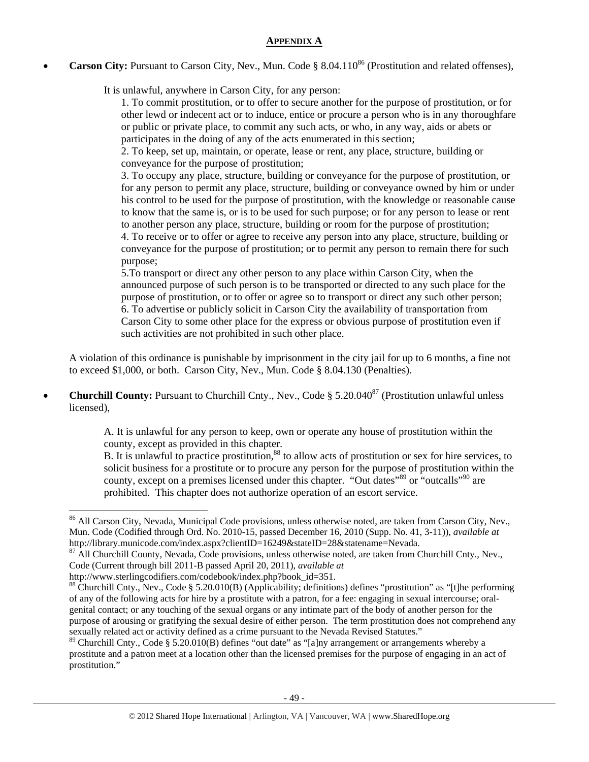## **APPENDIX A**

**Carson City:** Pursuant to Carson City, Nev., Mun. Code § 8.04.110<sup>86</sup> (Prostitution and related offenses),

It is unlawful, anywhere in Carson City, for any person:

1. To commit prostitution, or to offer to secure another for the purpose of prostitution, or for other lewd or indecent act or to induce, entice or procure a person who is in any thoroughfare or public or private place, to commit any such acts, or who, in any way, aids or abets or participates in the doing of any of the acts enumerated in this section;

2. To keep, set up, maintain, or operate, lease or rent, any place, structure, building or conveyance for the purpose of prostitution;

3. To occupy any place, structure, building or conveyance for the purpose of prostitution, or for any person to permit any place, structure, building or conveyance owned by him or under his control to be used for the purpose of prostitution, with the knowledge or reasonable cause to know that the same is, or is to be used for such purpose; or for any person to lease or rent to another person any place, structure, building or room for the purpose of prostitution; 4. To receive or to offer or agree to receive any person into any place, structure, building or conveyance for the purpose of prostitution; or to permit any person to remain there for such purpose;

5.To transport or direct any other person to any place within Carson City, when the announced purpose of such person is to be transported or directed to any such place for the purpose of prostitution, or to offer or agree so to transport or direct any such other person; 6. To advertise or publicly solicit in Carson City the availability of transportation from Carson City to some other place for the express or obvious purpose of prostitution even if such activities are not prohibited in such other place.

A violation of this ordinance is punishable by imprisonment in the city jail for up to 6 months, a fine not to exceed \$1,000, or both. Carson City, Nev., Mun. Code § 8.04.130 (Penalties).

**Churchill County:** Pursuant to Churchill Cnty., Nev., Code § 5.20.040<sup>87</sup> (Prostitution unlawful unless licensed),

> A. It is unlawful for any person to keep, own or operate any house of prostitution within the county, except as provided in this chapter.

B. It is unlawful to practice prostitution,<sup>88</sup> to allow acts of prostitution or sex for hire services, to solicit business for a prostitute or to procure any person for the purpose of prostitution within the county, except on a premises licensed under this chapter. "Out dates"<sup>89</sup> or "outcalls"<sup>90</sup> are prohibited. This chapter does not authorize operation of an escort service.

<sup>&</sup>lt;sup>86</sup> All Carson City, Nevada, Municipal Code provisions, unless otherwise noted, are taken from Carson City, Nev., Mun. Code (Codified through Ord. No. 2010-15, passed December 16, 2010 (Supp. No. 41, 3-11)), *available at* http://library.municode.com/index.aspx?clientID=16249&stateID=28&statename=Nevada.

<sup>&</sup>lt;sup>87</sup> All Churchill County, Nevada, Code provisions, unless otherwise noted, are taken from Churchill Cnty., Nev., Code (Current through bill 2011-B passed April 20, 2011), *available at*

http://www.sterlingcodifiers.com/codebook/index.php?book\_id=351.

<sup>&</sup>lt;sup>88</sup> Churchill Cnty., Nev., Code § 5.20.010(B) (Applicability; definitions) defines "prostitution" as "[t]he performing of any of the following acts for hire by a prostitute with a patron, for a fee: engaging in sexual intercourse; oralgenital contact; or any touching of the sexual organs or any intimate part of the body of another person for the purpose of arousing or gratifying the sexual desire of either person. The term prostitution does not comprehend any sexually related act or activity defined as a crime pursuant to the Nevada Revised Statutes."

<sup>&</sup>lt;sup>89</sup> Churchill Cnty., Code § 5.20.010(B) defines "out date" as "[a]ny arrangement or arrangements whereby a prostitute and a patron meet at a location other than the licensed premises for the purpose of engaging in an act of prostitution."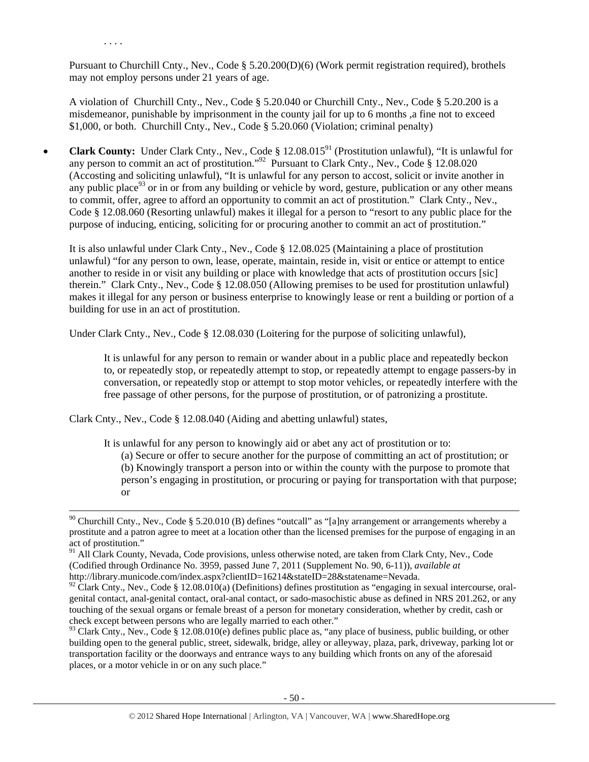Pursuant to Churchill Cnty., Nev., Code § 5.20.200(D)(6) (Work permit registration required), brothels may not employ persons under 21 years of age.

. . . .

A violation of Churchill Cnty., Nev., Code § 5.20.040 or Churchill Cnty., Nev., Code § 5.20.200 is a misdemeanor, punishable by imprisonment in the county jail for up to 6 months ,a fine not to exceed \$1,000, or both. Churchill Cnty., Nev., Code § 5.20.060 (Violation; criminal penalty)

• **Clark County:** Under Clark Cnty., Nev., Code § 12.08.015<sup>91</sup> (Prostitution unlawful), "It is unlawful for any person to commit an act of prostitution."92 Pursuant to Clark Cnty., Nev., Code § 12.08.020 (Accosting and soliciting unlawful), "It is unlawful for any person to accost, solicit or invite another in any public place<sup>93</sup> or in or from any building or vehicle by word, gesture, publication or any other means to commit, offer, agree to afford an opportunity to commit an act of prostitution." Clark Cnty., Nev., Code § 12.08.060 (Resorting unlawful) makes it illegal for a person to "resort to any public place for the purpose of inducing, enticing, soliciting for or procuring another to commit an act of prostitution."

It is also unlawful under Clark Cnty., Nev., Code § 12.08.025 (Maintaining a place of prostitution unlawful) "for any person to own, lease, operate, maintain, reside in, visit or entice or attempt to entice another to reside in or visit any building or place with knowledge that acts of prostitution occurs [sic] therein." Clark Cnty., Nev., Code § 12.08.050 (Allowing premises to be used for prostitution unlawful) makes it illegal for any person or business enterprise to knowingly lease or rent a building or portion of a building for use in an act of prostitution.

Under Clark Cnty., Nev., Code § 12.08.030 (Loitering for the purpose of soliciting unlawful),

It is unlawful for any person to remain or wander about in a public place and repeatedly beckon to, or repeatedly stop, or repeatedly attempt to stop, or repeatedly attempt to engage passers-by in conversation, or repeatedly stop or attempt to stop motor vehicles, or repeatedly interfere with the free passage of other persons, for the purpose of prostitution, or of patronizing a prostitute.

Clark Cnty., Nev., Code § 12.08.040 (Aiding and abetting unlawful) states,

It is unlawful for any person to knowingly aid or abet any act of prostitution or to:

(a) Secure or offer to secure another for the purpose of committing an act of prostitution; or (b) Knowingly transport a person into or within the county with the purpose to promote that person's engaging in prostitution, or procuring or paying for transportation with that purpose; or

 $90$  Churchill Cnty., Nev., Code § 5.20.010 (B) defines "outcall" as "[a]ny arrangement or arrangements whereby a prostitute and a patron agree to meet at a location other than the licensed premises for the purpose of engaging in an act of prostitution."

<sup>&</sup>lt;sup>91</sup> All Clark County, Nevada, Code provisions, unless otherwise noted, are taken from Clark Cnty, Nev., Code (Codified through Ordinance No. 3959, passed June 7, 2011 (Supplement No. 90, 6-11)), *available at*  http://library.municode.com/index.aspx?clientID=16214&stateID=28&statename=Nevada.

 $92$  Clark Cnty., Nev., Code § 12.08.010(a) (Definitions) defines prostitution as "engaging in sexual intercourse, oralgenital contact, anal-genital contact, oral-anal contact, or sado-masochistic abuse as defined in NRS 201.262, or any touching of the sexual organs or female breast of a person for monetary consideration, whether by credit, cash or check except between persons who are legally married to each other."

 $93$  Clark Cnty., Nev., Code § 12.08.010(e) defines public place as, "any place of business, public building, or other building open to the general public, street, sidewalk, bridge, alley or alleyway, plaza, park, driveway, parking lot or transportation facility or the doorways and entrance ways to any building which fronts on any of the aforesaid places, or a motor vehicle in or on any such place."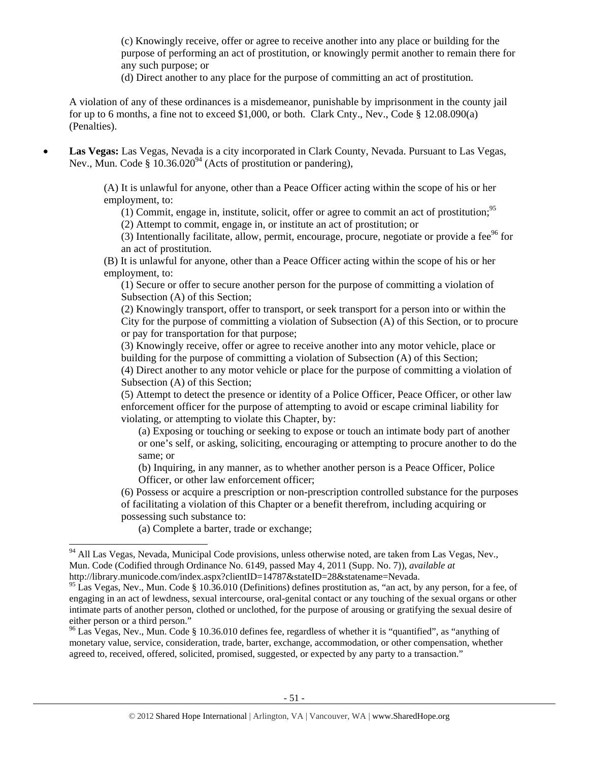(c) Knowingly receive, offer or agree to receive another into any place or building for the purpose of performing an act of prostitution, or knowingly permit another to remain there for any such purpose; or

(d) Direct another to any place for the purpose of committing an act of prostitution.

A violation of any of these ordinances is a misdemeanor, punishable by imprisonment in the county jail for up to 6 months, a fine not to exceed \$1,000, or both. Clark Cnty., Nev., Code § 12.08.090(a) (Penalties).

• **Las Vegas:** Las Vegas, Nevada is a city incorporated in Clark County, Nevada. Pursuant to Las Vegas, Nev., Mun. Code  $\S 10.36.020<sup>94</sup>$  (Acts of prostitution or pandering),

> (A) It is unlawful for anyone, other than a Peace Officer acting within the scope of his or her employment, to:

(1) Commit, engage in, institute, solicit, offer or agree to commit an act of prostitution;<sup>95</sup>

(2) Attempt to commit, engage in, or institute an act of prostitution; or

(3) Intentionally facilitate, allow, permit, encourage, procure, negotiate or provide a fee $96$  for an act of prostitution.

(B) It is unlawful for anyone, other than a Peace Officer acting within the scope of his or her employment, to:

(1) Secure or offer to secure another person for the purpose of committing a violation of Subsection (A) of this Section;

(2) Knowingly transport, offer to transport, or seek transport for a person into or within the City for the purpose of committing a violation of Subsection (A) of this Section, or to procure or pay for transportation for that purpose;

(3) Knowingly receive, offer or agree to receive another into any motor vehicle, place or building for the purpose of committing a violation of Subsection (A) of this Section;

(4) Direct another to any motor vehicle or place for the purpose of committing a violation of Subsection (A) of this Section;

(5) Attempt to detect the presence or identity of a Police Officer, Peace Officer, or other law enforcement officer for the purpose of attempting to avoid or escape criminal liability for violating, or attempting to violate this Chapter, by:

(a) Exposing or touching or seeking to expose or touch an intimate body part of another or one's self, or asking, soliciting, encouraging or attempting to procure another to do the same; or

(b) Inquiring, in any manner, as to whether another person is a Peace Officer, Police Officer, or other law enforcement officer;

(6) Possess or acquire a prescription or non-prescription controlled substance for the purposes of facilitating a violation of this Chapter or a benefit therefrom, including acquiring or possessing such substance to:

(a) Complete a barter, trade or exchange;

<sup>&</sup>lt;sup>94</sup> All Las Vegas, Nevada, Municipal Code provisions, unless otherwise noted, are taken from Las Vegas, Nev., Mun. Code (Codified through Ordinance No. 6149, passed May 4, 2011 (Supp. No. 7)), *available at*  http://library.municode.com/index.aspx?clientID=14787&stateID=28&statename=Nevada.

 $95$  Las Vegas, Nev., Mun. Code § 10.36.010 (Definitions) defines prostitution as, "an act, by any person, for a fee, of engaging in an act of lewdness, sexual intercourse, oral-genital contact or any touching of the sexual organs or other intimate parts of another person, clothed or unclothed, for the purpose of arousing or gratifying the sexual desire of either person or a third person."

<sup>&</sup>lt;sup>96</sup> Las Vegas, Nev., Mun. Code § 10.36.010 defines fee, regardless of whether it is "quantified", as "anything of monetary value, service, consideration, trade, barter, exchange, accommodation, or other compensation, whether agreed to, received, offered, solicited, promised, suggested, or expected by any party to a transaction."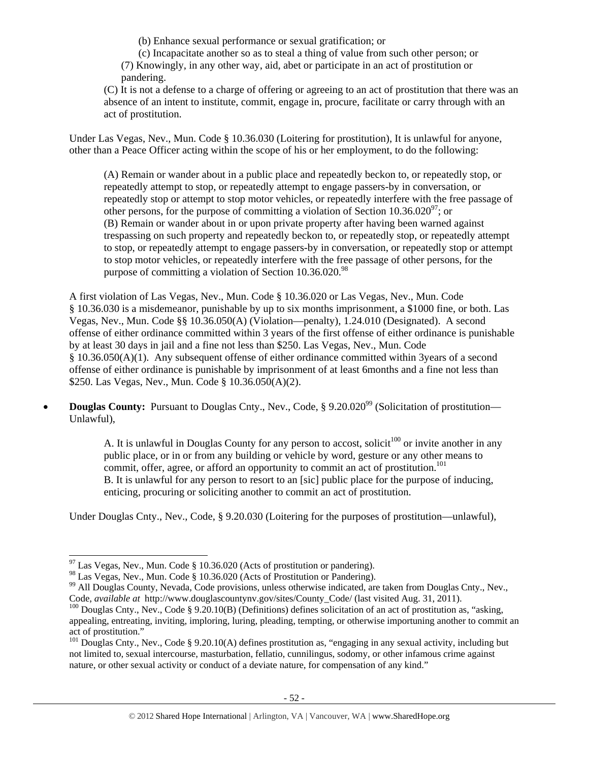(b) Enhance sexual performance or sexual gratification; or

(c) Incapacitate another so as to steal a thing of value from such other person; or (7) Knowingly, in any other way, aid, abet or participate in an act of prostitution or pandering.

(C) It is not a defense to a charge of offering or agreeing to an act of prostitution that there was an absence of an intent to institute, commit, engage in, procure, facilitate or carry through with an act of prostitution.

Under Las Vegas, Nev., Mun. Code § 10.36.030 (Loitering for prostitution), It is unlawful for anyone, other than a Peace Officer acting within the scope of his or her employment, to do the following:

(A) Remain or wander about in a public place and repeatedly beckon to, or repeatedly stop, or repeatedly attempt to stop, or repeatedly attempt to engage passers-by in conversation, or repeatedly stop or attempt to stop motor vehicles, or repeatedly interfere with the free passage of other persons, for the purpose of committing a violation of Section  $10.36.020^{\circ7}$ ; or (B) Remain or wander about in or upon private property after having been warned against trespassing on such property and repeatedly beckon to, or repeatedly stop, or repeatedly attempt to stop, or repeatedly attempt to engage passers-by in conversation, or repeatedly stop or attempt to stop motor vehicles, or repeatedly interfere with the free passage of other persons, for the purpose of committing a violation of Section  $10.36.020^{98}$ 

A first violation of Las Vegas, Nev., Mun. Code § 10.36.020 or Las Vegas, Nev., Mun. Code § 10.36.030 is a misdemeanor, punishable by up to six months imprisonment, a \$1000 fine, or both. Las Vegas, Nev., Mun. Code §§ 10.36.050(A) (Violation—penalty), 1.24.010 (Designated). A second offense of either ordinance committed within 3 years of the first offense of either ordinance is punishable by at least 30 days in jail and a fine not less than \$250. Las Vegas, Nev., Mun. Code § 10.36.050(A)(1). Any subsequent offense of either ordinance committed within 3years of a second offense of either ordinance is punishable by imprisonment of at least 6months and a fine not less than \$250. Las Vegas, Nev., Mun. Code § 10.36.050(A)(2).

• **Douglas County:** Pursuant to Douglas Cnty., Nev., Code, § 9.20.020<sup>99</sup> (Solicitation of prostitution— Unlawful),

> A. It is unlawful in Douglas County for any person to accost, solicit<sup>100</sup> or invite another in any public place, or in or from any building or vehicle by word, gesture or any other means to commit, offer, agree, or afford an opportunity to commit an act of prostitution.<sup>101</sup> B. It is unlawful for any person to resort to an [sic] public place for the purpose of inducing, enticing, procuring or soliciting another to commit an act of prostitution.

Under Douglas Cnty., Nev., Code, § 9.20.030 (Loitering for the purposes of prostitution—unlawful),

 $97$  Las Vegas, Nev., Mun. Code § 10.36.020 (Acts of prostitution or pandering).

<sup>98</sup> Las Vegas, Nev., Mun. Code § 10.36.020 (Acts of Prostitution or Pandering).

<sup>&</sup>lt;sup>99</sup> All Douglas County, Nevada, Code provisions, unless otherwise indicated, are taken from Douglas Cnty., Nev., Code, *available at* http://www.douglascountynv.gov/sites/County Code/ (last visited Aug. 31, 2011).

<sup>&</sup>lt;sup>100</sup> Douglas Cnty., Nev., Code § 9.20.10(B) (Definitions) defines solicitation of an act of prostitution as, "asking, appealing, entreating, inviting, imploring, luring, pleading, tempting, or otherwise importuning another to commit an act of prostitution."

<sup>&</sup>lt;sup>101</sup> Douglas Cnty., Nev., Code § 9.20.10(A) defines prostitution as, "engaging in any sexual activity, including but not limited to, sexual intercourse, masturbation, fellatio, cunnilingus, sodomy, or other infamous crime against nature, or other sexual activity or conduct of a deviate nature, for compensation of any kind."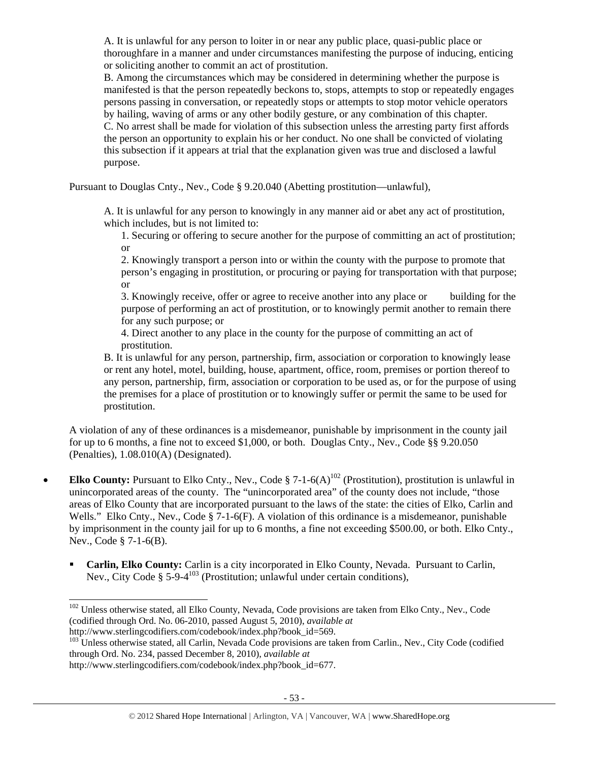A. It is unlawful for any person to loiter in or near any public place, quasi-public place or thoroughfare in a manner and under circumstances manifesting the purpose of inducing, enticing or soliciting another to commit an act of prostitution.

B. Among the circumstances which may be considered in determining whether the purpose is manifested is that the person repeatedly beckons to, stops, attempts to stop or repeatedly engages persons passing in conversation, or repeatedly stops or attempts to stop motor vehicle operators by hailing, waving of arms or any other bodily gesture, or any combination of this chapter. C. No arrest shall be made for violation of this subsection unless the arresting party first affords the person an opportunity to explain his or her conduct. No one shall be convicted of violating this subsection if it appears at trial that the explanation given was true and disclosed a lawful purpose.

Pursuant to Douglas Cnty., Nev., Code § 9.20.040 (Abetting prostitution—unlawful),

A. It is unlawful for any person to knowingly in any manner aid or abet any act of prostitution, which includes, but is not limited to:

1. Securing or offering to secure another for the purpose of committing an act of prostitution; or

2. Knowingly transport a person into or within the county with the purpose to promote that person's engaging in prostitution, or procuring or paying for transportation with that purpose; or

3. Knowingly receive, offer or agree to receive another into any place or building for the purpose of performing an act of prostitution, or to knowingly permit another to remain there for any such purpose; or

4. Direct another to any place in the county for the purpose of committing an act of prostitution.

B. It is unlawful for any person, partnership, firm, association or corporation to knowingly lease or rent any hotel, motel, building, house, apartment, office, room, premises or portion thereof to any person, partnership, firm, association or corporation to be used as, or for the purpose of using the premises for a place of prostitution or to knowingly suffer or permit the same to be used for prostitution.

A violation of any of these ordinances is a misdemeanor, punishable by imprisonment in the county jail for up to 6 months, a fine not to exceed \$1,000, or both. Douglas Cnty., Nev., Code §§ 9.20.050 (Penalties), 1.08.010(A) (Designated).

- **Elko County:** Pursuant to Elko Cnty., Nev., Code  $\S$  7-1-6(A)<sup>102</sup> (Prostitution), prostitution is unlawful in unincorporated areas of the county. The "unincorporated area" of the county does not include, "those areas of Elko County that are incorporated pursuant to the laws of the state: the cities of Elko, Carlin and Wells." Elko Cnty., Nev., Code § 7-1-6(F). A violation of this ordinance is a misdemeanor, punishable by imprisonment in the county jail for up to 6 months, a fine not exceeding \$500.00, or both. Elko Cnty., Nev., Code § 7-1-6(B).
	- **Carlin, Elko County:** Carlin is a city incorporated in Elko County, Nevada. Pursuant to Carlin, Nev., City Code § 5-9-4<sup>103</sup> (Prostitution; unlawful under certain conditions),

<sup>&</sup>lt;sup>102</sup> Unless otherwise stated, all Elko County, Nevada, Code provisions are taken from Elko Cnty., Nev., Code (codified through Ord. No. 06-2010, passed August 5, 2010), *available at*  http://www.sterlingcodifiers.com/codebook/index.php?book\_id=569.

<sup>&</sup>lt;sup>103</sup> Unless otherwise stated, all Carlin, Nevada Code provisions are taken from Carlin., Nev., City Code (codified through Ord. No. 234, passed December 8, 2010), *available at* 

http://www.sterlingcodifiers.com/codebook/index.php?book\_id=677.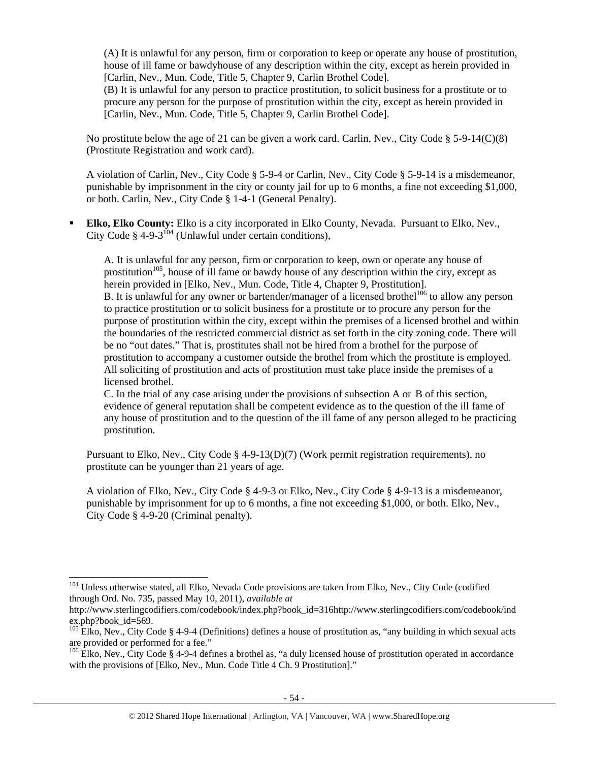(A) It is unlawful for any person, firm or corporation to keep or operate any house of prostitution, house of ill fame or bawdyhouse of any description within the city, except as herein provided in [Carlin, Nev., Mun. Code, Title 5, Chapter 9, Carlin Brothel Code].

(B) It is unlawful for any person to practice prostitution, to solicit business for a prostitute or to procure any person for the purpose of prostitution within the city, except as herein provided in [Carlin, Nev., Mun. Code, Title 5, Chapter 9, Carlin Brothel Code].

No prostitute below the age of 21 can be given a work card. Carlin, Nev., City Code § 5-9-14(C)(8) (Prostitute Registration and work card).

A violation of Carlin, Nev., City Code § 5-9-4 or Carlin, Nev., City Code § 5-9-14 is a misdemeanor, punishable by imprisonment in the city or county jail for up to 6 months, a fine not exceeding \$1,000, or both. Carlin, Nev., City Code § 1-4-1 (General Penalty).

 **Elko, Elko County:** Elko is a city incorporated in Elko County, Nevada. Pursuant to Elko, Nev., City Code § 4-9-3<sup>104</sup> (Unlawful under certain conditions),

A. It is unlawful for any person, firm or corporation to keep, own or operate any house of prostitution<sup>105</sup>, house of ill fame or bawdy house of any description within the city, except as herein provided in [Elko, Nev., Mun. Code, Title 4, Chapter 9, Prostitution]. B. It is unlawful for any owner or bartender/manager of a licensed brothel<sup>106</sup> to allow any person to practice prostitution or to solicit business for a prostitute or to procure any person for the purpose of prostitution within the city, except within the premises of a licensed brothel and within the boundaries of the restricted commercial district as set forth in the city zoning code. There will be no "out dates." That is, prostitutes shall not be hired from a brothel for the purpose of prostitution to accompany a customer outside the brothel from which the prostitute is employed. All soliciting of prostitution and acts of prostitution must take place inside the premises of a licensed brothel.

C. In the trial of any case arising under the provisions of subsection A or B of this section, evidence of general reputation shall be competent evidence as to the question of the ill fame of any house of prostitution and to the question of the ill fame of any person alleged to be practicing prostitution.

Pursuant to Elko, Nev., City Code § 4-9-13(D)(7) (Work permit registration requirements), no prostitute can be younger than 21 years of age.

A violation of Elko, Nev., City Code § 4-9-3 or Elko, Nev., City Code § 4-9-13 is a misdemeanor, punishable by imprisonment for up to 6 months, a fine not exceeding \$1,000, or both. Elko, Nev., City Code § 4-9-20 (Criminal penalty).

<sup>&</sup>lt;sup>104</sup> Unless otherwise stated, all Elko, Nevada Code provisions are taken from Elko, Nev., City Code (codified through Ord. No. 735, passed May 10, 2011), *available at* 

http://www.sterlingcodifiers.com/codebook/index.php?book\_id=316http://www.sterlingcodifiers.com/codebook/ind ex.php?book\_id=569.

<sup>&</sup>lt;sup>105</sup> Elko, Nev., City Code § 4-9-4 (Definitions) defines a house of prostitution as, "any building in which sexual acts are provided or performed for a fee."

<sup>&</sup>lt;sup>106</sup> Elko, Nev., City Code § 4-9-4 defines a brothel as, "a duly licensed house of prostitution operated in accordance with the provisions of [Elko, Nev., Mun. Code Title 4 Ch. 9 Prostitution]."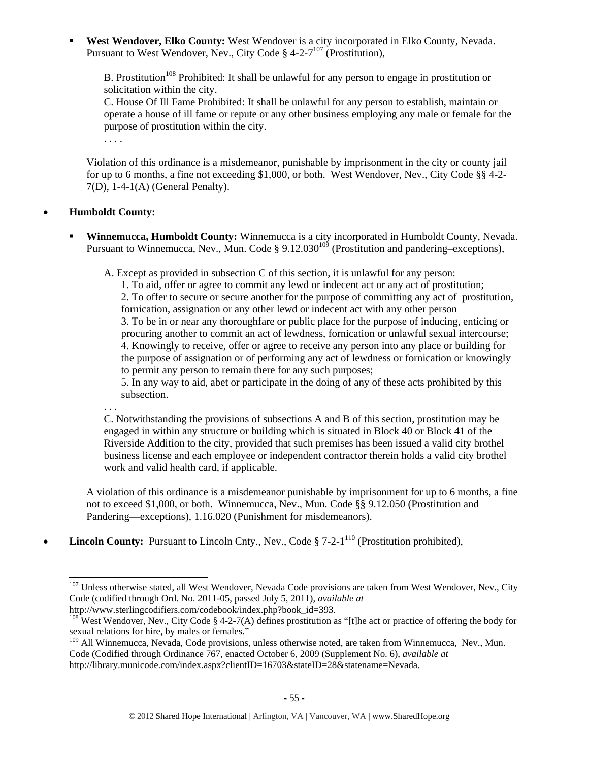**West Wendover, Elko County:** West Wendover is a city incorporated in Elko County, Nevada. Pursuant to West Wendover, Nev., City Code §  $4-2-7^{107}$  (Prostitution),

B. Prostitution<sup>108</sup> Prohibited: It shall be unlawful for any person to engage in prostitution or solicitation within the city.

C. House Of Ill Fame Prohibited: It shall be unlawful for any person to establish, maintain or operate a house of ill fame or repute or any other business employing any male or female for the purpose of prostitution within the city.

Violation of this ordinance is a misdemeanor, punishable by imprisonment in the city or county jail for up to 6 months, a fine not exceeding \$1,000, or both. West Wendover, Nev., City Code §§ 4-2- 7(D), 1-4-1(A) (General Penalty).

# • **Humboldt County:**

 $\overline{a}$ 

. . . .

 **Winnemucca, Humboldt County:** Winnemucca is a city incorporated in Humboldt County, Nevada. Pursuant to Winnemucca, Nev., Mun. Code § 9.12.030<sup>109</sup> (Prostitution and pandering–exceptions),

A. Except as provided in subsection C of this section, it is unlawful for any person:

1. To aid, offer or agree to commit any lewd or indecent act or any act of prostitution; 2. To offer to secure or secure another for the purpose of committing any act of prostitution, fornication, assignation or any other lewd or indecent act with any other person 3. To be in or near any thoroughfare or public place for the purpose of inducing, enticing or procuring another to commit an act of lewdness, fornication or unlawful sexual intercourse; 4. Knowingly to receive, offer or agree to receive any person into any place or building for the purpose of assignation or of performing any act of lewdness or fornication or knowingly to permit any person to remain there for any such purposes;

5. In any way to aid, abet or participate in the doing of any of these acts prohibited by this subsection.

. . . C. Notwithstanding the provisions of subsections A and B of this section, prostitution may be engaged in within any structure or building which is situated in Block 40 or Block 41 of the Riverside Addition to the city, provided that such premises has been issued a valid city brothel business license and each employee or independent contractor therein holds a valid city brothel work and valid health card, if applicable.

A violation of this ordinance is a misdemeanor punishable by imprisonment for up to 6 months, a fine not to exceed \$1,000, or both. Winnemucca, Nev., Mun. Code §§ 9.12.050 (Prostitution and Pandering—exceptions), 1.16.020 (Punishment for misdemeanors).

**Lincoln County:** Pursuant to Lincoln Cnty., Nev., Code § 7-2-1<sup>110</sup> (Prostitution prohibited),

<sup>&</sup>lt;sup>107</sup> Unless otherwise stated, all West Wendover, Nevada Code provisions are taken from West Wendover, Nev., City Code (codified through Ord. No. 2011-05, passed July 5, 2011), *available at*  http://www.sterlingcodifiers.com/codebook/index.php?book\_id=393.

<sup>&</sup>lt;sup>108</sup> West Wendover, Nev., City Code § 4-2-7(A) defines prostitution as "[t]he act or practice of offering the body for sexual relations for hire, by males or females."

<sup>&</sup>lt;sup>109</sup> All Winnemucca, Nevada, Code provisions, unless otherwise noted, are taken from Winnemucca, Nev., Mun. Code (Codified through Ordinance 767, enacted October 6, 2009 (Supplement No. 6), *available at* 

http://library.municode.com/index.aspx?clientID=16703&stateID=28&statename=Nevada.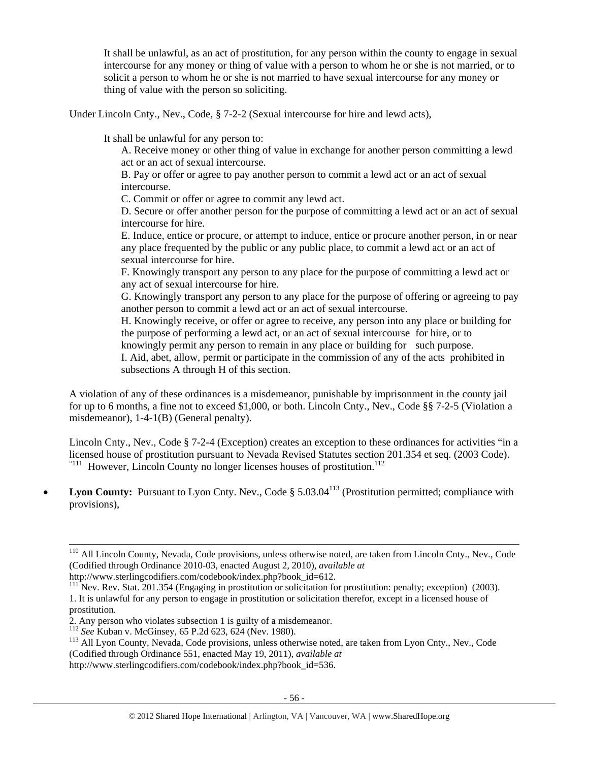It shall be unlawful, as an act of prostitution, for any person within the county to engage in sexual intercourse for any money or thing of value with a person to whom he or she is not married, or to solicit a person to whom he or she is not married to have sexual intercourse for any money or thing of value with the person so soliciting.

Under Lincoln Cnty., Nev., Code, § 7-2-2 (Sexual intercourse for hire and lewd acts),

It shall be unlawful for any person to:

A. Receive money or other thing of value in exchange for another person committing a lewd act or an act of sexual intercourse.

B. Pay or offer or agree to pay another person to commit a lewd act or an act of sexual intercourse.

C. Commit or offer or agree to commit any lewd act.

D. Secure or offer another person for the purpose of committing a lewd act or an act of sexual intercourse for hire.

E. Induce, entice or procure, or attempt to induce, entice or procure another person, in or near any place frequented by the public or any public place, to commit a lewd act or an act of sexual intercourse for hire.

F. Knowingly transport any person to any place for the purpose of committing a lewd act or any act of sexual intercourse for hire.

G. Knowingly transport any person to any place for the purpose of offering or agreeing to pay another person to commit a lewd act or an act of sexual intercourse.

H. Knowingly receive, or offer or agree to receive, any person into any place or building for the purpose of performing a lewd act, or an act of sexual intercourse for hire, or to knowingly permit any person to remain in any place or building for such purpose.

I. Aid, abet, allow, permit or participate in the commission of any of the acts prohibited in subsections A through H of this section.

A violation of any of these ordinances is a misdemeanor, punishable by imprisonment in the county jail for up to 6 months, a fine not to exceed \$1,000, or both. Lincoln Cnty., Nev., Code §§ 7-2-5 (Violation a misdemeanor), 1-4-1(B) (General penalty).

Lincoln Cnty., Nev., Code § 7-2-4 (Exception) creates an exception to these ordinances for activities "in a licensed house of prostitution pursuant to Nevada Revised Statutes section 201.354 et seq. (2003 Code). " $^{111}$  However, Lincoln County no longer licenses houses of prostitution.<sup>112</sup>

• Lyon County: Pursuant to Lyon Cnty. Nev., Code § 5.03.04<sup>113</sup> (Prostitution permitted; compliance with provisions),

http://www.sterlingcodifiers.com/codebook/index.php?book\_id=536.

 <sup>110</sup> All Lincoln County, Nevada, Code provisions, unless otherwise noted, are taken from Lincoln Cnty., Nev., Code (Codified through Ordinance 2010-03, enacted August 2, 2010), *available at* 

http://www.sterlingcodifiers.com/codebook/index.php?book\_id=612.

<sup>&</sup>lt;sup>111</sup> Nev. Rev. Stat. 201.354 (Engaging in prostitution or solicitation for prostitution: penalty; exception) (2003). 1. It is unlawful for any person to engage in prostitution or solicitation therefor, except in a licensed house of prostitution.

<sup>2.</sup> Any person who violates subsection 1 is guilty of a misdemeanor.<br><sup>112</sup> See Kuban v. McGinsey, 65 P.2d 623, 624 (Nev. 1980).

<sup>&</sup>lt;sup>113</sup> All Lyon County. Nevada, Code provisions, unless otherwise noted, are taken from Lyon Cnty., Nev., Code (Codified through Ordinance 551, enacted May 19, 2011), *available at*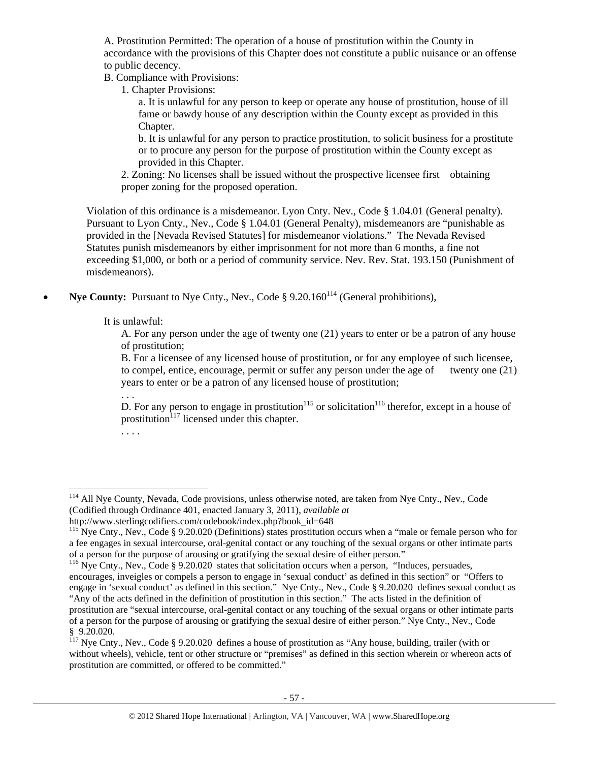A. Prostitution Permitted: The operation of a house of prostitution within the County in accordance with the provisions of this Chapter does not constitute a public nuisance or an offense to public decency.

B. Compliance with Provisions:

1. Chapter Provisions:

a. It is unlawful for any person to keep or operate any house of prostitution, house of ill fame or bawdy house of any description within the County except as provided in this Chapter.

b. It is unlawful for any person to practice prostitution, to solicit business for a prostitute or to procure any person for the purpose of prostitution within the County except as provided in this Chapter.

2. Zoning: No licenses shall be issued without the prospective licensee first obtaining proper zoning for the proposed operation.

Violation of this ordinance is a misdemeanor. Lyon Cnty. Nev., Code § 1.04.01 (General penalty). Pursuant to Lyon Cnty., Nev., Code § 1.04.01 (General Penalty), misdemeanors are "punishable as provided in the [Nevada Revised Statutes] for misdemeanor violations." The Nevada Revised Statutes punish misdemeanors by either imprisonment for not more than 6 months, a fine not exceeding \$1,000, or both or a period of community service. Nev. Rev. Stat. 193.150 (Punishment of misdemeanors).

**Nye County:** Pursuant to Nye Cnty., Nev., Code § 9.20.160<sup>114</sup> (General prohibitions),

It is unlawful:

A. For any person under the age of twenty one (21) years to enter or be a patron of any house of prostitution;

B. For a licensee of any licensed house of prostitution, or for any employee of such licensee, to compel, entice, encourage, permit or suffer any person under the age of twenty one (21) years to enter or be a patron of any licensed house of prostitution;

. . .

D. For any person to engage in prostitution<sup>115</sup> or solicitation<sup>116</sup> therefor, except in a house of prostitution $117$  licensed under this chapter.

. . . .

 $\overline{a}$ <sup>114</sup> All Nye County, Nevada, Code provisions, unless otherwise noted, are taken from Nye Cnty., Nev., Code (Codified through Ordinance 401, enacted January 3, 2011), *available at* 

http://www.sterlingcodifiers.com/codebook/index.php?book\_id=648

<sup>&</sup>lt;sup>115</sup> Nye Cnty., Nev., Code § 9.20.020 (Definitions) states prostitution occurs when a "male or female person who for a fee engages in sexual intercourse, oral-genital contact or any touching of the sexual organs or other intimate parts of a person for the purpose of arousing or gratifying the sexual desire of either person."

<sup>&</sup>lt;sup>116</sup> Nye Cnty., Nev., Code § 9.20.020 states that solicitation occurs when a person, "Induces, persuades, encourages, inveigles or compels a person to engage in 'sexual conduct' as defined in this section" or "Offers to engage in 'sexual conduct' as defined in this section." Nye Cnty., Nev., Code § 9.20.020 defines sexual conduct as "Any of the acts defined in the definition of prostitution in this section." The acts listed in the definition of prostitution are "sexual intercourse, oral-genital contact or any touching of the sexual organs or other intimate parts of a person for the purpose of arousing or gratifying the sexual desire of either person." Nye Cnty., Nev., Code § 9.20.020.

<sup>&</sup>lt;sup>117</sup> Nye Cnty., Nev., Code § 9.20.020 defines a house of prostitution as "Any house, building, trailer (with or without wheels), vehicle, tent or other structure or "premises" as defined in this section wherein or whereon acts of prostitution are committed, or offered to be committed."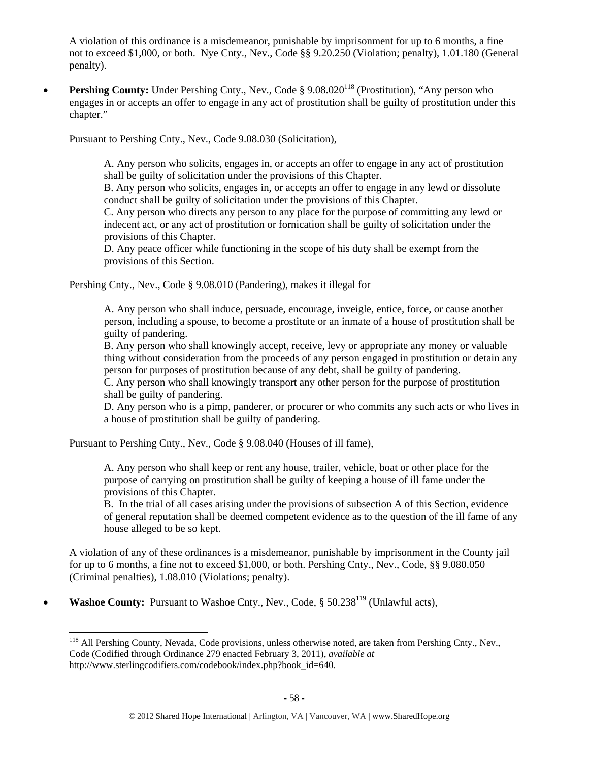A violation of this ordinance is a misdemeanor, punishable by imprisonment for up to 6 months, a fine not to exceed \$1,000, or both. Nye Cnty., Nev., Code §§ 9.20.250 (Violation; penalty), 1.01.180 (General penalty).

• **Pershing County:** Under Pershing Cnty., Nev., Code § 9.08.020<sup>118</sup> (Prostitution), "Any person who engages in or accepts an offer to engage in any act of prostitution shall be guilty of prostitution under this chapter."

Pursuant to Pershing Cnty., Nev., Code 9.08.030 (Solicitation),

A. Any person who solicits, engages in, or accepts an offer to engage in any act of prostitution shall be guilty of solicitation under the provisions of this Chapter.

B. Any person who solicits, engages in, or accepts an offer to engage in any lewd or dissolute conduct shall be guilty of solicitation under the provisions of this Chapter.

C. Any person who directs any person to any place for the purpose of committing any lewd or indecent act, or any act of prostitution or fornication shall be guilty of solicitation under the provisions of this Chapter.

D. Any peace officer while functioning in the scope of his duty shall be exempt from the provisions of this Section.

Pershing Cnty., Nev., Code § 9.08.010 (Pandering), makes it illegal for

A. Any person who shall induce, persuade, encourage, inveigle, entice, force, or cause another person, including a spouse, to become a prostitute or an inmate of a house of prostitution shall be guilty of pandering.

B. Any person who shall knowingly accept, receive, levy or appropriate any money or valuable thing without consideration from the proceeds of any person engaged in prostitution or detain any person for purposes of prostitution because of any debt, shall be guilty of pandering.

C. Any person who shall knowingly transport any other person for the purpose of prostitution shall be guilty of pandering.

D. Any person who is a pimp, panderer, or procurer or who commits any such acts or who lives in a house of prostitution shall be guilty of pandering.

Pursuant to Pershing Cnty., Nev., Code § 9.08.040 (Houses of ill fame),

A. Any person who shall keep or rent any house, trailer, vehicle, boat or other place for the purpose of carrying on prostitution shall be guilty of keeping a house of ill fame under the provisions of this Chapter.

B. In the trial of all cases arising under the provisions of subsection A of this Section, evidence of general reputation shall be deemed competent evidence as to the question of the ill fame of any house alleged to be so kept.

A violation of any of these ordinances is a misdemeanor, punishable by imprisonment in the County jail for up to 6 months, a fine not to exceed \$1,000, or both. Pershing Cnty., Nev., Code, §§ 9.080.050 (Criminal penalties), 1.08.010 (Violations; penalty).

• **Washoe County:** Pursuant to Washoe Cnty., Nev., Code, § 50.238<sup>119</sup> (Unlawful acts),

<sup>&</sup>lt;sup>118</sup> All Pershing County, Nevada, Code provisions, unless otherwise noted, are taken from Pershing Cnty., Nev., Code (Codified through Ordinance 279 enacted February 3, 2011), *available at* http://www.sterlingcodifiers.com/codebook/index.php?book\_id=640.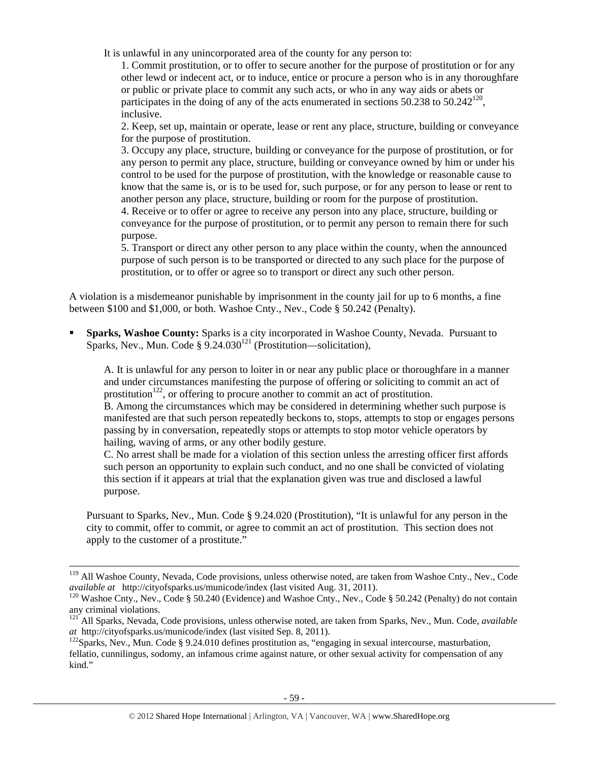It is unlawful in any unincorporated area of the county for any person to:

1. Commit prostitution, or to offer to secure another for the purpose of prostitution or for any other lewd or indecent act, or to induce, entice or procure a person who is in any thoroughfare or public or private place to commit any such acts, or who in any way aids or abets or participates in the doing of any of the acts enumerated in sections  $50.238$  to  $50.242^{120}$ . inclusive.

2. Keep, set up, maintain or operate, lease or rent any place, structure, building or conveyance for the purpose of prostitution.

3. Occupy any place, structure, building or conveyance for the purpose of prostitution, or for any person to permit any place, structure, building or conveyance owned by him or under his control to be used for the purpose of prostitution, with the knowledge or reasonable cause to know that the same is, or is to be used for, such purpose, or for any person to lease or rent to another person any place, structure, building or room for the purpose of prostitution.

4. Receive or to offer or agree to receive any person into any place, structure, building or conveyance for the purpose of prostitution, or to permit any person to remain there for such purpose.

5. Transport or direct any other person to any place within the county, when the announced purpose of such person is to be transported or directed to any such place for the purpose of prostitution, or to offer or agree so to transport or direct any such other person.

A violation is a misdemeanor punishable by imprisonment in the county jail for up to 6 months, a fine between \$100 and \$1,000, or both. Washoe Cnty., Nev., Code § 50.242 (Penalty).

 **Sparks, Washoe County:** Sparks is a city incorporated in Washoe County, Nevada. Pursuant to Sparks, Nev., Mun. Code §  $9.24.030^{121}$  (Prostitution—solicitation),

A. It is unlawful for any person to loiter in or near any public place or thoroughfare in a manner and under circumstances manifesting the purpose of offering or soliciting to commit an act of prostitution<sup>122</sup>, or offering to procure another to commit an act of prostitution. B. Among the circumstances which may be considered in determining whether such purpose is

manifested are that such person repeatedly beckons to, stops, attempts to stop or engages persons passing by in conversation, repeatedly stops or attempts to stop motor vehicle operators by hailing, waving of arms, or any other bodily gesture.

C. No arrest shall be made for a violation of this section unless the arresting officer first affords such person an opportunity to explain such conduct, and no one shall be convicted of violating this section if it appears at trial that the explanation given was true and disclosed a lawful purpose.

Pursuant to Sparks, Nev., Mun. Code § 9.24.020 (Prostitution), "It is unlawful for any person in the city to commit, offer to commit, or agree to commit an act of prostitution. This section does not apply to the customer of a prostitute."

<sup>&</sup>lt;sup>119</sup> All Washoe County, Nevada, Code provisions, unless otherwise noted, are taken from Washoe Cnty., Nev., Code *available at* http://cityofsparks.us/municode/index (last visited Aug. 31, 2011).

<sup>&</sup>lt;sup>120</sup> Washoe Cnty., Nev., Code § 50.240 (Evidence) and Washoe Cnty., Nev., Code § 50.242 (Penalty) do not contain any criminal violations.

<sup>&</sup>lt;sup>121</sup> All Sparks, Nevada, Code provisions, unless otherwise noted, are taken from Sparks, Nev., Mun. Code, *available at* http://cityofsparks.us/municode/index (last visited Sep. 8, 2011).<br><sup>122</sup>Sparks, Nev., Mun. Code § 9.24.010 defines prostitution as, "engaging in sexual intercourse, masturbation,

fellatio, cunnilingus, sodomy, an infamous crime against nature, or other sexual activity for compensation of any kind."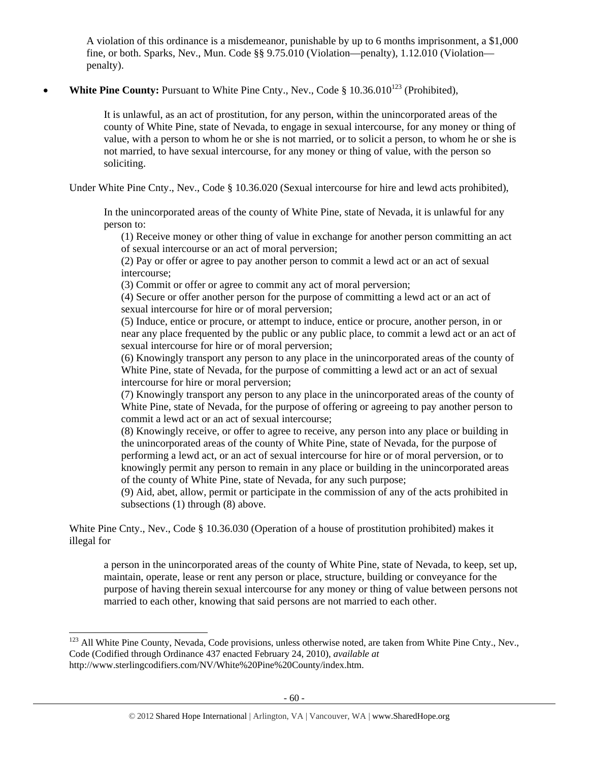A violation of this ordinance is a misdemeanor, punishable by up to 6 months imprisonment, a \$1,000 fine, or both. Sparks, Nev., Mun. Code §§ 9.75.010 (Violation—penalty), 1.12.010 (Violation penalty).

# • **White Pine County:** Pursuant to White Pine Cnty., Nev., Code  $\S$  10.36.010<sup>123</sup> (Prohibited),

It is unlawful, as an act of prostitution, for any person, within the unincorporated areas of the county of White Pine, state of Nevada, to engage in sexual intercourse, for any money or thing of value, with a person to whom he or she is not married, or to solicit a person, to whom he or she is not married, to have sexual intercourse, for any money or thing of value, with the person so soliciting.

Under White Pine Cnty., Nev., Code § 10.36.020 (Sexual intercourse for hire and lewd acts prohibited),

In the unincorporated areas of the county of White Pine, state of Nevada, it is unlawful for any person to:

(1) Receive money or other thing of value in exchange for another person committing an act of sexual intercourse or an act of moral perversion;

(2) Pay or offer or agree to pay another person to commit a lewd act or an act of sexual intercourse;

(3) Commit or offer or agree to commit any act of moral perversion;

(4) Secure or offer another person for the purpose of committing a lewd act or an act of sexual intercourse for hire or of moral perversion;

(5) Induce, entice or procure, or attempt to induce, entice or procure, another person, in or near any place frequented by the public or any public place, to commit a lewd act or an act of sexual intercourse for hire or of moral perversion;

(6) Knowingly transport any person to any place in the unincorporated areas of the county of White Pine, state of Nevada, for the purpose of committing a lewd act or an act of sexual intercourse for hire or moral perversion;

(7) Knowingly transport any person to any place in the unincorporated areas of the county of White Pine, state of Nevada, for the purpose of offering or agreeing to pay another person to commit a lewd act or an act of sexual intercourse;

(8) Knowingly receive, or offer to agree to receive, any person into any place or building in the unincorporated areas of the county of White Pine, state of Nevada, for the purpose of performing a lewd act, or an act of sexual intercourse for hire or of moral perversion, or to knowingly permit any person to remain in any place or building in the unincorporated areas of the county of White Pine, state of Nevada, for any such purpose;

(9) Aid, abet, allow, permit or participate in the commission of any of the acts prohibited in subsections (1) through (8) above.

White Pine Cnty., Nev., Code § 10.36.030 (Operation of a house of prostitution prohibited) makes it illegal for

a person in the unincorporated areas of the county of White Pine, state of Nevada, to keep, set up, maintain, operate, lease or rent any person or place, structure, building or conveyance for the purpose of having therein sexual intercourse for any money or thing of value between persons not married to each other, knowing that said persons are not married to each other.

 $\overline{a}$ <sup>123</sup> All White Pine County, Nevada, Code provisions, unless otherwise noted, are taken from White Pine Cnty., Nev., Code (Codified through Ordinance 437 enacted February 24, 2010), *available at* http://www.sterlingcodifiers.com/NV/White%20Pine%20County/index.htm.